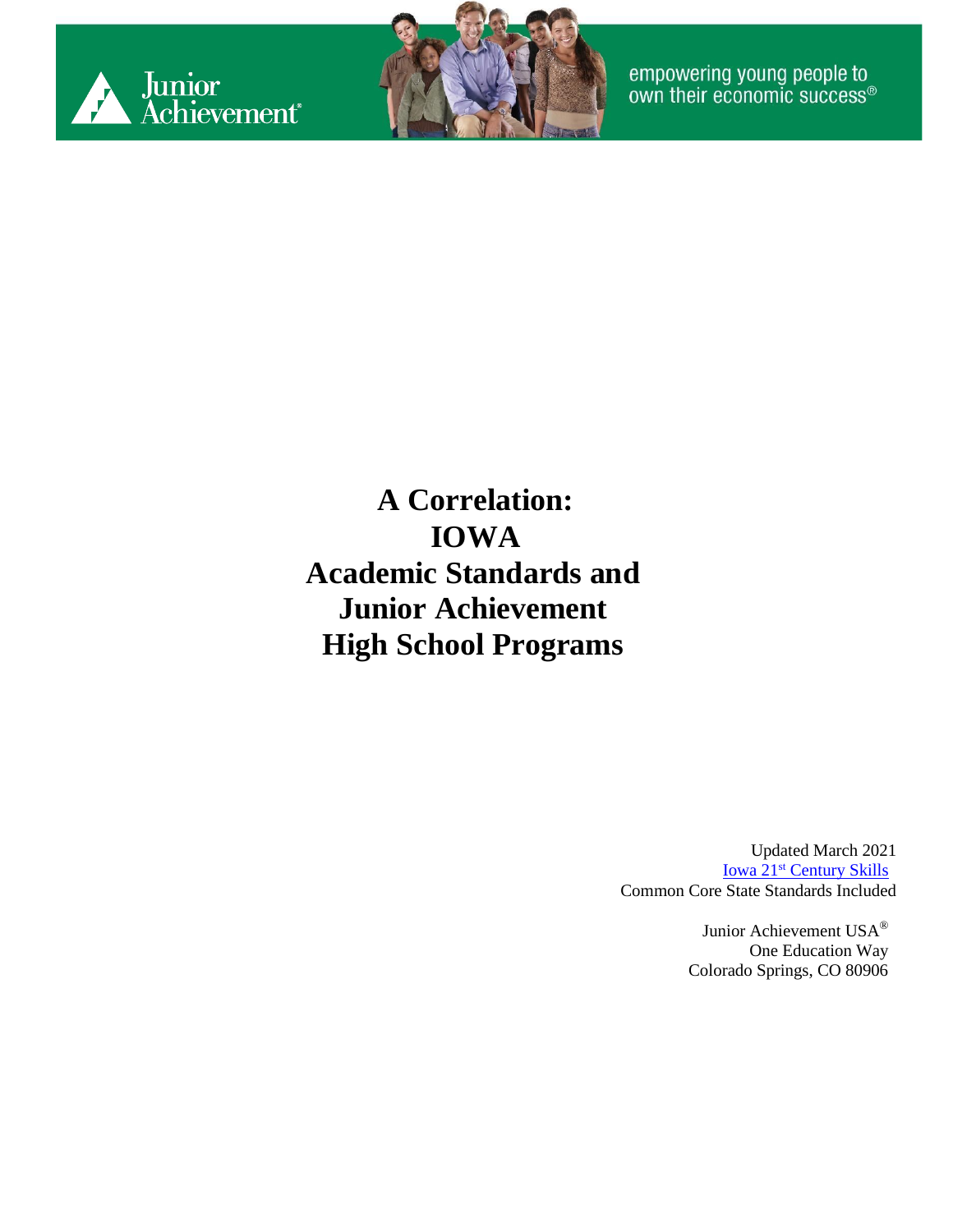



empowering young people to<br>own their economic success®

**A Correlation: IOWA Academic Standards and Junior Achievement High School Programs**

> Updated March 2021 Iowa 21<sup>st</sup> [Century Skills](https://www.educateiowa.gov/sites/files/ed/documents/K-12_21stCentSkills_0.pdf) Common Core State Standards Included

> > Junior Achievement USA® One Education Way Colorado Springs, CO 80906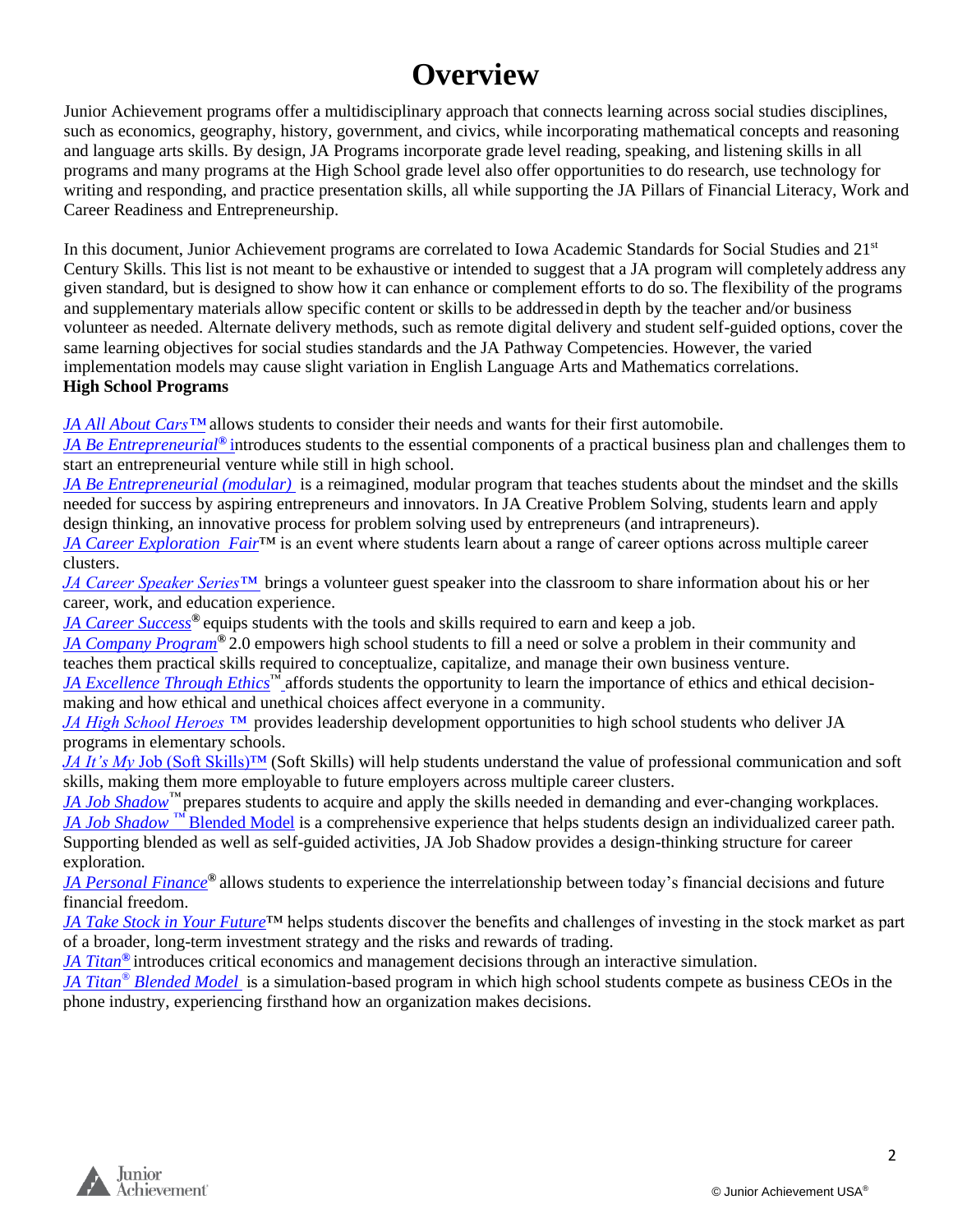#### **Overview**

Junior Achievement programs offer a multidisciplinary approach that connects learning across social studies disciplines, such as economics, geography, history, government, and civics, while incorporating mathematical concepts and reasoning and language arts skills. By design, JA Programs incorporate grade level reading, speaking, and listening skills in all programs and many programs at the High School grade level also offer opportunities to do research, use technology for writing and responding, and practice presentation skills, all while supporting the JA Pillars of Financial Literacy, Work and Career Readiness and Entrepreneurship.

In this document, Junior Achievement programs are correlated to Iowa Academic Standards for Social Studies and 21<sup>st</sup> Century Skills. This list is not meant to be exhaustive or intended to suggest that a JA program will completely address any given standard, but is designed to show how it can enhance or complement efforts to do so. The flexibility of the programs and supplementary materials allow specific content or skills to be addressedin depth by the teacher and/or business volunteer as needed. Alternate delivery methods, such as remote digital delivery and student self-guided options, cover the same learning objectives for social studies standards and the JA Pathway Competencies. However, the varied implementation models may cause slight variation in English Language Arts and Mathematics correlations. **High School Programs**

*JA All About Cars™* allows students to consider their needs and wants for their first automobile.

*JA Be Entrepreneurial®* introduces students to the essential components of a practical business plan and challenges them to start an entrepreneurial venture while still in high school.

*JA Be Entrepreneurial (modular)* is a reimagined, modular program that teaches students about the mindset and the skills needed for success by aspiring entrepreneurs and innovators. In JA Creative Problem Solving, students learn and apply design thinking, an innovative process for problem solving used by entrepreneurs (and intrapreneurs).

*[JA Career Exploration](#page-11-0) Fair™* is an event where students learn about a range of career options across multiple career clusters.

*JA Career Speaker Series™* brings a volunteer guest speaker into the classroom to share information about his or her career, work, and education experience.

*[JA Career Success](#page-13-0)®* equips students with the tools and skills required to earn and keep a job.

*[JA Company Program](#page-16-0)®* 2.0 empowers high school students to fill a need or solve a problem in their community and teaches them practical skills required to conceptualize, capitalize, and manage their own business venture.

*JA Excellence Through Ethics*™ affords students the opportunity to learn the importance of ethics and ethical decisionmaking and how ethical and unethical choices affect everyone in a community.

*JA High School Heroes ™* provides leadership development opportunities to high school students who deliver JA programs in elementary schools.

*JA It's My Job* (Soft Skills)<sup>™</sup> (Soft Skills) will help students understand the value of professional communication and soft skills, making them more employable to future employers across multiple career clusters.

*JA Job Shadow™* prepares students to acquire and apply the skills needed in demanding and ever-changing workplaces. *[JA Job Shadow](#page-28-0) [™](#page-28-0)* [Blended Model](#page-28-0) is a comprehensive experience that helps students design an individualized career path. Supporting blended as well as self-guided activities, JA Job Shadow provides a design-thinking structure for career exploration.

*[JA Personal Finance](#page-31-0)®* allows students to experience the interrelationship between today's financial decisions and future financial freedom.

*[JA Take Stock in Your Future](#page-36-0)*™ helps students discover the benefits and challenges of investing in the stock market as part of a broader, long-term investment strategy and the risks and rewards of trading.

*[JA Titan](#page-43-0)[®](#page-43-0)* introduces critical economics and management decisions through an interactive simulation.

*[JA Titan](#page-46-0)[®](#page-46-0) [Blended Model](#page-46-0)* is a simulation-based program in which high school students compete as business CEOs in the phone industry, experiencing firsthand how an organization makes decisions.

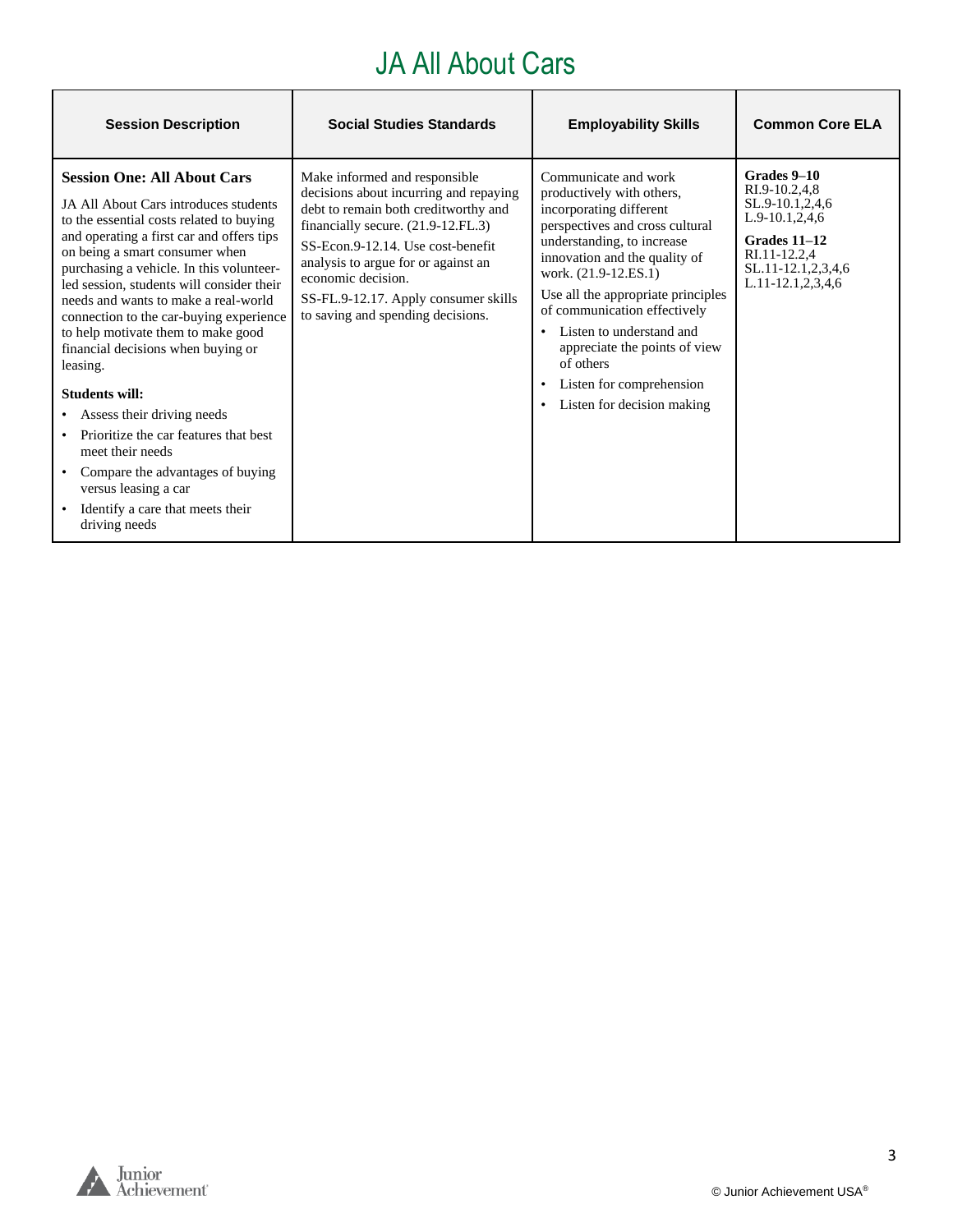### JA All About Cars

| <b>Session Description</b>                                                                                                                                                                                                                                                                                                                                                                                                                                                                                                                                                                                                                                                                                      | <b>Social Studies Standards</b>                                                                                                                                                                                                                                                                                                      | <b>Employability Skills</b>                                                                                                                                                                                                                                                                                                                                                                                      | <b>Common Core ELA</b>                                                                                                                                  |
|-----------------------------------------------------------------------------------------------------------------------------------------------------------------------------------------------------------------------------------------------------------------------------------------------------------------------------------------------------------------------------------------------------------------------------------------------------------------------------------------------------------------------------------------------------------------------------------------------------------------------------------------------------------------------------------------------------------------|--------------------------------------------------------------------------------------------------------------------------------------------------------------------------------------------------------------------------------------------------------------------------------------------------------------------------------------|------------------------------------------------------------------------------------------------------------------------------------------------------------------------------------------------------------------------------------------------------------------------------------------------------------------------------------------------------------------------------------------------------------------|---------------------------------------------------------------------------------------------------------------------------------------------------------|
| <b>Session One: All About Cars</b><br>JA All About Cars introduces students<br>to the essential costs related to buying<br>and operating a first car and offers tips<br>on being a smart consumer when<br>purchasing a vehicle. In this volunteer-<br>led session, students will consider their<br>needs and wants to make a real-world<br>connection to the car-buying experience<br>to help motivate them to make good<br>financial decisions when buying or<br>leasing.<br><b>Students will:</b><br>Assess their driving needs<br>Prioritize the car features that best<br>meet their needs<br>Compare the advantages of buying<br>versus leasing a car<br>Identify a care that meets their<br>driving needs | Make informed and responsible<br>decisions about incurring and repaying<br>debt to remain both creditworthy and<br>financially secure. (21.9-12.FL.3)<br>SS-Econ.9-12.14. Use cost-benefit<br>analysis to argue for or against an<br>economic decision.<br>SS-FL.9-12.17. Apply consumer skills<br>to saving and spending decisions. | Communicate and work<br>productively with others,<br>incorporating different<br>perspectives and cross cultural<br>understanding, to increase<br>innovation and the quality of<br>work. (21.9-12.ES.1)<br>Use all the appropriate principles<br>of communication effectively<br>Listen to understand and<br>appreciate the points of view<br>of others<br>Listen for comprehension<br>Listen for decision making | Grades 9-10<br>RI.9-10.2,4,8<br>SL.9-10.1,2,4,6<br>$L.9-10.1, 2, 4, 6$<br>Grades 11-12<br>RI.11-12.2,4<br>SL.11-12.1,2,3,4,6<br>$L.11-12.1, 2, 3, 4, 6$ |



h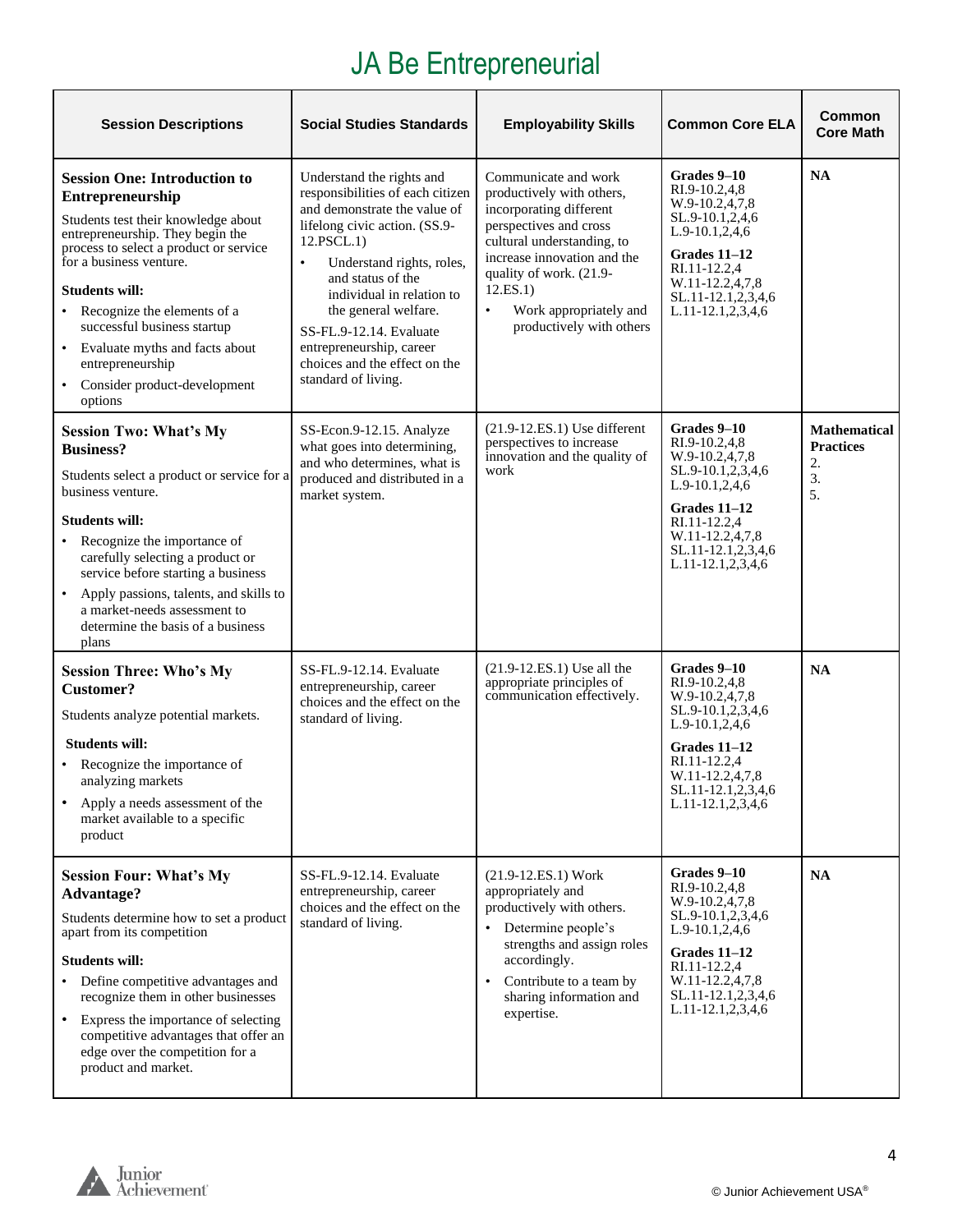# JA Be Entrepreneurial

| <b>Session Descriptions</b>                                                                                                                                                                                                                                                                                                                                                                                                            | <b>Social Studies Standards</b>                                                                                                                                                                                                                                                                                                                                                 | <b>Employability Skills</b>                                                                                                                                                                                                                                                   | <b>Common Core ELA</b>                                                                                                                                                                     | <b>Common</b><br><b>Core Math</b>                         |
|----------------------------------------------------------------------------------------------------------------------------------------------------------------------------------------------------------------------------------------------------------------------------------------------------------------------------------------------------------------------------------------------------------------------------------------|---------------------------------------------------------------------------------------------------------------------------------------------------------------------------------------------------------------------------------------------------------------------------------------------------------------------------------------------------------------------------------|-------------------------------------------------------------------------------------------------------------------------------------------------------------------------------------------------------------------------------------------------------------------------------|--------------------------------------------------------------------------------------------------------------------------------------------------------------------------------------------|-----------------------------------------------------------|
| <b>Session One: Introduction to</b><br>Entrepreneurship<br>Students test their knowledge about<br>entrepreneurship. They begin the<br>process to select a product or service<br>for a business venture.<br><b>Students will:</b><br>Recognize the elements of a<br>$\bullet$<br>successful business startup<br>Evaluate myths and facts about<br>$\bullet$<br>entrepreneurship<br>Consider product-development<br>$\bullet$<br>options | Understand the rights and<br>responsibilities of each citizen<br>and demonstrate the value of<br>lifelong civic action. (SS.9-<br>12.PSCL.1)<br>Understand rights, roles,<br>$\bullet$<br>and status of the<br>individual in relation to<br>the general welfare.<br>SS-FL.9-12.14. Evaluate<br>entrepreneurship, career<br>choices and the effect on the<br>standard of living. | Communicate and work<br>productively with others,<br>incorporating different<br>perspectives and cross<br>cultural understanding, to<br>increase innovation and the<br>quality of work. (21.9-<br>12.ES.1)<br>Work appropriately and<br>$\bullet$<br>productively with others | Grades 9–10<br>RI.9-10.2,4,8<br>W.9-10.2,4,7,8<br>SL.9-10.1,2,4,6<br>$L.9-10.1, 2, 4, 6$<br>Grades $11-12$<br>RI.11-12.2.4<br>W.11-12.2,4,7,8<br>SL.11-12.1,2,3,4,6<br>L.11-12.1,2,3,4,6   | <b>NA</b>                                                 |
| <b>Session Two: What's My</b><br><b>Business?</b><br>Students select a product or service for a<br>business venture.<br><b>Students will:</b><br>Recognize the importance of<br>carefully selecting a product or<br>service before starting a business<br>Apply passions, talents, and skills to<br>$\bullet$<br>a market-needs assessment to<br>determine the basis of a business<br>plans                                            | SS-Econ.9-12.15. Analyze<br>what goes into determining,<br>and who determines, what is<br>produced and distributed in a<br>market system.                                                                                                                                                                                                                                       | $(21.9-12.E.S.1)$ Use different<br>perspectives to increase<br>innovation and the quality of<br>work                                                                                                                                                                          | Grades 9-10<br>RI.9-10.2,4,8<br>W.9-10.2,4,7,8<br>SL.9-10.1,2,3,4,6<br>$L.9-10.1, 2, 4, 6$<br>Grades 11-12<br>RI.11-12.2,4<br>W.11-12.2,4,7,8<br>SL.11-12.1,2,3,4,6<br>L.11-12.1,2,3,4,6   | <b>Mathematical</b><br><b>Practices</b><br>2.<br>3.<br>5. |
| <b>Session Three: Who's My</b><br>Customer?<br>Students analyze potential markets.<br><b>Students will:</b><br>• Recognize the importance of<br>analyzing markets<br>Apply a needs assessment of the<br>market available to a specific<br>product                                                                                                                                                                                      | SS-FL.9-12.14. Evaluate<br>entrepreneurship, career<br>choices and the effect on the<br>standard of living.                                                                                                                                                                                                                                                                     | $(21.9 - 12.E.S.1)$ Use all the<br>appropriate principles of<br>communication effectively.                                                                                                                                                                                    | Grades 9–10<br>RI.9-10.2,4,8<br>W.9-10.2,4,7,8<br>SL.9-10.1,2,3,4,6<br>$L.9-10.1, 2, 4, 6$<br>Grades $11-12$<br>RI.11-12.2.4<br>W.11-12.2,4,7,8<br>SL.11-12.1,2,3,4,6<br>L.11-12.1,2,3,4,6 | <b>NA</b>                                                 |
| <b>Session Four: What's My</b><br>Advantage?<br>Students determine how to set a product<br>apart from its competition<br><b>Students will:</b><br>Define competitive advantages and<br>recognize them in other businesses<br>Express the importance of selecting<br>competitive advantages that offer an<br>edge over the competition for a<br>product and market.                                                                     | SS-FL.9-12.14. Evaluate<br>entrepreneurship, career<br>choices and the effect on the<br>standard of living.                                                                                                                                                                                                                                                                     | $(21.9 - 12.E.S.1) Work$<br>appropriately and<br>productively with others.<br>Determine people's<br>$\bullet$<br>strengths and assign roles<br>accordingly.<br>Contribute to a team by<br>$\bullet$<br>sharing information and<br>expertise.                                  | Grades 9–10<br>RI.9-10.2,4,8<br>W.9-10.2,4,7,8<br>SL.9-10.1,2,3,4,6<br>$L.9-10.1, 2, 4, 6$<br>Grades 11-12<br>RI.11-12.2.4<br>W.11-12.2,4,7,8<br>SL.11-12.1,2,3,4,6<br>L.11-12.1,2,3,4,6   | NA                                                        |

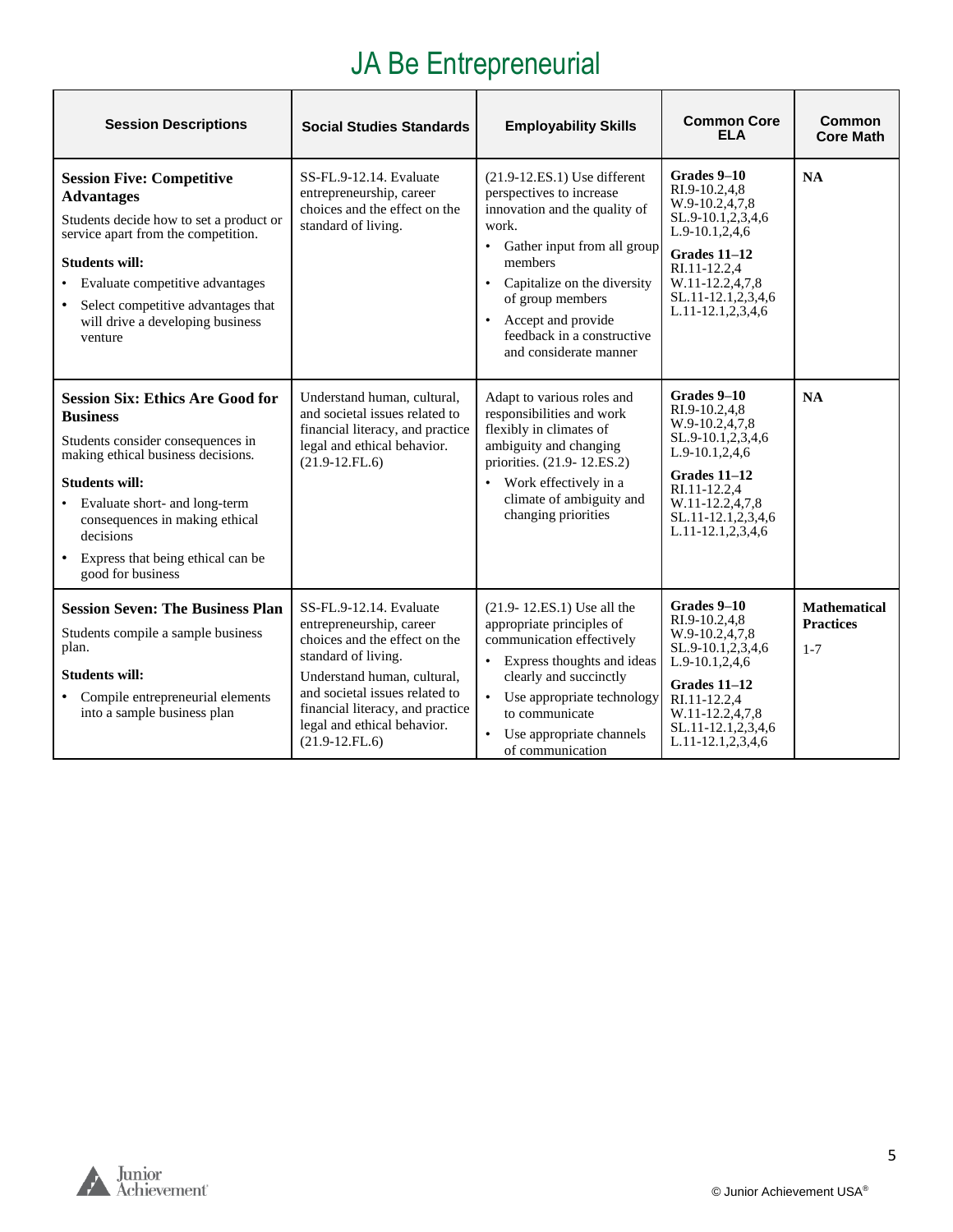## JA Be Entrepreneurial

| <b>Session Descriptions</b>                                                                                                                                                                                                                                                                              | <b>Social Studies Standards</b>                                                                                                                                                                                                                                     | <b>Employability Skills</b>                                                                                                                                                                                                                                                                                             | <b>Common Core</b><br><b>ELA</b>                                                                                                                                                         | Common<br><b>Core Math</b>                         |
|----------------------------------------------------------------------------------------------------------------------------------------------------------------------------------------------------------------------------------------------------------------------------------------------------------|---------------------------------------------------------------------------------------------------------------------------------------------------------------------------------------------------------------------------------------------------------------------|-------------------------------------------------------------------------------------------------------------------------------------------------------------------------------------------------------------------------------------------------------------------------------------------------------------------------|------------------------------------------------------------------------------------------------------------------------------------------------------------------------------------------|----------------------------------------------------|
| <b>Session Five: Competitive</b><br><b>Advantages</b><br>Students decide how to set a product or<br>service apart from the competition.<br><b>Students will:</b><br>Evaluate competitive advantages<br>Select competitive advantages that<br>will drive a developing business<br>venture                 | SS-FL.9-12.14. Evaluate<br>entrepreneurship, career<br>choices and the effect on the<br>standard of living.                                                                                                                                                         | $(21.9-12.E.S.1)$ Use different<br>perspectives to increase<br>innovation and the quality of<br>work.<br>Gather input from all group<br>$\bullet$<br>members<br>Capitalize on the diversity<br>$\bullet$<br>of group members<br>Accept and provide<br>$\bullet$<br>feedback in a constructive<br>and considerate manner | Grades 9-10<br>RI.9-10.2.4.8<br>W.9-10.2,4,7,8<br>SL.9-10.1,2,3,4,6<br>L.9-10.1,2,4,6<br>Grades 11-12<br>RI.11-12.2,4<br>W.11-12.2,4,7,8<br>SL.11-12.1,2,3,4,6<br>L.11-12.1,2,3,4,6      | <b>NA</b>                                          |
| <b>Session Six: Ethics Are Good for</b><br><b>Business</b><br>Students consider consequences in<br>making ethical business decisions.<br><b>Students will:</b><br>Evaluate short- and long-term<br>consequences in making ethical<br>decisions<br>Express that being ethical can be<br>good for business | Understand human, cultural,<br>and societal issues related to<br>financial literacy, and practice<br>legal and ethical behavior.<br>$(21.9-12.FL.6)$                                                                                                                | Adapt to various roles and<br>responsibilities and work<br>flexibly in climates of<br>ambiguity and changing<br>priorities. (21.9-12.ES.2)<br>Work effectively in a<br>$\bullet$<br>climate of ambiguity and<br>changing priorities                                                                                     | Grades 9-10<br>RI.9-10.2.4.8<br>W.9-10.2,4,7,8<br>SL.9-10.1,2,3,4,6<br>L.9-10.1,2,4,6<br>Grades 11-12<br>RI.11-12.2,4<br>W.11-12.2,4,7,8<br>SL.11-12.1,2,3,4,6<br>L.11-12.1,2,3,4,6      | <b>NA</b>                                          |
| <b>Session Seven: The Business Plan</b><br>Students compile a sample business<br>plan.<br><b>Students will:</b><br>Compile entrepreneurial elements<br>$\bullet$<br>into a sample business plan                                                                                                          | SS-FL.9-12.14. Evaluate<br>entrepreneurship, career<br>choices and the effect on the<br>standard of living.<br>Understand human, cultural,<br>and societal issues related to<br>financial literacy, and practice<br>legal and ethical behavior.<br>$(21.9-12.FL.6)$ | (21.9-12.ES.1) Use all the<br>appropriate principles of<br>communication effectively<br>Express thoughts and ideas<br>$\bullet$<br>clearly and succinctly<br>Use appropriate technology<br>$\bullet$<br>to communicate<br>Use appropriate channels<br>٠<br>of communication                                             | Grades 9-10<br>RI.9-10.2,4,8<br>W.9-10.2.4.7.8<br>SL.9-10.1,2,3,4,6<br>$L.9-10.1, 2, 4, 6$<br>Grades 11-12<br>RI.11-12.2.4<br>W.11-12.2,4,7,8<br>SL.11-12.1,2,3,4,6<br>L.11-12.1,2,3,4,6 | <b>Mathematical</b><br><b>Practices</b><br>$1 - 7$ |

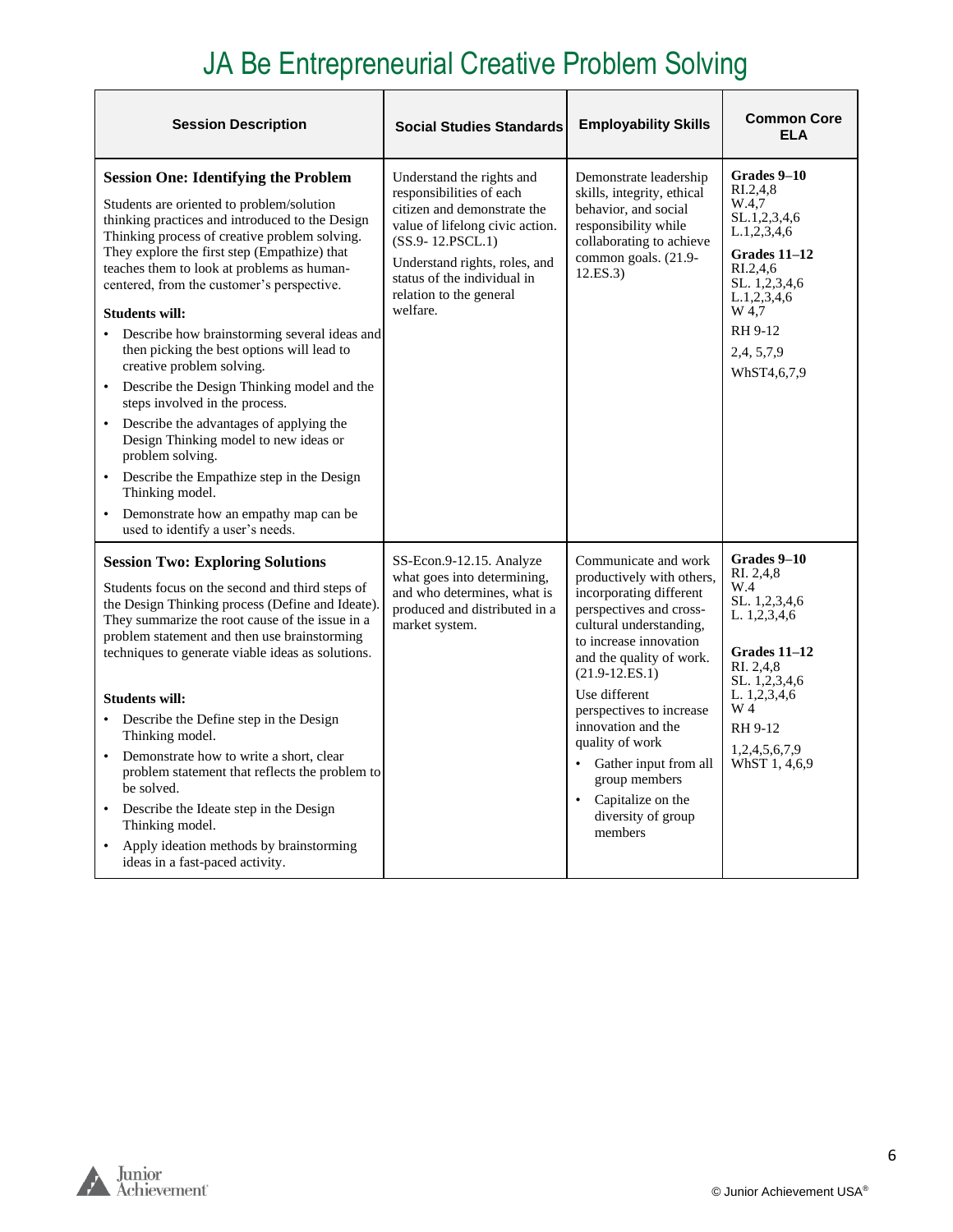## JA Be Entrepreneurial Creative Problem Solving

| <b>Session Description</b>                                                                                                                                                                                                                                                                                                                                                                                                                                                                                                                                                                                                                                                                                                                                                                                                                     | <b>Social Studies Standards</b>                                                                                                                                                                                                                        | <b>Employability Skills</b>                                                                                                                                                                                                                                                                                                                                                                           | <b>Common Core</b><br><b>ELA</b>                                                                                                                                                       |
|------------------------------------------------------------------------------------------------------------------------------------------------------------------------------------------------------------------------------------------------------------------------------------------------------------------------------------------------------------------------------------------------------------------------------------------------------------------------------------------------------------------------------------------------------------------------------------------------------------------------------------------------------------------------------------------------------------------------------------------------------------------------------------------------------------------------------------------------|--------------------------------------------------------------------------------------------------------------------------------------------------------------------------------------------------------------------------------------------------------|-------------------------------------------------------------------------------------------------------------------------------------------------------------------------------------------------------------------------------------------------------------------------------------------------------------------------------------------------------------------------------------------------------|----------------------------------------------------------------------------------------------------------------------------------------------------------------------------------------|
| <b>Session One: Identifying the Problem</b><br>Students are oriented to problem/solution<br>thinking practices and introduced to the Design<br>Thinking process of creative problem solving.<br>They explore the first step (Empathize) that<br>teaches them to look at problems as human-<br>centered, from the customer's perspective.<br><b>Students will:</b><br>Describe how brainstorming several ideas and<br>then picking the best options will lead to<br>creative problem solving.<br>Describe the Design Thinking model and the<br>steps involved in the process.<br>Describe the advantages of applying the<br>$\bullet$<br>Design Thinking model to new ideas or<br>problem solving.<br>Describe the Empathize step in the Design<br>Thinking model.<br>Demonstrate how an empathy map can be<br>used to identify a user's needs. | Understand the rights and<br>responsibilities of each<br>citizen and demonstrate the<br>value of lifelong civic action.<br>$(SS.9 - 12.PSCL.1)$<br>Understand rights, roles, and<br>status of the individual in<br>relation to the general<br>welfare. | Demonstrate leadership<br>skills, integrity, ethical<br>behavior, and social<br>responsibility while<br>collaborating to achieve<br>common goals. (21.9-<br>12.ES.3)                                                                                                                                                                                                                                  | Grades 9–10<br>RI.2.4.8<br>W.4,7<br>SL.1,2,3,4,6<br>L.1, 2, 3, 4, 6<br>Grades 11-12<br>RI.2.4.6<br>SL. 1,2,3,4,6<br>L.1, 2, 3, 4, 6<br>W 4.7<br>RH 9-12<br>2,4, 5, 7, 9<br>WhST4,6,7,9 |
| <b>Session Two: Exploring Solutions</b><br>Students focus on the second and third steps of<br>the Design Thinking process (Define and Ideate).<br>They summarize the root cause of the issue in a<br>problem statement and then use brainstorming<br>techniques to generate viable ideas as solutions.<br><b>Students will:</b><br>Describe the Define step in the Design<br>Thinking model.<br>Demonstrate how to write a short, clear<br>$\bullet$<br>problem statement that reflects the problem to<br>be solved.<br>Describe the Ideate step in the Design<br>Thinking model.<br>Apply ideation methods by brainstorming<br>ideas in a fast-paced activity.                                                                                                                                                                                | SS-Econ.9-12.15. Analyze<br>what goes into determining,<br>and who determines, what is<br>produced and distributed in a<br>market system.                                                                                                              | Communicate and work<br>productively with others,<br>incorporating different<br>perspectives and cross-<br>cultural understanding.<br>to increase innovation<br>and the quality of work.<br>$(21.9 - 12.E.S.1)$<br>Use different<br>perspectives to increase<br>innovation and the<br>quality of work<br>Gather input from all<br>group members<br>Capitalize on the<br>diversity of group<br>members | Grades 9–10<br>RI. 2,4,8<br>W.4<br>SL. 1,2,3,4,6<br>L. 1,2,3,4,6<br>Grades 11–12<br>RI. 2,4,8<br>SL. 1,2,3,4,6<br>L. 1,2,3,4,6<br>W 4<br>RH 9-12<br>1,2,4,5,6,7,9<br>WhST 1, 4,6,9     |

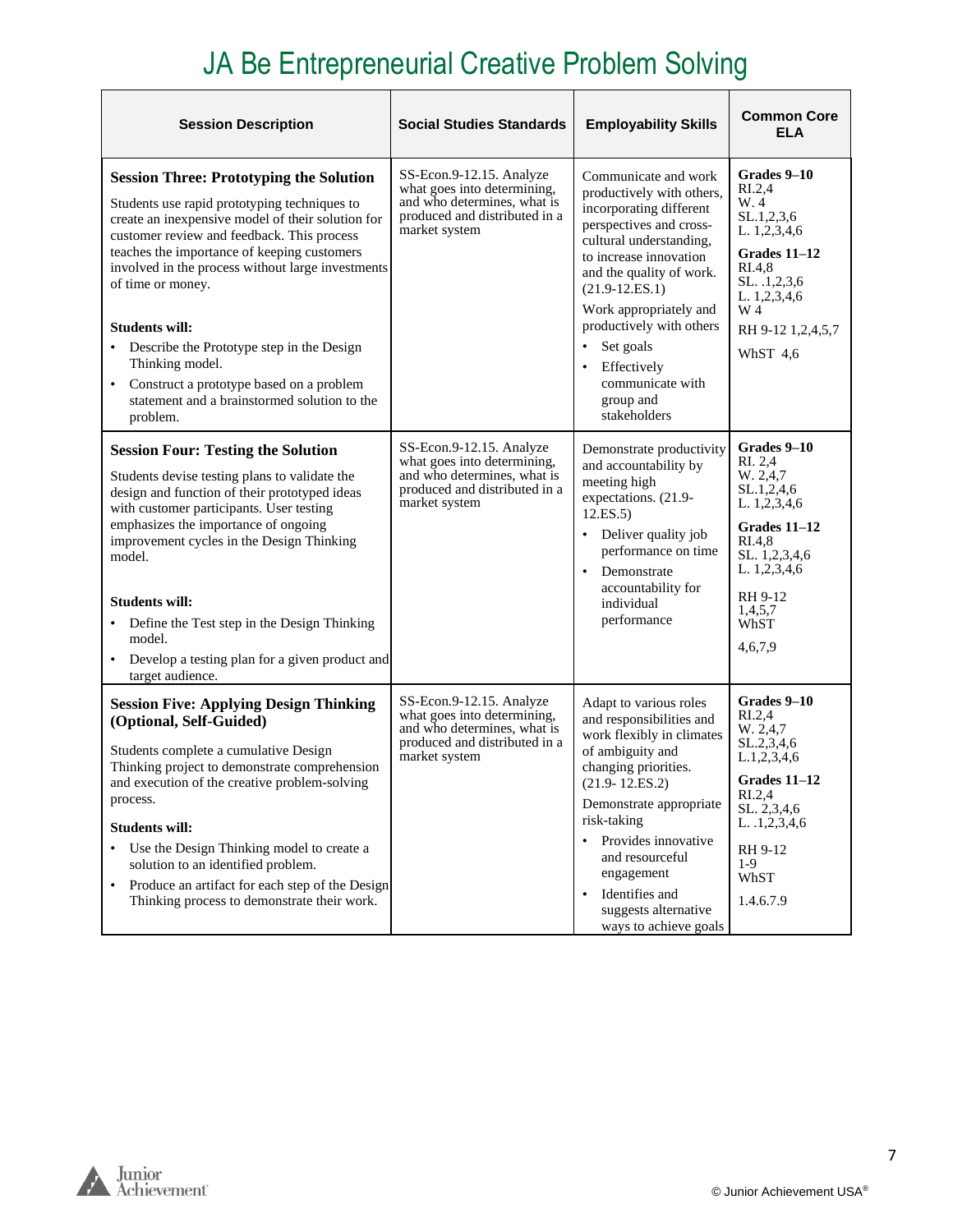## JA Be Entrepreneurial Creative Problem Solving

| <b>Session Description</b>                                                                                                                                                                                                                                                                                                                                                                                                                                                                                                       | <b>Social Studies Standards</b>                                                                                                          | <b>Employability Skills</b>                                                                                                                                                                                                                                                                                                                       | <b>Common Core</b><br>ELA                                                                                                                                                              |
|----------------------------------------------------------------------------------------------------------------------------------------------------------------------------------------------------------------------------------------------------------------------------------------------------------------------------------------------------------------------------------------------------------------------------------------------------------------------------------------------------------------------------------|------------------------------------------------------------------------------------------------------------------------------------------|---------------------------------------------------------------------------------------------------------------------------------------------------------------------------------------------------------------------------------------------------------------------------------------------------------------------------------------------------|----------------------------------------------------------------------------------------------------------------------------------------------------------------------------------------|
| <b>Session Three: Prototyping the Solution</b><br>Students use rapid prototyping techniques to<br>create an inexpensive model of their solution for<br>customer review and feedback. This process<br>teaches the importance of keeping customers<br>involved in the process without large investments<br>of time or money.<br><b>Students will:</b><br>Describe the Prototype step in the Design<br>Thinking model.<br>Construct a prototype based on a problem<br>٠<br>statement and a brainstormed solution to the<br>problem. | SS-Econ.9-12.15. Analyze<br>what goes into determining,<br>and who determines, what is<br>produced and distributed in a<br>market system | Communicate and work<br>productively with others,<br>incorporating different<br>perspectives and cross-<br>cultural understanding,<br>to increase innovation<br>and the quality of work.<br>$(21.9 - 12.ES.1)$<br>Work appropriately and<br>productively with others<br>Set goals<br>Effectively<br>communicate with<br>group and<br>stakeholders | Grades 9-10<br>RI.2,4<br>W. 4<br>SL.1,2,3,6<br>L. 1,2,3,4,6<br>Grades 11-12<br>RI.4.8<br>SL. .1,2,3,6<br>L. 1,2,3,4,6<br>W 4<br>RH 9-12 1,2,4,5,7<br>WhST 4.6                          |
| <b>Session Four: Testing the Solution</b><br>Students devise testing plans to validate the<br>design and function of their prototyped ideas<br>with customer participants. User testing<br>emphasizes the importance of ongoing<br>improvement cycles in the Design Thinking<br>model.<br><b>Students will:</b><br>Define the Test step in the Design Thinking<br>model.<br>Develop a testing plan for a given product and<br>٠<br>target audience.                                                                              | SS-Econ.9-12.15. Analyze<br>what goes into determining,<br>and who determines, what is<br>produced and distributed in a<br>market system | Demonstrate productivity<br>and accountability by<br>meeting high<br>expectations. (21.9-<br>12.ES.5)<br>Deliver quality job<br>performance on time<br>$\bullet$<br>Demonstrate<br>accountability for<br>individual<br>performance                                                                                                                | Grades 9-10<br>RI. 2,4<br>W. 2,4,7<br>SL.1,2,4,6<br>L. 1,2,3,4,6<br>Grades 11-12<br>RI.4,8<br>SL. 1,2,3,4,6<br>L. 1,2,3,4,6<br>RH 9-12<br>1,4,5,7<br>WhST<br>4,6,7,9                   |
| <b>Session Five: Applying Design Thinking</b><br>(Optional, Self-Guided)<br>Students complete a cumulative Design<br>Thinking project to demonstrate comprehension<br>and execution of the creative problem-solving<br>process.<br><b>Students will:</b><br>Use the Design Thinking model to create a<br>٠<br>solution to an identified problem.<br>Produce an artifact for each step of the Design<br>٠<br>Thinking process to demonstrate their work.                                                                          | SS-Econ.9-12.15. Analyze<br>what goes into determining,<br>and who determines, what is<br>produced and distributed in a<br>market system | Adapt to various roles<br>and responsibilities and<br>work flexibly in climates<br>of ambiguity and<br>changing priorities.<br>$(21.9 - 12.ES.2)$<br>Demonstrate appropriate<br>risk-taking<br>Provides innovative<br>$\bullet$<br>and resourceful<br>engagement<br>Identifies and<br>$\bullet$<br>suggests alternative<br>ways to achieve goals  | Grades 9-10<br>R <sub>L.2,4</sub><br>W. 2,4,7<br>SL.2, 3, 4, 6<br>L.1, 2, 3, 4, 6<br>Grades 11-12<br>RI.2,4<br>SL. 2,3,4,6<br>L. $.1,2,3,4,6$<br>RH 9-12<br>$1-9$<br>WhST<br>1.4.6.7.9 |

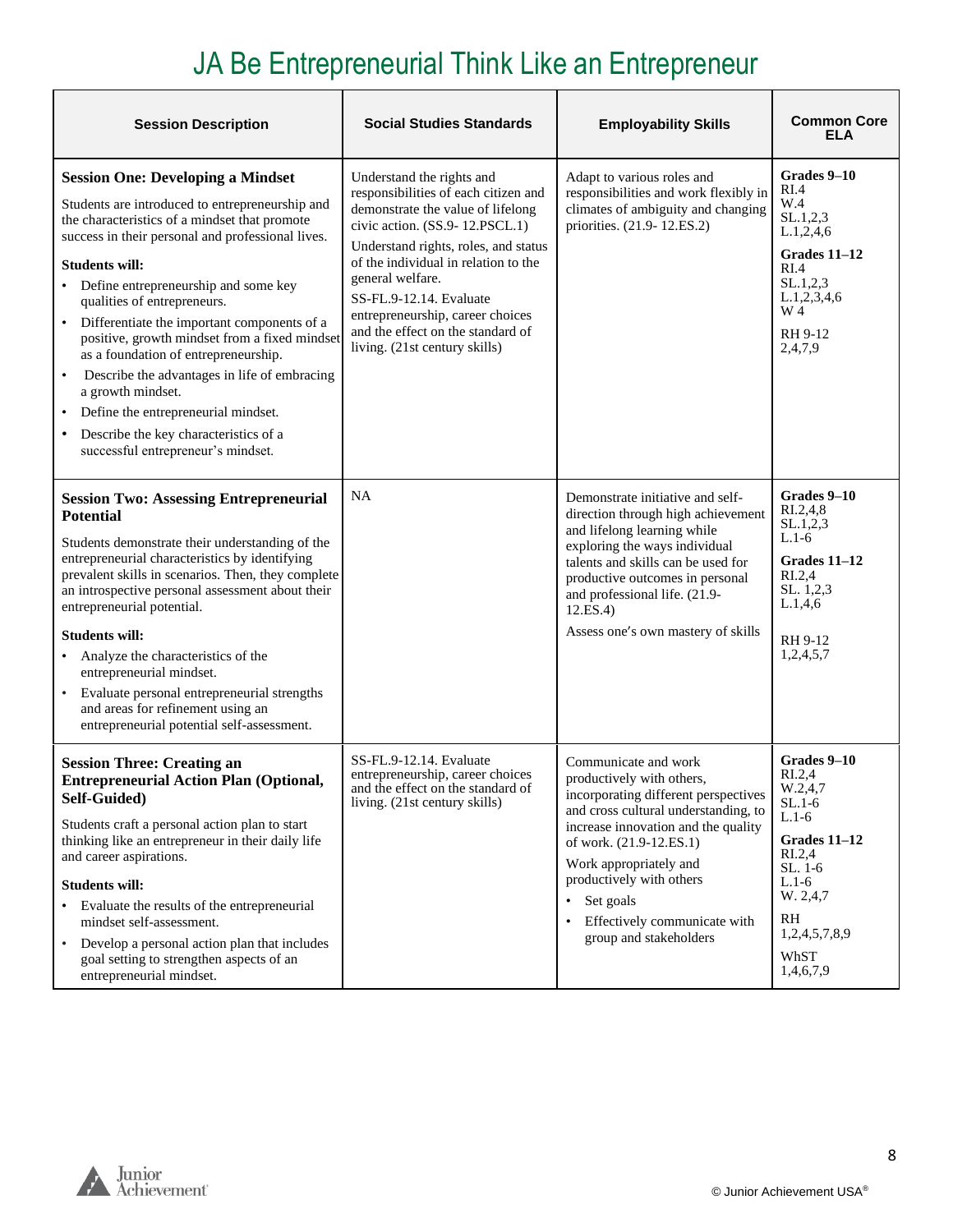# JA Be Entrepreneurial Think Like an Entrepreneur

| <b>Session Description</b>                                                                                                                                                                                                                                                                                                                                                                                                                                                                                                                                                                                                                                     | <b>Social Studies Standards</b>                                                                                                                                                                                                                                                                                                                                                   | <b>Employability Skills</b>                                                                                                                                                                                                                                                                                                      | <b>Common Core</b><br>ELA                                                                                                                                                                 |
|----------------------------------------------------------------------------------------------------------------------------------------------------------------------------------------------------------------------------------------------------------------------------------------------------------------------------------------------------------------------------------------------------------------------------------------------------------------------------------------------------------------------------------------------------------------------------------------------------------------------------------------------------------------|-----------------------------------------------------------------------------------------------------------------------------------------------------------------------------------------------------------------------------------------------------------------------------------------------------------------------------------------------------------------------------------|----------------------------------------------------------------------------------------------------------------------------------------------------------------------------------------------------------------------------------------------------------------------------------------------------------------------------------|-------------------------------------------------------------------------------------------------------------------------------------------------------------------------------------------|
| <b>Session One: Developing a Mindset</b><br>Students are introduced to entrepreneurship and<br>the characteristics of a mindset that promote<br>success in their personal and professional lives.<br><b>Students will:</b><br>Define entrepreneurship and some key<br>qualities of entrepreneurs.<br>Differentiate the important components of a<br>positive, growth mindset from a fixed mindset<br>as a foundation of entrepreneurship.<br>Describe the advantages in life of embracing<br>$\bullet$<br>a growth mindset.<br>Define the entrepreneurial mindset.<br>Describe the key characteristics of a<br>$\bullet$<br>successful entrepreneur's mindset. | Understand the rights and<br>responsibilities of each citizen and<br>demonstrate the value of lifelong<br>civic action. (SS.9-12.PSCL.1)<br>Understand rights, roles, and status<br>of the individual in relation to the<br>general welfare.<br>SS-FL.9-12.14. Evaluate<br>entrepreneurship, career choices<br>and the effect on the standard of<br>living. (21st century skills) | Adapt to various roles and<br>responsibilities and work flexibly in<br>climates of ambiguity and changing<br>priorities. (21.9-12.ES.2)                                                                                                                                                                                          | Grades 9–10<br>RI.4<br>W.4<br>SL.1, 2, 3<br>L.1, 2, 4, 6<br>Grades 11-12<br>RI.4<br>SL.1, 2, 3<br>L.1, 2, 3, 4, 6<br>W 4<br>RH 9-12<br>2,4,7,9                                            |
| <b>Session Two: Assessing Entrepreneurial</b><br><b>Potential</b><br>Students demonstrate their understanding of the<br>entrepreneurial characteristics by identifying<br>prevalent skills in scenarios. Then, they complete<br>an introspective personal assessment about their<br>entrepreneurial potential.<br><b>Students will:</b><br>Analyze the characteristics of the<br>entrepreneurial mindset.<br>Evaluate personal entrepreneurial strengths<br>and areas for refinement using an<br>entrepreneurial potential self-assessment.                                                                                                                    | NA                                                                                                                                                                                                                                                                                                                                                                                | Demonstrate initiative and self-<br>direction through high achievement<br>and lifelong learning while<br>exploring the ways individual<br>talents and skills can be used for<br>productive outcomes in personal<br>and professional life. (21.9-<br>12.ES.4<br>Assess one's own mastery of skills                                | Grades 9-10<br>$R_{1.2,4,8}$<br>SL.1, 2, 3<br>$L.1-6$<br>Grades 11–12<br>R <sub>L.2,4</sub><br>SL. 1,2,3<br>L.1,4,6<br>RH 9-12<br>1,2,4,5,7                                               |
| <b>Session Three: Creating an</b><br><b>Entrepreneurial Action Plan (Optional,</b><br>Self-Guided)<br>Students craft a personal action plan to start<br>thinking like an entrepreneur in their daily life<br>and career aspirations.<br><b>Students will:</b><br>Evaluate the results of the entrepreneurial<br>mindset self-assessment.<br>Develop a personal action plan that includes<br>$\bullet$<br>goal setting to strengthen aspects of an<br>entrepreneurial mindset.                                                                                                                                                                                  | SS-FL.9-12.14. Evaluate<br>entrepreneurship, career choices<br>and the effect on the standard of<br>living. (21st century skills)                                                                                                                                                                                                                                                 | Communicate and work<br>productively with others,<br>incorporating different perspectives<br>and cross cultural understanding, to<br>increase innovation and the quality<br>of work. (21.9-12.ES.1)<br>Work appropriately and<br>productively with others<br>Set goals<br>Effectively communicate with<br>group and stakeholders | Grades 9-10<br>R <sub>L.2,4</sub><br>W.2.4.7<br>$SL.1-6$<br>$L.1-6$<br>Grades 11–12<br>R <sub>L.2,4</sub><br>$SL. 1-6$<br>$L.1-6$<br>W. 2,4,7<br>RH<br>1,2,4,5,7,8,9<br>WhST<br>1,4,6,7,9 |

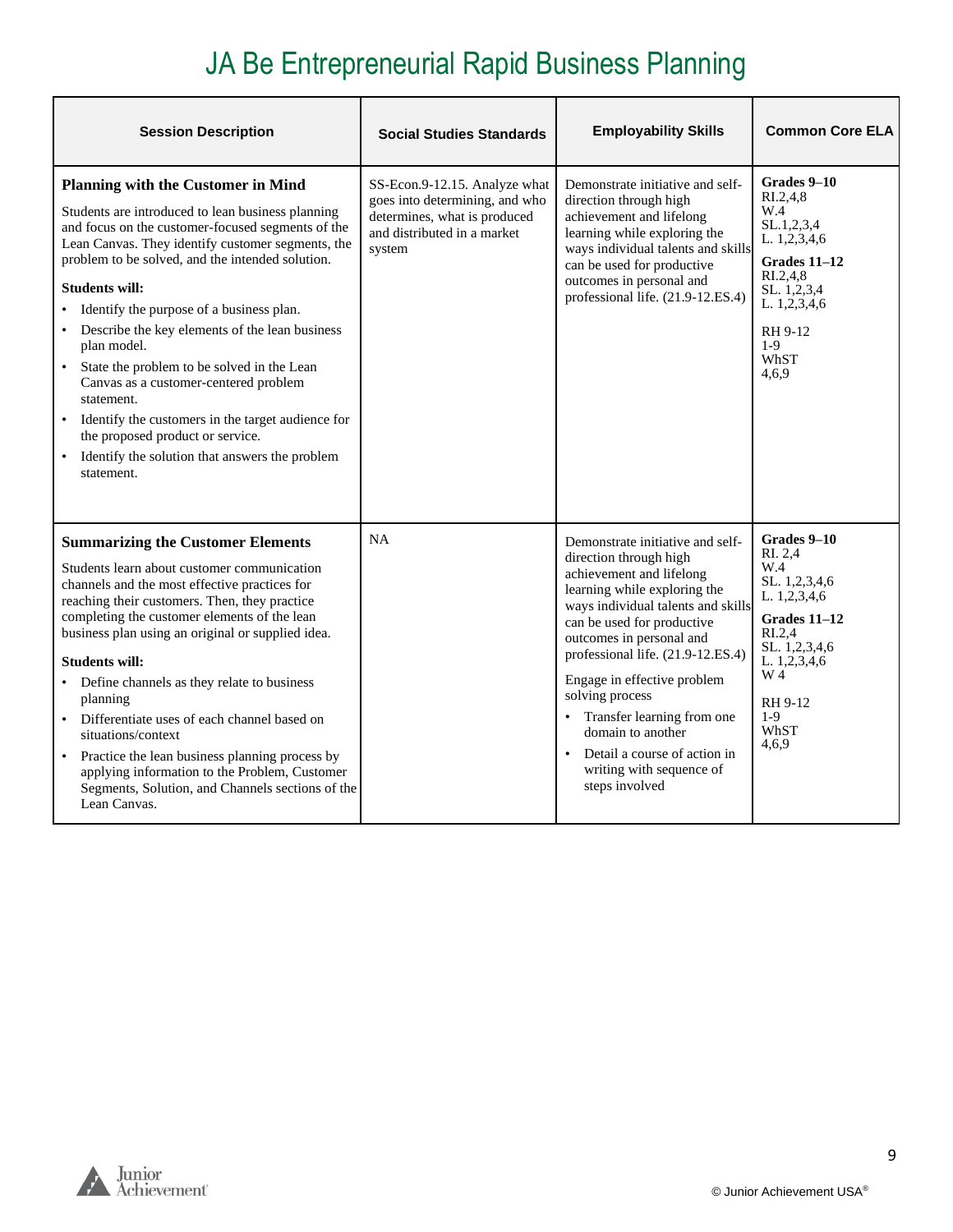## JA Be Entrepreneurial Rapid Business Planning

| <b>Session Description</b>                                                                                                                                                                                                                                                                                                                                                                                                                                                                                                                                                                                                                                                      | <b>Social Studies Standards</b>                                                                                                          | <b>Employability Skills</b>                                                                                                                                                                                                                                                                                                                                                                                                                                 | <b>Common Core ELA</b>                                                                                                                                                              |
|---------------------------------------------------------------------------------------------------------------------------------------------------------------------------------------------------------------------------------------------------------------------------------------------------------------------------------------------------------------------------------------------------------------------------------------------------------------------------------------------------------------------------------------------------------------------------------------------------------------------------------------------------------------------------------|------------------------------------------------------------------------------------------------------------------------------------------|-------------------------------------------------------------------------------------------------------------------------------------------------------------------------------------------------------------------------------------------------------------------------------------------------------------------------------------------------------------------------------------------------------------------------------------------------------------|-------------------------------------------------------------------------------------------------------------------------------------------------------------------------------------|
| <b>Planning with the Customer in Mind</b><br>Students are introduced to lean business planning<br>and focus on the customer-focused segments of the<br>Lean Canvas. They identify customer segments, the<br>problem to be solved, and the intended solution.<br><b>Students will:</b><br>Identify the purpose of a business plan.<br>• Describe the key elements of the lean business<br>plan model.<br>State the problem to be solved in the Lean<br>Canvas as a customer-centered problem<br>statement.<br>Identify the customers in the target audience for<br>$\bullet$<br>the proposed product or service.<br>Identify the solution that answers the problem<br>statement. | SS-Econ.9-12.15. Analyze what<br>goes into determining, and who<br>determines, what is produced<br>and distributed in a market<br>system | Demonstrate initiative and self-<br>direction through high<br>achievement and lifelong<br>learning while exploring the<br>ways individual talents and skills<br>can be used for productive<br>outcomes in personal and<br>professional life. (21.9-12.ES.4)                                                                                                                                                                                                 | Grades 9-10<br>R <sub>L.2,4,8</sub><br>W.4<br>SL.1, 2, 3, 4<br>L. 1,2,3,4,6<br>Grades 11-12<br>RI.2.4.8<br>SL. 1,2,3,4<br>L. 1,2,3,4,6<br>RH 9-12<br>$1-9$<br>WhST<br>4,6,9         |
| <b>Summarizing the Customer Elements</b><br>Students learn about customer communication<br>channels and the most effective practices for<br>reaching their customers. Then, they practice<br>completing the customer elements of the lean<br>business plan using an original or supplied idea.<br><b>Students will:</b><br>• Define channels as they relate to business<br>planning<br>• Differentiate uses of each channel based on<br>situations/context<br>• Practice the lean business planning process by<br>applying information to the Problem, Customer<br>Segments, Solution, and Channels sections of the<br>Lean Canvas.                                             | <b>NA</b>                                                                                                                                | Demonstrate initiative and self-<br>direction through high<br>achievement and lifelong<br>learning while exploring the<br>ways individual talents and skills<br>can be used for productive<br>outcomes in personal and<br>professional life. (21.9-12.ES.4)<br>Engage in effective problem<br>solving process<br>Transfer learning from one<br>domain to another<br>Detail a course of action in<br>$\bullet$<br>writing with sequence of<br>steps involved | Grades 9-10<br>RI. 2,4<br>W.4<br>SL. 1,2,3,4,6<br>L. 1,2,3,4,6<br>Grades $11-12$<br>R <sub>L.2,4</sub><br>SL. 1,2,3,4,6<br>L. 1,2,3,4,6<br>W 4<br>RH 9-12<br>$1-9$<br>WhST<br>4,6,9 |

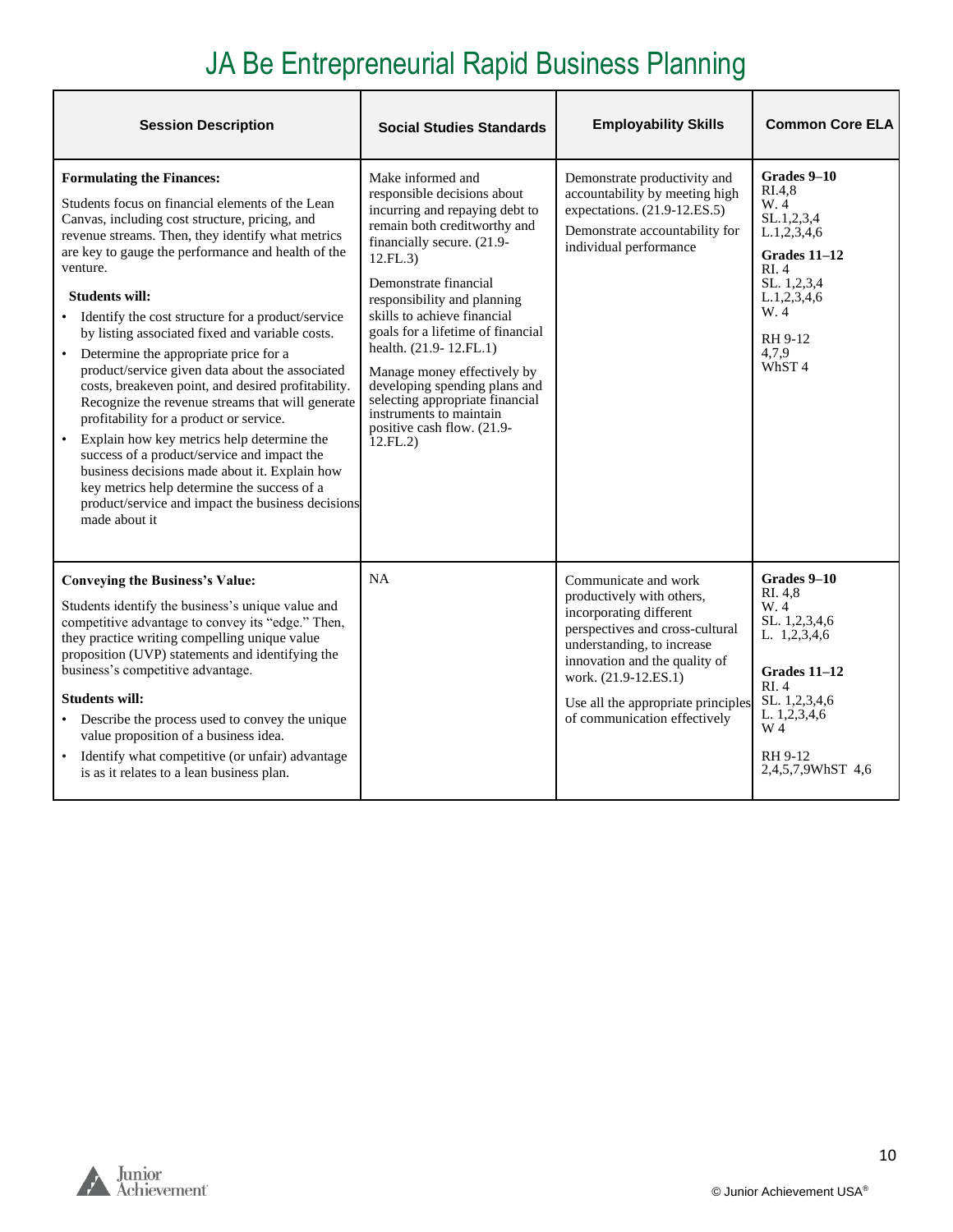## JA Be Entrepreneurial Rapid Business Planning

| <b>Session Description</b>                                                                                                                                                                                                                                                                                                                                                                                                                                                                                                                                                                                                                                                                                                                                                                                                                                                                                                      | <b>Social Studies Standards</b>                                                                                                                                                                                                                                                                                                                                                                                                                                                           | <b>Employability Skills</b>                                                                                                                                                                                                                                                  | <b>Common Core ELA</b>                                                                                                                                            |
|---------------------------------------------------------------------------------------------------------------------------------------------------------------------------------------------------------------------------------------------------------------------------------------------------------------------------------------------------------------------------------------------------------------------------------------------------------------------------------------------------------------------------------------------------------------------------------------------------------------------------------------------------------------------------------------------------------------------------------------------------------------------------------------------------------------------------------------------------------------------------------------------------------------------------------|-------------------------------------------------------------------------------------------------------------------------------------------------------------------------------------------------------------------------------------------------------------------------------------------------------------------------------------------------------------------------------------------------------------------------------------------------------------------------------------------|------------------------------------------------------------------------------------------------------------------------------------------------------------------------------------------------------------------------------------------------------------------------------|-------------------------------------------------------------------------------------------------------------------------------------------------------------------|
| <b>Formulating the Finances:</b><br>Students focus on financial elements of the Lean<br>Canvas, including cost structure, pricing, and<br>revenue streams. Then, they identify what metrics<br>are key to gauge the performance and health of the<br>venture.<br><b>Students will:</b><br>Identify the cost structure for a product/service<br>by listing associated fixed and variable costs.<br>Determine the appropriate price for a<br>$\bullet$<br>product/service given data about the associated<br>costs, breakeven point, and desired profitability.<br>Recognize the revenue streams that will generate<br>profitability for a product or service.<br>Explain how key metrics help determine the<br>success of a product/service and impact the<br>business decisions made about it. Explain how<br>key metrics help determine the success of a<br>product/service and impact the business decisions<br>made about it | Make informed and<br>responsible decisions about<br>incurring and repaying debt to<br>remain both creditworthy and<br>financially secure. (21.9-<br>12.FL.3)<br>Demonstrate financial<br>responsibility and planning<br>skills to achieve financial<br>goals for a lifetime of financial<br>health. (21.9-12.FL.1)<br>Manage money effectively by<br>developing spending plans and<br>selecting appropriate financial<br>instruments to maintain<br>positive cash flow. (21.9-<br>12.FL.2 | Demonstrate productivity and<br>accountability by meeting high<br>expectations. (21.9-12.ES.5)<br>Demonstrate accountability for<br>individual performance                                                                                                                   | Grades 9-10<br>RI.4.8<br>W. 4<br>SL.1, 2, 3, 4<br>L.1, 2, 3, 4, 6<br>Grades 11–12<br>RI. 4<br>SL. 1,2,3,4<br>L.1, 2, 3, 4, 6<br>W. 4<br>RH 9-12<br>4,7,9<br>WhST4 |
| <b>Conveying the Business's Value:</b><br>Students identify the business's unique value and<br>competitive advantage to convey its "edge." Then,<br>they practice writing compelling unique value<br>proposition (UVP) statements and identifying the<br>business's competitive advantage.<br><b>Students will:</b><br>• Describe the process used to convey the unique<br>value proposition of a business idea.<br>• Identify what competitive (or unfair) advantage<br>is as it relates to a lean business plan.                                                                                                                                                                                                                                                                                                                                                                                                              | <b>NA</b>                                                                                                                                                                                                                                                                                                                                                                                                                                                                                 | Communicate and work<br>productively with others,<br>incorporating different<br>perspectives and cross-cultural<br>understanding, to increase<br>innovation and the quality of<br>work. (21.9-12.ES.1)<br>Use all the appropriate principles<br>of communication effectively | Grades 9-10<br>RI. 4.8<br>W. 4<br>SL. 1,2,3,4,6<br>L. 1,2,3,4,6<br>Grades $11-12$<br>RI.4<br>SL. 1,2,3,4,6<br>L. 1,2,3,4,6<br>W 4<br>RH 9-12<br>2,4,5,7,9WhST 4,6 |

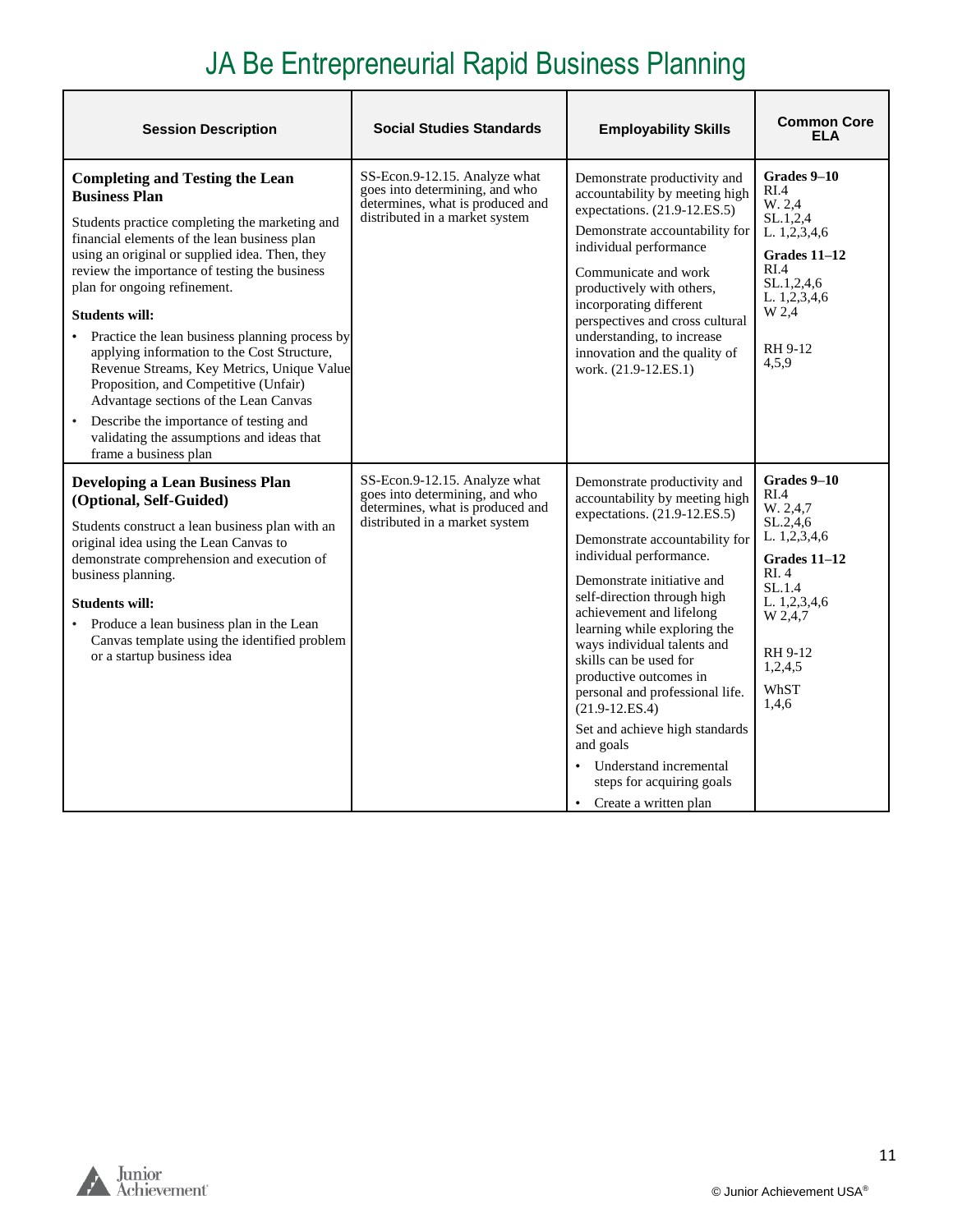## JA Be Entrepreneurial Rapid Business Planning

| <b>Session Description</b>                                                                                                                                                                                                                                                                                                                                                                                                                                                                                                                                                                                                                                                      | <b>Social Studies Standards</b>                                                                                                       | <b>Employability Skills</b>                                                                                                                                                                                                                                                                                                                                                                                                                                                                                                                                                               | <b>Common Core</b><br><b>ELA</b>                                                                                                                                   |
|---------------------------------------------------------------------------------------------------------------------------------------------------------------------------------------------------------------------------------------------------------------------------------------------------------------------------------------------------------------------------------------------------------------------------------------------------------------------------------------------------------------------------------------------------------------------------------------------------------------------------------------------------------------------------------|---------------------------------------------------------------------------------------------------------------------------------------|-------------------------------------------------------------------------------------------------------------------------------------------------------------------------------------------------------------------------------------------------------------------------------------------------------------------------------------------------------------------------------------------------------------------------------------------------------------------------------------------------------------------------------------------------------------------------------------------|--------------------------------------------------------------------------------------------------------------------------------------------------------------------|
| <b>Completing and Testing the Lean</b><br><b>Business Plan</b><br>Students practice completing the marketing and<br>financial elements of the lean business plan<br>using an original or supplied idea. Then, they<br>review the importance of testing the business<br>plan for ongoing refinement.<br><b>Students will:</b><br>Practice the lean business planning process by<br>applying information to the Cost Structure,<br>Revenue Streams, Key Metrics, Unique Value<br>Proposition, and Competitive (Unfair)<br>Advantage sections of the Lean Canvas<br>• Describe the importance of testing and<br>validating the assumptions and ideas that<br>frame a business plan | SS-Econ.9-12.15. Analyze what<br>goes into determining, and who<br>determines, what is produced and<br>distributed in a market system | Demonstrate productivity and<br>accountability by meeting high<br>expectations. (21.9-12.ES.5)<br>Demonstrate accountability for<br>individual performance<br>Communicate and work<br>productively with others,<br>incorporating different<br>perspectives and cross cultural<br>understanding, to increase<br>innovation and the quality of<br>work. (21.9-12.ES.1)                                                                                                                                                                                                                      | Grades 9-10<br>RI.4<br>W. 2.4<br>SL.1, 2, 4<br>L. 1,2,3,4,6<br>Grades 11-12<br>RI.4<br>SL.1, 2, 4, 6<br>L. 1,2,3,4,6<br>W 2,4<br>RH 9-12<br>4,5,9                  |
| <b>Developing a Lean Business Plan</b><br>(Optional, Self-Guided)<br>Students construct a lean business plan with an<br>original idea using the Lean Canvas to<br>demonstrate comprehension and execution of<br>business planning.<br><b>Students will:</b><br>Produce a lean business plan in the Lean<br>Canvas template using the identified problem<br>or a startup business idea                                                                                                                                                                                                                                                                                           | SS-Econ.9-12.15. Analyze what<br>goes into determining, and who<br>determines, what is produced and<br>distributed in a market system | Demonstrate productivity and<br>accountability by meeting high<br>expectations. (21.9-12.ES.5)<br>Demonstrate accountability for<br>individual performance.<br>Demonstrate initiative and<br>self-direction through high<br>achievement and lifelong<br>learning while exploring the<br>ways individual talents and<br>skills can be used for<br>productive outcomes in<br>personal and professional life.<br>$(21.9 - 12.ES.4)$<br>Set and achieve high standards<br>and goals<br>Understand incremental<br>$\bullet$<br>steps for acquiring goals<br>Create a written plan<br>$\bullet$ | Grades 9–10<br>RI.4<br>W. 2.4.7<br>SL.2.4.6<br>L. 1,2,3,4,6<br>Grades $11-12$<br>RI. 4<br>SL.1.4<br>L. 1,2,3,4,6<br>W 2,4,7<br>RH 9-12<br>1,2,4,5<br>WhST<br>1,4,6 |

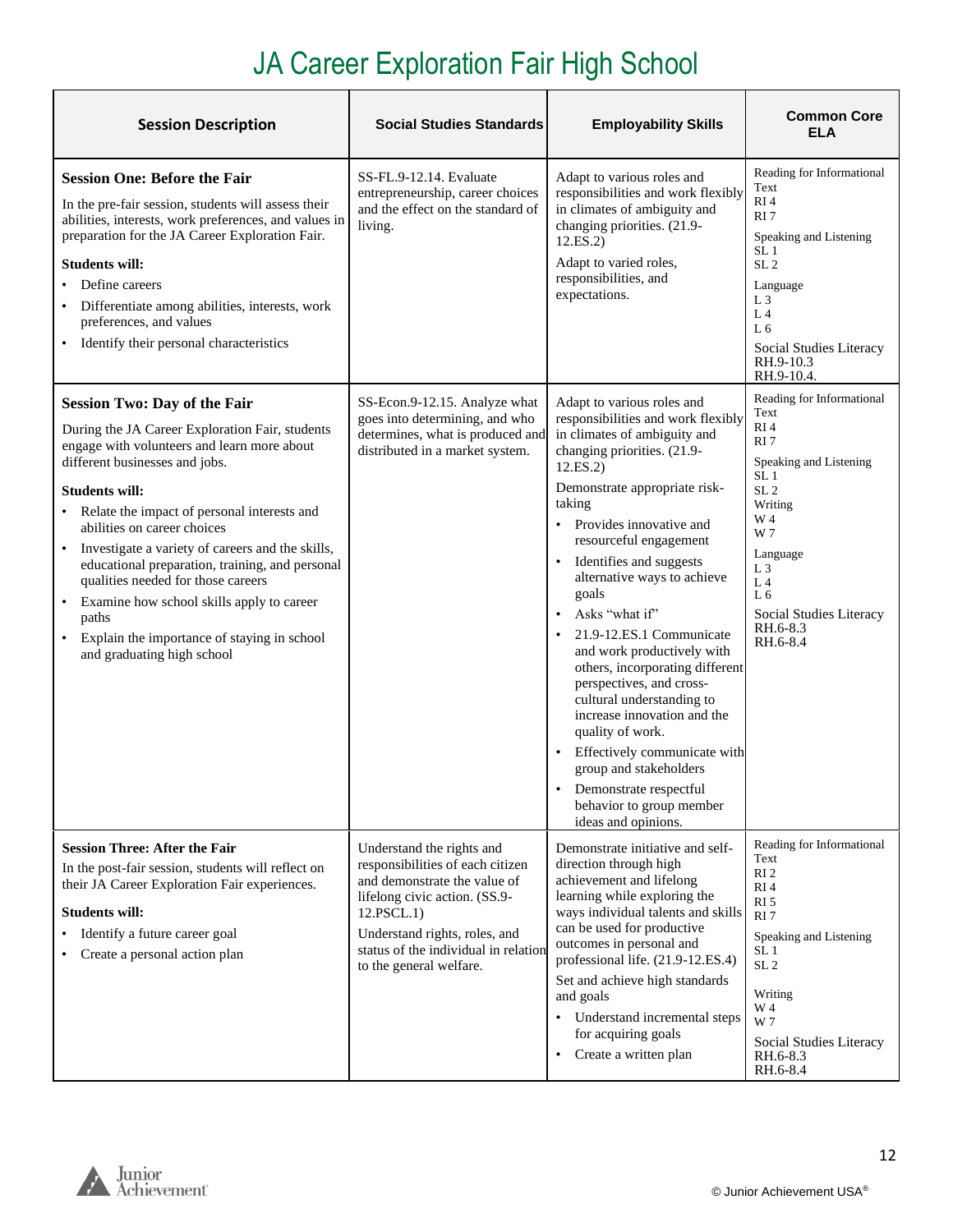## JA Career Exploration Fair High School

<span id="page-11-0"></span>

| <b>Session Description</b>                                                                                                                                                                                                                                                                                                                                                                                                                                                                                                                                             | <b>Social Studies Standards</b>                                                                                                                                                                                                                  | <b>Employability Skills</b>                                                                                                                                                                                                                                                                                                                                                                                                                                                                                                                                                                                                                                                      | <b>Common Core</b><br>ELA                                                                                                                                                                                                                                                             |
|------------------------------------------------------------------------------------------------------------------------------------------------------------------------------------------------------------------------------------------------------------------------------------------------------------------------------------------------------------------------------------------------------------------------------------------------------------------------------------------------------------------------------------------------------------------------|--------------------------------------------------------------------------------------------------------------------------------------------------------------------------------------------------------------------------------------------------|----------------------------------------------------------------------------------------------------------------------------------------------------------------------------------------------------------------------------------------------------------------------------------------------------------------------------------------------------------------------------------------------------------------------------------------------------------------------------------------------------------------------------------------------------------------------------------------------------------------------------------------------------------------------------------|---------------------------------------------------------------------------------------------------------------------------------------------------------------------------------------------------------------------------------------------------------------------------------------|
| <b>Session One: Before the Fair</b><br>In the pre-fair session, students will assess their<br>abilities, interests, work preferences, and values in<br>preparation for the JA Career Exploration Fair.<br>Students will:<br>Define careers<br>• Differentiate among abilities, interests, work<br>preferences, and values<br>• Identify their personal characteristics                                                                                                                                                                                                 | SS-FL.9-12.14. Evaluate<br>entrepreneurship, career choices<br>and the effect on the standard of<br>living.                                                                                                                                      | Adapt to various roles and<br>responsibilities and work flexibly<br>in climates of ambiguity and<br>changing priorities. (21.9-<br>12.ES.2)<br>Adapt to varied roles,<br>responsibilities, and<br>expectations.                                                                                                                                                                                                                                                                                                                                                                                                                                                                  | Reading for Informational<br>Text<br>RI4<br>RI <sub>7</sub><br>Speaking and Listening<br>SL <sub>1</sub><br>SL <sub>2</sub><br>Language<br>L <sub>3</sub><br>L <sub>4</sub><br>L6<br>Social Studies Literacy<br>RH.9-10.3<br>RH.9-10.4.                                               |
| <b>Session Two: Day of the Fair</b><br>During the JA Career Exploration Fair, students<br>engage with volunteers and learn more about<br>different businesses and jobs.<br><b>Students will:</b><br>• Relate the impact of personal interests and<br>abilities on career choices<br>• Investigate a variety of careers and the skills,<br>educational preparation, training, and personal<br>qualities needed for those careers<br>• Examine how school skills apply to career<br>paths<br>• Explain the importance of staying in school<br>and graduating high school | SS-Econ.9-12.15. Analyze what<br>goes into determining, and who<br>determines, what is produced and<br>distributed in a market system.                                                                                                           | Adapt to various roles and<br>responsibilities and work flexibly<br>in climates of ambiguity and<br>changing priorities. (21.9-<br>12.ES.2)<br>Demonstrate appropriate risk-<br>taking<br>Provides innovative and<br>resourceful engagement<br>Identifies and suggests<br>alternative ways to achieve<br>goals<br>Asks "what if"<br>21.9-12.ES.1 Communicate<br>and work productively with<br>others, incorporating different<br>perspectives, and cross-<br>cultural understanding to<br>increase innovation and the<br>quality of work.<br>Effectively communicate with<br>group and stakeholders<br>Demonstrate respectful<br>behavior to group member<br>ideas and opinions. | Reading for Informational<br>Text<br>RI <sub>4</sub><br>RI <sub>7</sub><br>Speaking and Listening<br>SL <sub>1</sub><br>SL <sub>2</sub><br>Writing<br>W 4<br>W 7<br>Language<br>L <sub>3</sub><br>L <sub>4</sub><br>L <sub>6</sub><br>Social Studies Literacy<br>RH.6-8.3<br>RH.6-8.4 |
| <b>Session Three: After the Fair</b><br>In the post-fair session, students will reflect on<br>their JA Career Exploration Fair experiences.<br><b>Students will:</b><br>Identify a future career goal<br>Create a personal action plan                                                                                                                                                                                                                                                                                                                                 | Understand the rights and<br>responsibilities of each citizen<br>and demonstrate the value of<br>lifelong civic action. (SS.9-<br>12.PSCL.1)<br>Understand rights, roles, and<br>status of the individual in relation<br>to the general welfare. | Demonstrate initiative and self-<br>direction through high<br>achievement and lifelong<br>learning while exploring the<br>ways individual talents and skills<br>can be used for productive<br>outcomes in personal and<br>professional life. (21.9-12.ES.4)<br>Set and achieve high standards<br>and goals<br>Understand incremental steps<br>for acquiring goals<br>Create a written plan                                                                                                                                                                                                                                                                                       | Reading for Informational<br>Text<br>RI <sub>2</sub><br>RI4<br>RI <sub>5</sub><br>RI7<br>Speaking and Listening<br>SL <sub>1</sub><br>SL <sub>2</sub><br>Writing<br>W 4<br>W 7<br>Social Studies Literacy<br>RH.6-8.3<br>RH.6-8.4                                                     |

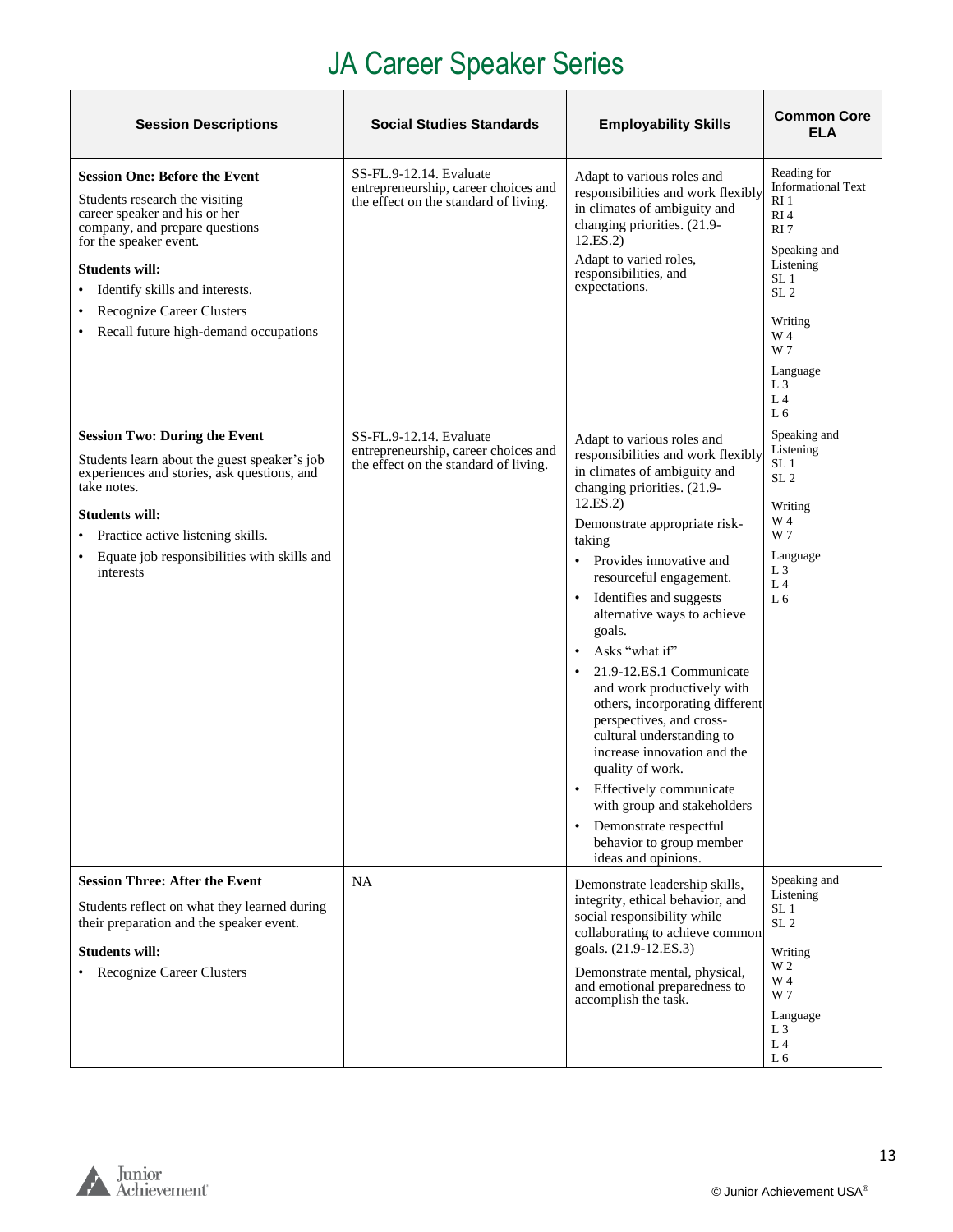## JA Career Speaker Series

| <b>Session Descriptions</b>                                                                                                                                                                                                                                                                            | <b>Social Studies Standards</b>                                                                          | <b>Employability Skills</b>                                                                                                                                                                                                                                                                                                                                                                                                                                                                                                                                                                                                                                                                                                 | <b>Common Core</b><br>ELA                                                                                                                                                                                                                            |
|--------------------------------------------------------------------------------------------------------------------------------------------------------------------------------------------------------------------------------------------------------------------------------------------------------|----------------------------------------------------------------------------------------------------------|-----------------------------------------------------------------------------------------------------------------------------------------------------------------------------------------------------------------------------------------------------------------------------------------------------------------------------------------------------------------------------------------------------------------------------------------------------------------------------------------------------------------------------------------------------------------------------------------------------------------------------------------------------------------------------------------------------------------------------|------------------------------------------------------------------------------------------------------------------------------------------------------------------------------------------------------------------------------------------------------|
| <b>Session One: Before the Event</b><br>Students research the visiting<br>career speaker and his or her<br>company, and prepare questions<br>for the speaker event.<br><b>Students will:</b><br>• Identify skills and interests.<br>Recognize Career Clusters<br>Recall future high-demand occupations | SS-FL.9-12.14. Evaluate<br>entrepreneurship, career choices and<br>the effect on the standard of living. | Adapt to various roles and<br>responsibilities and work flexibly<br>in climates of ambiguity and<br>changing priorities. (21.9-<br>12.ES.2)<br>Adapt to varied roles,<br>responsibilities, and<br>expectations.                                                                                                                                                                                                                                                                                                                                                                                                                                                                                                             | Reading for<br><b>Informational Text</b><br>RI <sub>1</sub><br>RI <sub>4</sub><br>RI <sub>7</sub><br>Speaking and<br>Listening<br>SL 1<br>SL <sub>2</sub><br>Writing<br>W 4<br>W 7<br>Language<br>L <sub>3</sub><br>L <sub>4</sub><br>L <sub>6</sub> |
| <b>Session Two: During the Event</b><br>Students learn about the guest speaker's job<br>experiences and stories, ask questions, and<br>take notes.<br><b>Students will:</b><br>• Practice active listening skills.<br>Equate job responsibilities with skills and<br>interests                         | SS-FL.9-12.14. Evaluate<br>entrepreneurship, career choices and<br>the effect on the standard of living. | Adapt to various roles and<br>responsibilities and work flexibly<br>in climates of ambiguity and<br>changing priorities. (21.9-<br>12.ES.2)<br>Demonstrate appropriate risk-<br>taking<br>• Provides innovative and<br>resourceful engagement.<br>Identifies and suggests<br>alternative ways to achieve<br>goals.<br>Asks "what if"<br>$\bullet$<br>21.9-12.ES.1 Communicate<br>$\bullet$<br>and work productively with<br>others, incorporating different<br>perspectives, and cross-<br>cultural understanding to<br>increase innovation and the<br>quality of work.<br>Effectively communicate<br>with group and stakeholders<br>Demonstrate respectful<br>$\bullet$<br>behavior to group member<br>ideas and opinions. | Speaking and<br>Listening<br>SL <sub>1</sub><br>SL <sub>2</sub><br>Writing<br>W 4<br>W 7<br>Language<br>L3<br>L <sub>4</sub><br>L <sub>6</sub>                                                                                                       |
| <b>Session Three: After the Event</b><br>Students reflect on what they learned during<br>their preparation and the speaker event.<br><b>Students will:</b><br>• Recognize Career Clusters                                                                                                              | <b>NA</b>                                                                                                | Demonstrate leadership skills,<br>integrity, ethical behavior, and<br>social responsibility while<br>collaborating to achieve common<br>goals. (21.9-12.ES.3)<br>Demonstrate mental, physical,<br>and emotional preparedness to<br>accomplish the task.                                                                                                                                                                                                                                                                                                                                                                                                                                                                     | Speaking and<br>Listening<br>SL 1<br>SL <sub>2</sub><br>Writing<br>W 2<br>W 4<br>W 7<br>Language<br>L <sub>3</sub><br>L4<br>L 6                                                                                                                      |



13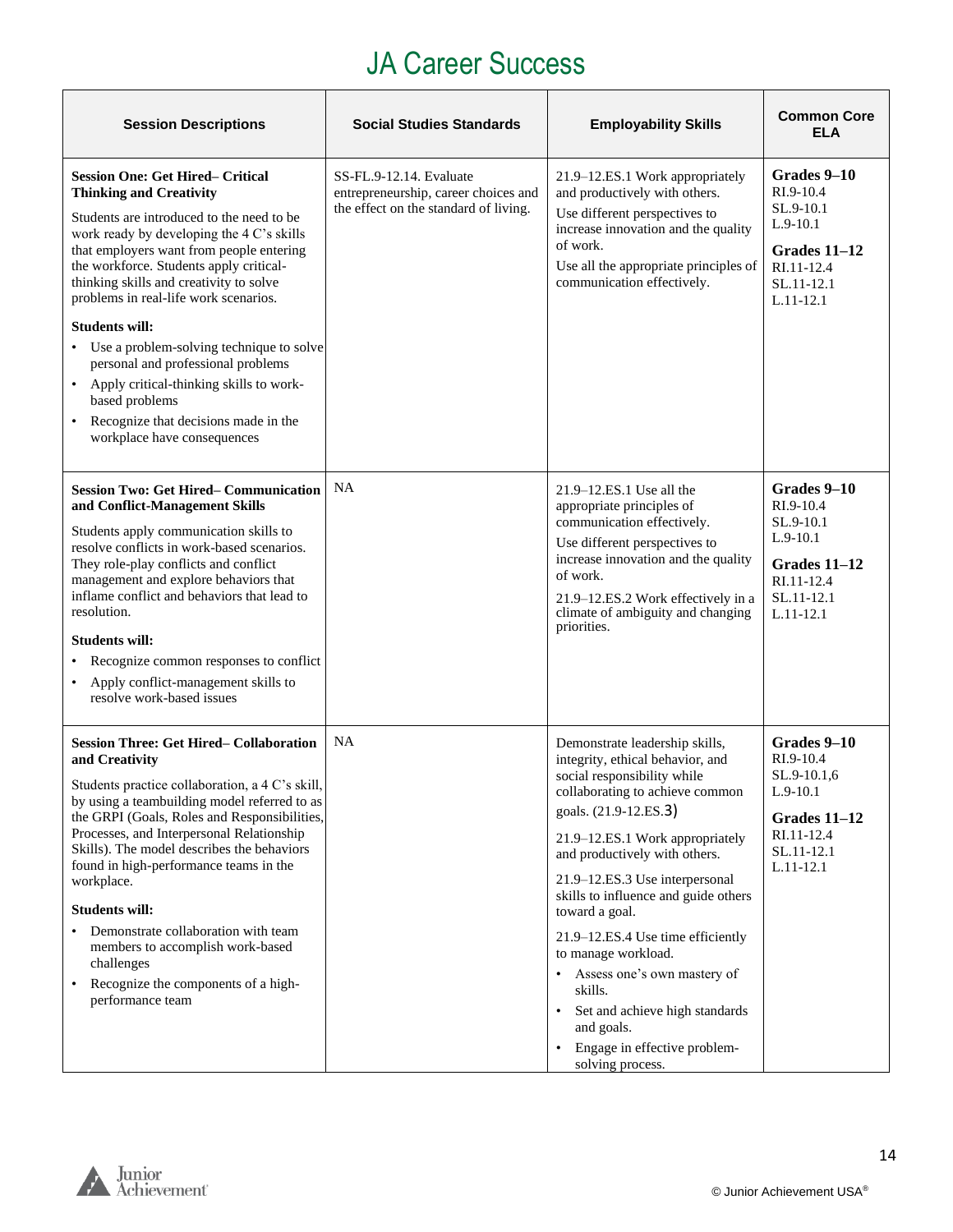#### JA Career Success

<span id="page-13-0"></span>

| <b>Session Descriptions</b>                                                                                                                                                                                                                                                                                                                                                                                                                                                                                                                                                                                  | <b>Social Studies Standards</b>                                                                          | <b>Employability Skills</b>                                                                                                                                                                                                                                                                                                                                                                                                                                                                                                                               | <b>Common Core</b><br>ELA                                                                                        |
|--------------------------------------------------------------------------------------------------------------------------------------------------------------------------------------------------------------------------------------------------------------------------------------------------------------------------------------------------------------------------------------------------------------------------------------------------------------------------------------------------------------------------------------------------------------------------------------------------------------|----------------------------------------------------------------------------------------------------------|-----------------------------------------------------------------------------------------------------------------------------------------------------------------------------------------------------------------------------------------------------------------------------------------------------------------------------------------------------------------------------------------------------------------------------------------------------------------------------------------------------------------------------------------------------------|------------------------------------------------------------------------------------------------------------------|
| <b>Session One: Get Hired– Critical</b><br><b>Thinking and Creativity</b><br>Students are introduced to the need to be<br>work ready by developing the 4 C's skills<br>that employers want from people entering<br>the workforce. Students apply critical-<br>thinking skills and creativity to solve<br>problems in real-life work scenarios.<br><b>Students will:</b><br>• Use a problem-solving technique to solve<br>personal and professional problems<br>Apply critical-thinking skills to work-<br>$\bullet$<br>based problems<br>Recognize that decisions made in the<br>workplace have consequences | SS-FL.9-12.14. Evaluate<br>entrepreneurship, career choices and<br>the effect on the standard of living. | 21.9–12.ES.1 Work appropriately<br>and productively with others.<br>Use different perspectives to<br>increase innovation and the quality<br>of work.<br>Use all the appropriate principles of<br>communication effectively.                                                                                                                                                                                                                                                                                                                               | Grades 9–10<br>$RI.9-10.4$<br>SL.9-10.1<br>$L.9-10.1$<br>Grades 11-12<br>RI.11-12.4<br>SL.11-12.1<br>$L.11-12.1$ |
| <b>Session Two: Get Hired-Communication</b><br>and Conflict-Management Skills<br>Students apply communication skills to<br>resolve conflicts in work-based scenarios.<br>They role-play conflicts and conflict<br>management and explore behaviors that<br>inflame conflict and behaviors that lead to<br>resolution.<br><b>Students will:</b><br>Recognize common responses to conflict<br>Apply conflict-management skills to<br>resolve work-based issues                                                                                                                                                 | <b>NA</b>                                                                                                | $21.9 - 12.ES.1$ Use all the<br>appropriate principles of<br>communication effectively.<br>Use different perspectives to<br>increase innovation and the quality<br>of work.<br>21.9–12.ES.2 Work effectively in a<br>climate of ambiguity and changing<br>priorities.                                                                                                                                                                                                                                                                                     | Grades 9-10<br>RI.9-10.4<br>SL.9-10.1<br>$L.9-10.1$<br>Grades $11-12$<br>RI.11-12.4<br>SL.11-12.1<br>$L.11-12.1$ |
| <b>Session Three: Get Hired– Collaboration</b><br>and Creativity<br>Students practice collaboration, a 4 C's skill,<br>by using a teambuilding model referred to as<br>the GRPI (Goals, Roles and Responsibilities,<br>Processes, and Interpersonal Relationship<br>Skills). The model describes the behaviors<br>found in high-performance teams in the<br>workplace.<br><b>Students will:</b><br>Demonstrate collaboration with team<br>members to accomplish work-based<br>challenges<br>Recognize the components of a high-<br>$\bullet$<br>performance team                                             | <b>NA</b>                                                                                                | Demonstrate leadership skills,<br>integrity, ethical behavior, and<br>social responsibility while<br>collaborating to achieve common<br>goals. (21.9-12.ES.3)<br>21.9–12.ES.1 Work appropriately<br>and productively with others.<br>21.9–12.ES.3 Use interpersonal<br>skills to influence and guide others<br>toward a goal.<br>21.9-12.ES.4 Use time efficiently<br>to manage workload.<br>Assess one's own mastery of<br>skills.<br>Set and achieve high standards<br>$\bullet$<br>and goals.<br>Engage in effective problem-<br>٠<br>solving process. | Grades 9-10<br>RI.9-10.4<br>SL.9-10.1,6<br>$L.9-10.1$<br>Grades 11–12<br>RI.11-12.4<br>SL.11-12.1<br>$L.11-12.1$ |

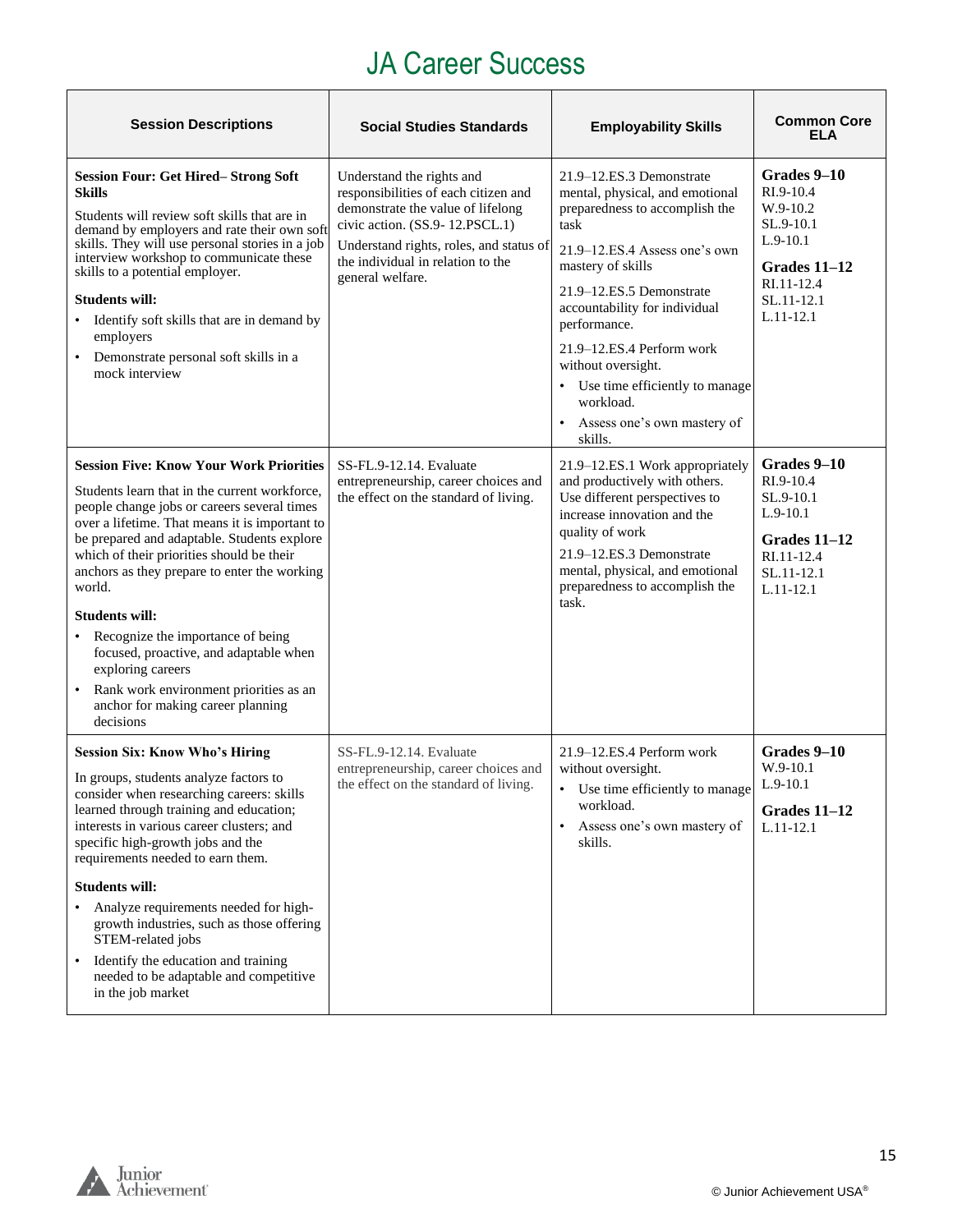#### JA Career Success

| <b>Session Descriptions</b>                                                                                                                                                                                                                                                                                                                                                                                                                                                                                                                                                     | <b>Social Studies Standards</b>                                                                                                                                                                                                              | <b>Employability Skills</b>                                                                                                                                                                                                                                                                                                                                                                   | <b>Common Core</b><br><b>ELA</b>                                                                                             |
|---------------------------------------------------------------------------------------------------------------------------------------------------------------------------------------------------------------------------------------------------------------------------------------------------------------------------------------------------------------------------------------------------------------------------------------------------------------------------------------------------------------------------------------------------------------------------------|----------------------------------------------------------------------------------------------------------------------------------------------------------------------------------------------------------------------------------------------|-----------------------------------------------------------------------------------------------------------------------------------------------------------------------------------------------------------------------------------------------------------------------------------------------------------------------------------------------------------------------------------------------|------------------------------------------------------------------------------------------------------------------------------|
| <b>Session Four: Get Hired-Strong Soft</b><br><b>Skills</b><br>Students will review soft skills that are in<br>demand by employers and rate their own soft<br>skills. They will use personal stories in a job<br>interview workshop to communicate these<br>skills to a potential employer.<br><b>Students will:</b><br>Identify soft skills that are in demand by<br>employers<br>Demonstrate personal soft skills in a<br>mock interview                                                                                                                                      | Understand the rights and<br>responsibilities of each citizen and<br>demonstrate the value of lifelong<br>civic action. (SS.9-12.PSCL.1)<br>Understand rights, roles, and status of<br>the individual in relation to the<br>general welfare. | 21.9–12.ES.3 Demonstrate<br>mental, physical, and emotional<br>preparedness to accomplish the<br>task<br>$21.9 - 12.ES.4$ Assess one's own<br>mastery of skills<br>21.9-12.ES.5 Demonstrate<br>accountability for individual<br>performance.<br>21.9-12.ES.4 Perform work<br>without oversight.<br>Use time efficiently to manage<br>٠<br>workload.<br>Assess one's own mastery of<br>skills. | Grades 9-10<br>RI.9-10.4<br>W.9-10.2<br>SL.9-10.1<br>$L.9-10.1$<br>Grades $11-12$<br>RI.11-12.4<br>SL.11-12.1<br>$L.11-12.1$ |
| <b>Session Five: Know Your Work Priorities</b><br>Students learn that in the current workforce,<br>people change jobs or careers several times<br>over a lifetime. That means it is important to<br>be prepared and adaptable. Students explore<br>which of their priorities should be their<br>anchors as they prepare to enter the working<br>world.<br><b>Students will:</b><br>Recognize the importance of being<br>focused, proactive, and adaptable when<br>exploring careers<br>Rank work environment priorities as an<br>anchor for making career planning<br>decisions | SS-FL.9-12.14. Evaluate<br>entrepreneurship, career choices and<br>the effect on the standard of living.                                                                                                                                     | 21.9-12.ES.1 Work appropriately<br>and productively with others.<br>Use different perspectives to<br>increase innovation and the<br>quality of work<br>21.9-12.ES.3 Demonstrate<br>mental, physical, and emotional<br>preparedness to accomplish the<br>task.                                                                                                                                 | Grades 9-10<br>RI.9-10.4<br>SL.9-10.1<br>$L.9-10.1$<br>Grades $11-12$<br>RI.11-12.4<br>SL.11-12.1<br>$L.11-12.1$             |
| <b>Session Six: Know Who's Hiring</b><br>In groups, students analyze factors to<br>consider when researching careers: skills<br>learned through training and education;<br>interests in various career clusters; and<br>specific high-growth jobs and the<br>requirements needed to earn them.<br><b>Students will:</b><br>Analyze requirements needed for high-<br>growth industries, such as those offering<br>STEM-related jobs<br>Identify the education and training<br>$\bullet$<br>needed to be adaptable and competitive<br>in the job market                           | SS-FL.9-12.14. Evaluate<br>entrepreneurship, career choices and<br>the effect on the standard of living.                                                                                                                                     | 21.9–12.ES.4 Perform work<br>without oversight.<br>• Use time efficiently to manage<br>workload.<br>Assess one's own mastery of<br>$\bullet$<br>skills.                                                                                                                                                                                                                                       | Grades 9-10<br>$W.9-10.1$<br>$L.9-10.1$<br>Grades 11-12<br>$L.11-12.1$                                                       |

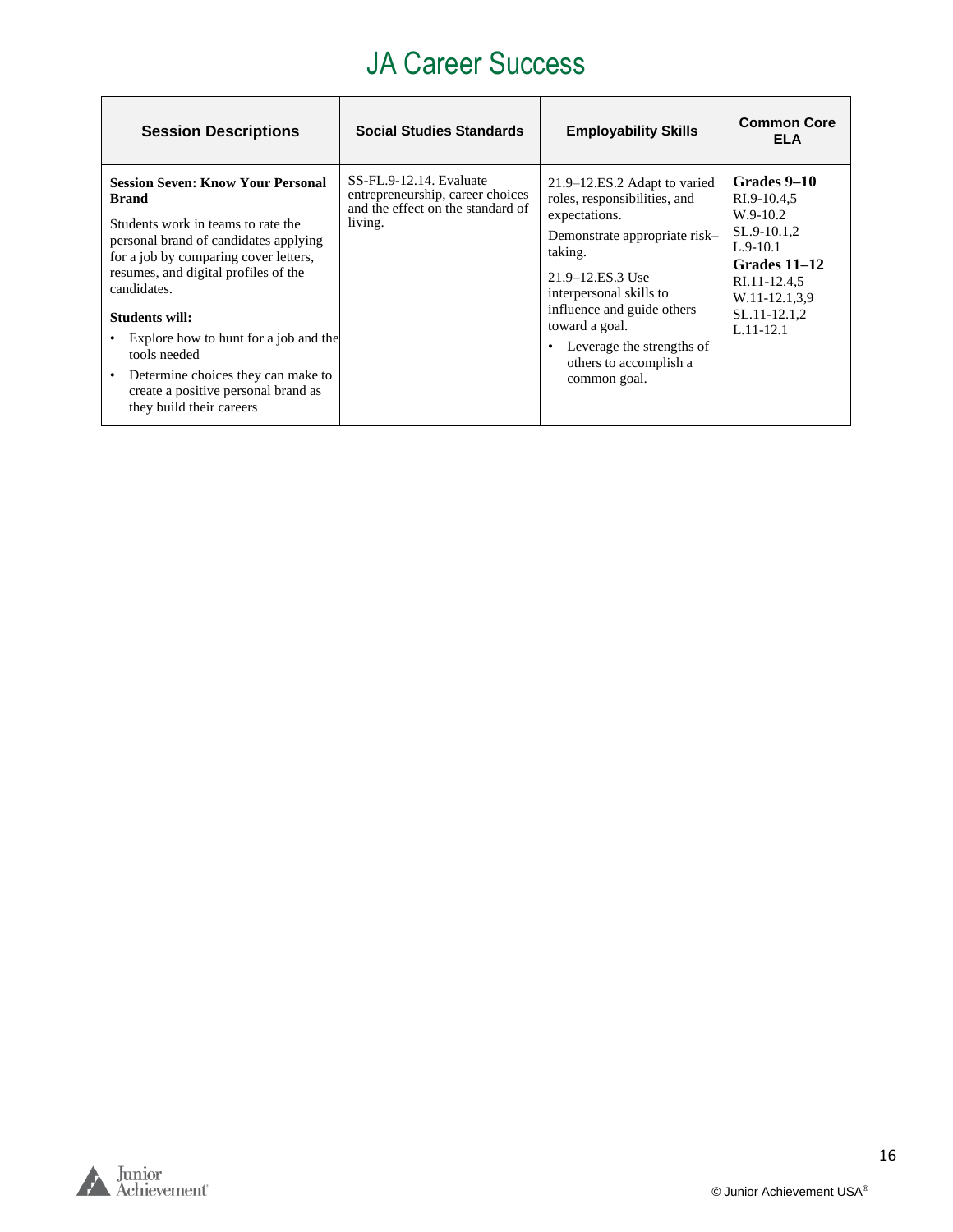#### JA Career Success

| <b>Session Descriptions</b>                                                                                                                                                                                                                                                                                                                                                                                                 | <b>Social Studies Standards</b>                                                                             | <b>Employability Skills</b>                                                                                                                                                                                                                                                                     | <b>Common Core</b><br><b>ELA</b>                                                                                                                      |
|-----------------------------------------------------------------------------------------------------------------------------------------------------------------------------------------------------------------------------------------------------------------------------------------------------------------------------------------------------------------------------------------------------------------------------|-------------------------------------------------------------------------------------------------------------|-------------------------------------------------------------------------------------------------------------------------------------------------------------------------------------------------------------------------------------------------------------------------------------------------|-------------------------------------------------------------------------------------------------------------------------------------------------------|
| <b>Session Seven: Know Your Personal</b><br><b>Brand</b><br>Students work in teams to rate the<br>personal brand of candidates applying<br>for a job by comparing cover letters,<br>resumes, and digital profiles of the<br>candidates.<br>Students will:<br>Explore how to hunt for a job and the<br>tools needed<br>Determine choices they can make to<br>create a positive personal brand as<br>they build their careers | SS-FL.9-12.14. Evaluate<br>entrepreneurship, career choices<br>and the effect on the standard of<br>living. | 21.9–12.ES.2 Adapt to varied<br>roles, responsibilities, and<br>expectations.<br>Demonstrate appropriate risk-<br>taking.<br>21.9–12.ES.3 Use<br>interpersonal skills to<br>influence and guide others<br>toward a goal.<br>Leverage the strengths of<br>others to accomplish a<br>common goal. | Grades 9–10<br>RI.9-10.4,5<br>$W.9-10.2$<br>SL.9-10.1,2<br>$L.9-10.1$<br>Grades 11–12<br>RI.11-12.4,5<br>W.11-12.1,3,9<br>SL.11-12.1,2<br>$L.11-12.1$ |

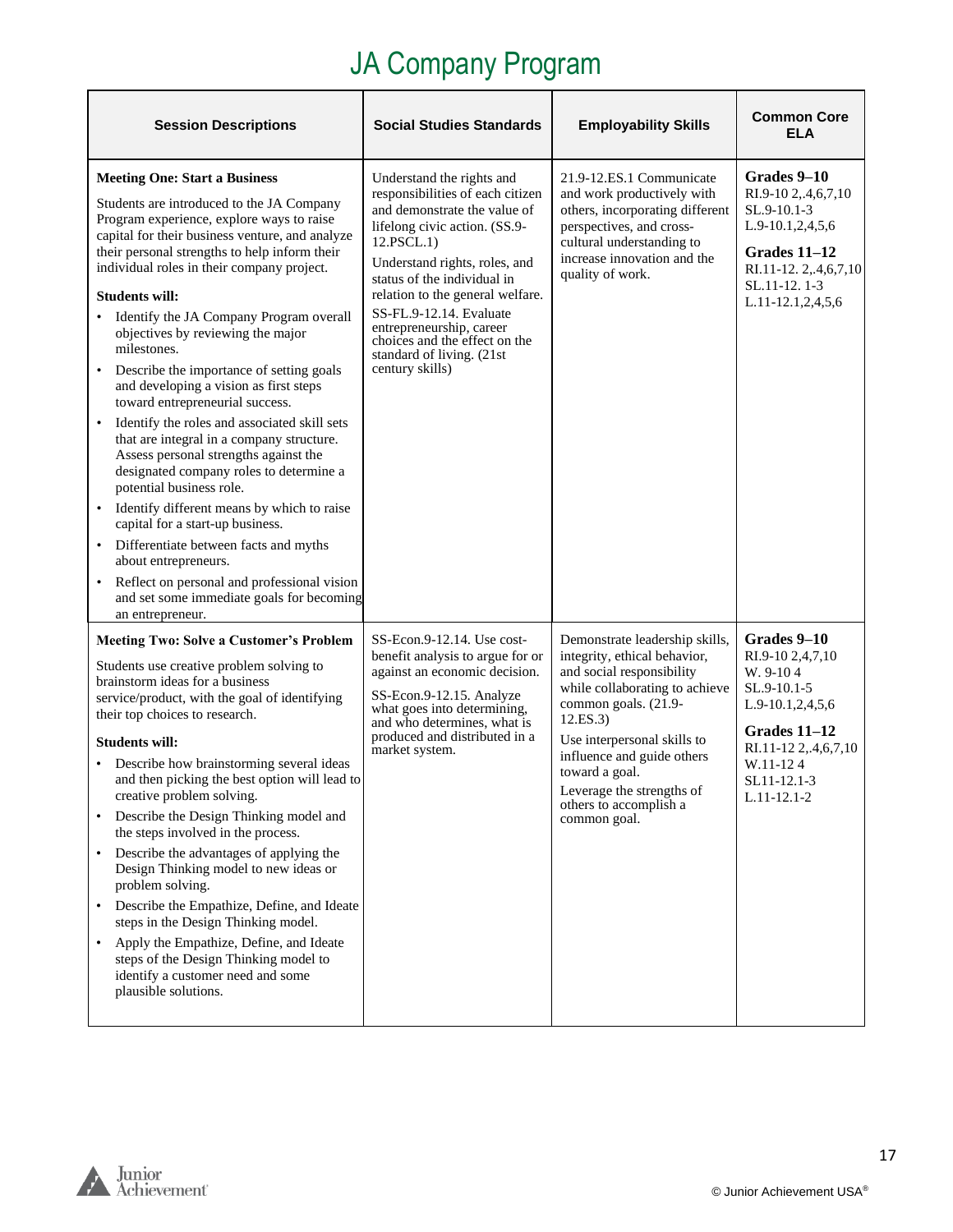<span id="page-16-0"></span>

| <b>Session Descriptions</b>                                                                                                                                                                                                                                                                                                                                                                                                                                                                                                                                                                                                                                                                                                                                                                                                                                                                                                                                                                                                                 | <b>Social Studies Standards</b>                                                                                                                                                                                                                                                                                                                                                          | <b>Employability Skills</b>                                                                                                                                                                                                                                                                                             | <b>Common Core</b><br>ELA                                                                                                                                        |
|---------------------------------------------------------------------------------------------------------------------------------------------------------------------------------------------------------------------------------------------------------------------------------------------------------------------------------------------------------------------------------------------------------------------------------------------------------------------------------------------------------------------------------------------------------------------------------------------------------------------------------------------------------------------------------------------------------------------------------------------------------------------------------------------------------------------------------------------------------------------------------------------------------------------------------------------------------------------------------------------------------------------------------------------|------------------------------------------------------------------------------------------------------------------------------------------------------------------------------------------------------------------------------------------------------------------------------------------------------------------------------------------------------------------------------------------|-------------------------------------------------------------------------------------------------------------------------------------------------------------------------------------------------------------------------------------------------------------------------------------------------------------------------|------------------------------------------------------------------------------------------------------------------------------------------------------------------|
| <b>Meeting One: Start a Business</b><br>Students are introduced to the JA Company<br>Program experience, explore ways to raise<br>capital for their business venture, and analyze<br>their personal strengths to help inform their<br>individual roles in their company project.<br><b>Students will:</b><br>Identify the JA Company Program overall<br>objectives by reviewing the major<br>milestones.<br>Describe the importance of setting goals<br>and developing a vision as first steps<br>toward entrepreneurial success.<br>Identify the roles and associated skill sets<br>$\bullet$<br>that are integral in a company structure.<br>Assess personal strengths against the<br>designated company roles to determine a<br>potential business role.<br>Identify different means by which to raise<br>capital for a start-up business.<br>Differentiate between facts and myths<br>$\bullet$<br>about entrepreneurs.<br>Reflect on personal and professional vision<br>and set some immediate goals for becoming<br>an entrepreneur. | Understand the rights and<br>responsibilities of each citizen<br>and demonstrate the value of<br>lifelong civic action. (SS.9-<br>12.PSCL.1)<br>Understand rights, roles, and<br>status of the individual in<br>relation to the general welfare.<br>SS-FL.9-12.14. Evaluate<br>entrepreneurship, career<br>choices and the effect on the<br>standard of living. (21st<br>century skills) | 21.9-12.ES.1 Communicate<br>and work productively with<br>others, incorporating different<br>perspectives, and cross-<br>cultural understanding to<br>increase innovation and the<br>quality of work.                                                                                                                   | Grades 9-10<br>RI.9-10 2,.4,6,7,10<br>SL.9-10.1-3<br>$L.9-10.1, 2, 4, 5, 6$<br>Grades 11-12<br>RI.11-12.2,.4,6,7,10<br>SL.11-12.1-3<br>L.11-12.1,2,4,5,6         |
| <b>Meeting Two: Solve a Customer's Problem</b><br>Students use creative problem solving to<br>brainstorm ideas for a business<br>service/product, with the goal of identifying<br>their top choices to research.<br><b>Students will:</b><br>Describe how brainstorming several ideas<br>and then picking the best option will lead to<br>creative problem solving.<br>Describe the Design Thinking model and<br>$\bullet$<br>the steps involved in the process.<br>Describe the advantages of applying the<br>$\bullet$<br>Design Thinking model to new ideas or<br>problem solving.<br>Describe the Empathize, Define, and Ideate<br>$\bullet$<br>steps in the Design Thinking model.<br>Apply the Empathize, Define, and Ideate<br>$\bullet$<br>steps of the Design Thinking model to<br>identify a customer need and some<br>plausible solutions.                                                                                                                                                                                       | SS-Econ.9-12.14. Use cost-<br>benefit analysis to argue for or<br>against an economic decision.<br>SS-Econ.9-12.15. Analyze<br>what goes into determining,<br>and who determines, what is<br>produced and distributed in a<br>market system.                                                                                                                                             | Demonstrate leadership skills,<br>integrity, ethical behavior,<br>and social responsibility<br>while collaborating to achieve<br>common goals. (21.9-<br>12.ES.3)<br>Use interpersonal skills to<br>influence and guide others<br>toward a goal.<br>Leverage the strengths of<br>others to accomplish a<br>common goal. | Grades 9-10<br>RI.9-10 2,4,7,10<br>W. 9-104<br>SL.9-10.1-5<br>L.9-10.1,2,4,5,6<br>Grades 11-12<br>RI.11-12 2,.4,6,7,10<br>W.11-124<br>SL11-12.1-3<br>L.11-12.1-2 |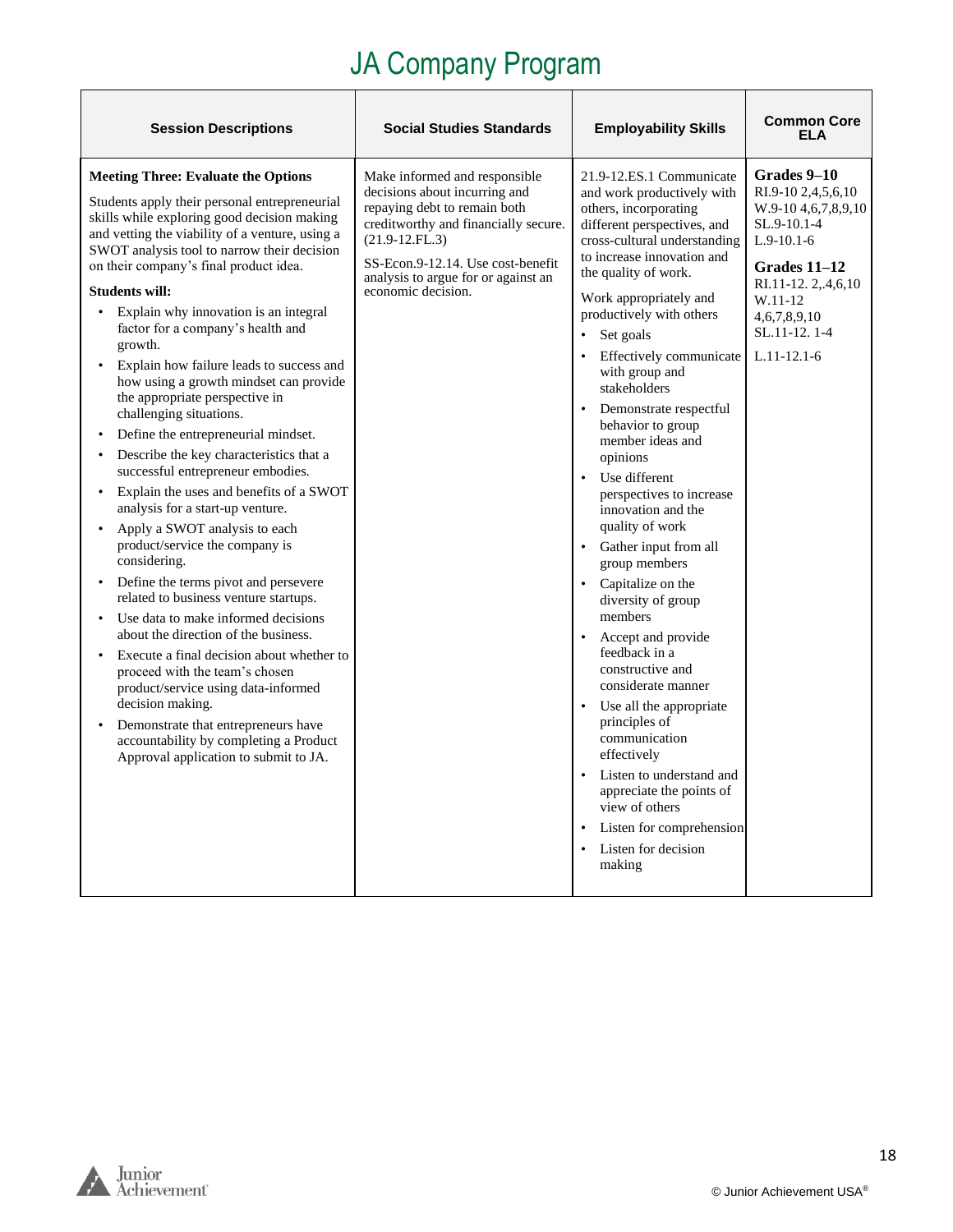| <b>Session Descriptions</b>                                                                                                                                                                                                                                                                                                                                                                                                                                                                                                                                                                                                                                                                                                                                                                                                                                                                                                                                                                                                                                                                                                                                                                                                                                                                                                                                                                      | <b>Social Studies Standards</b>                                                                                                                                                                                                                              | <b>Employability Skills</b>                                                                                                                                                                                                                                                                                                                                                                                                                                                                                                                                                                                                                                                                                                                                                                                                                                                                                                                                                      | <b>Common Core</b><br>FI A                                                                                                                                                                       |
|--------------------------------------------------------------------------------------------------------------------------------------------------------------------------------------------------------------------------------------------------------------------------------------------------------------------------------------------------------------------------------------------------------------------------------------------------------------------------------------------------------------------------------------------------------------------------------------------------------------------------------------------------------------------------------------------------------------------------------------------------------------------------------------------------------------------------------------------------------------------------------------------------------------------------------------------------------------------------------------------------------------------------------------------------------------------------------------------------------------------------------------------------------------------------------------------------------------------------------------------------------------------------------------------------------------------------------------------------------------------------------------------------|--------------------------------------------------------------------------------------------------------------------------------------------------------------------------------------------------------------------------------------------------------------|----------------------------------------------------------------------------------------------------------------------------------------------------------------------------------------------------------------------------------------------------------------------------------------------------------------------------------------------------------------------------------------------------------------------------------------------------------------------------------------------------------------------------------------------------------------------------------------------------------------------------------------------------------------------------------------------------------------------------------------------------------------------------------------------------------------------------------------------------------------------------------------------------------------------------------------------------------------------------------|--------------------------------------------------------------------------------------------------------------------------------------------------------------------------------------------------|
| <b>Meeting Three: Evaluate the Options</b><br>Students apply their personal entrepreneurial<br>skills while exploring good decision making<br>and vetting the viability of a venture, using a<br>SWOT analysis tool to narrow their decision<br>on their company's final product idea.<br><b>Students will:</b><br>Explain why innovation is an integral<br>$\bullet$<br>factor for a company's health and<br>growth.<br>Explain how failure leads to success and<br>$\bullet$<br>how using a growth mindset can provide<br>the appropriate perspective in<br>challenging situations.<br>Define the entrepreneurial mindset.<br>$\bullet$<br>Describe the key characteristics that a<br>successful entrepreneur embodies.<br>Explain the uses and benefits of a SWOT<br>$\bullet$<br>analysis for a start-up venture.<br>Apply a SWOT analysis to each<br>$\bullet$<br>product/service the company is<br>considering.<br>Define the terms pivot and persevere<br>$\bullet$<br>related to business venture startups.<br>Use data to make informed decisions<br>$\bullet$<br>about the direction of the business.<br>Execute a final decision about whether to<br>proceed with the team's chosen<br>product/service using data-informed<br>decision making.<br>Demonstrate that entrepreneurs have<br>$\bullet$<br>accountability by completing a Product<br>Approval application to submit to JA. | Make informed and responsible<br>decisions about incurring and<br>repaying debt to remain both<br>creditworthy and financially secure.<br>$(21.9-12.FL.3)$<br>SS-Econ.9-12.14. Use cost-benefit<br>analysis to argue for or against an<br>economic decision. | 21.9-12.ES.1 Communicate<br>and work productively with<br>others, incorporating<br>different perspectives, and<br>cross-cultural understanding<br>to increase innovation and<br>the quality of work.<br>Work appropriately and<br>productively with others<br>Set goals<br>Effectively communicate<br>with group and<br>stakeholders<br>Demonstrate respectful<br>behavior to group<br>member ideas and<br>opinions<br>$\bullet$<br>Use different<br>perspectives to increase<br>innovation and the<br>quality of work<br>Gather input from all<br>group members<br>• Capitalize on the<br>diversity of group<br>members<br>Accept and provide<br>$\bullet$<br>feedback in a<br>constructive and<br>considerate manner<br>Use all the appropriate<br>principles of<br>communication<br>effectively<br>Listen to understand and<br>$\bullet$<br>appreciate the points of<br>view of others<br>Listen for comprehension<br>$\bullet$<br>Listen for decision<br>$\bullet$<br>making | Grades 9-10<br>RI.9-10 2,4,5,6,10<br>W.9-10 4, 6, 7, 8, 9, 10<br>SL.9-10.1-4<br>$L.9-10.1-6$<br>Grades $11-12$<br>RI.11-12.2,.4,6,10<br>W.11-12<br>4,6,7,8,9,10<br>SL.11-12.1-4<br>$L.11-12.1-6$ |



 $\mathsf{r}$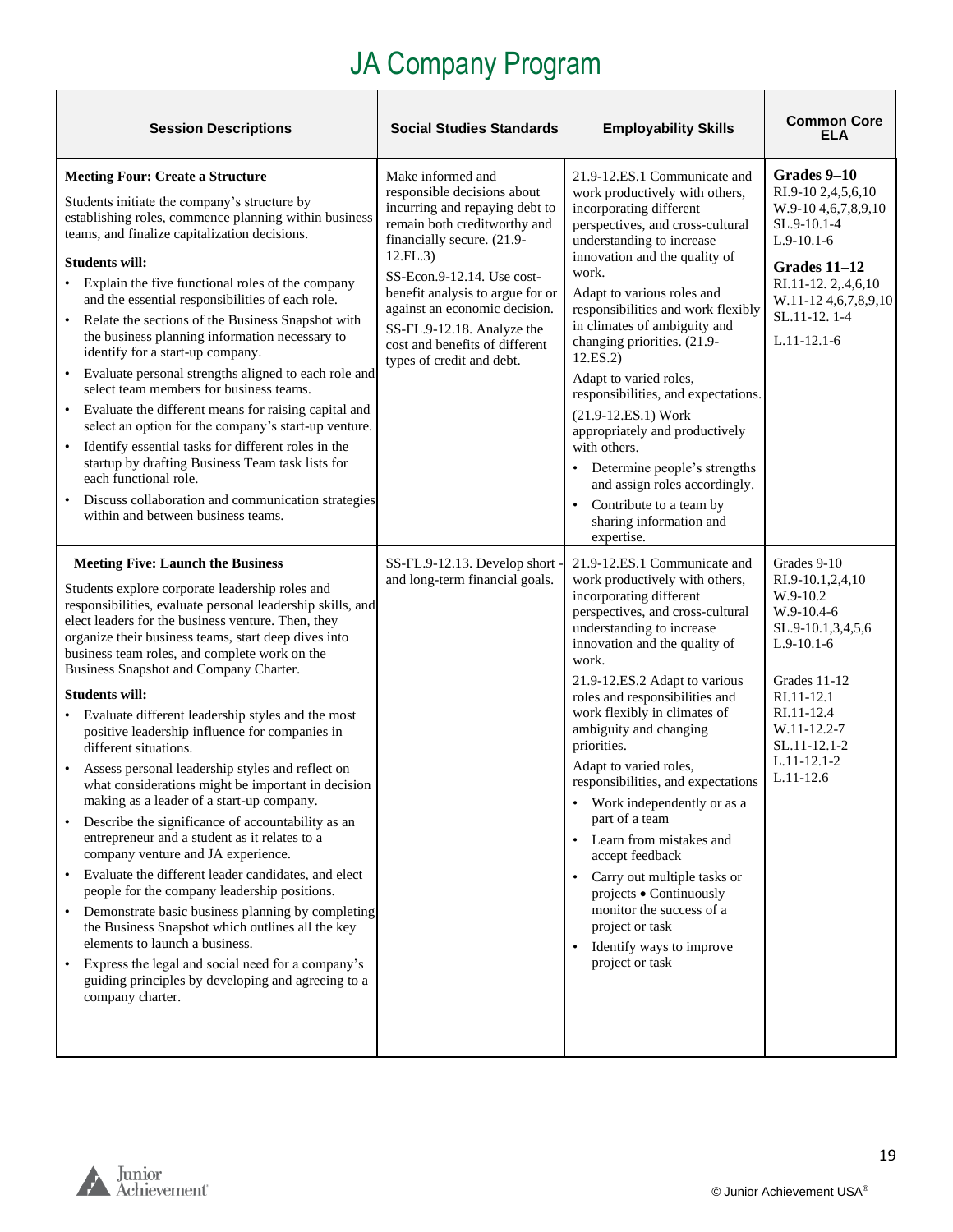| <b>Session Descriptions</b>                                                                                                                                                                                                                                                                                                                                                                                                                                                                                                                                                                                                                                                                                                                                                                                                                                                                                                                                                                                                                                                                                                                                                                                         | <b>Social Studies Standards</b>                                                                                                                                                                                                                                                                                                                              | <b>Employability Skills</b>                                                                                                                                                                                                                                                                                                                                                                                                                                                                                                                                                                                                                                                                      | <b>Common Core</b><br><b>ELA</b>                                                                                                                                                                          |
|---------------------------------------------------------------------------------------------------------------------------------------------------------------------------------------------------------------------------------------------------------------------------------------------------------------------------------------------------------------------------------------------------------------------------------------------------------------------------------------------------------------------------------------------------------------------------------------------------------------------------------------------------------------------------------------------------------------------------------------------------------------------------------------------------------------------------------------------------------------------------------------------------------------------------------------------------------------------------------------------------------------------------------------------------------------------------------------------------------------------------------------------------------------------------------------------------------------------|--------------------------------------------------------------------------------------------------------------------------------------------------------------------------------------------------------------------------------------------------------------------------------------------------------------------------------------------------------------|--------------------------------------------------------------------------------------------------------------------------------------------------------------------------------------------------------------------------------------------------------------------------------------------------------------------------------------------------------------------------------------------------------------------------------------------------------------------------------------------------------------------------------------------------------------------------------------------------------------------------------------------------------------------------------------------------|-----------------------------------------------------------------------------------------------------------------------------------------------------------------------------------------------------------|
| <b>Meeting Four: Create a Structure</b><br>Students initiate the company's structure by<br>establishing roles, commence planning within business<br>teams, and finalize capitalization decisions.<br><b>Students will:</b><br>• Explain the five functional roles of the company<br>and the essential responsibilities of each role.<br>Relate the sections of the Business Snapshot with<br>the business planning information necessary to<br>identify for a start-up company.<br>Evaluate personal strengths aligned to each role and<br>$\bullet$<br>select team members for business teams.<br>Evaluate the different means for raising capital and<br>$\bullet$<br>select an option for the company's start-up venture.<br>Identify essential tasks for different roles in the<br>$\bullet$<br>startup by drafting Business Team task lists for<br>each functional role.<br>Discuss collaboration and communication strategies<br>within and between business teams.                                                                                                                                                                                                                                           | Make informed and<br>responsible decisions about<br>incurring and repaying debt to<br>remain both creditworthy and<br>financially secure. (21.9-<br>12.FL.3)<br>SS-Econ.9-12.14. Use cost-<br>benefit analysis to argue for or<br>against an economic decision.<br>SS-FL.9-12.18. Analyze the<br>cost and benefits of different<br>types of credit and debt. | 21.9-12.ES.1 Communicate and<br>work productively with others,<br>incorporating different<br>perspectives, and cross-cultural<br>understanding to increase<br>innovation and the quality of<br>work.<br>Adapt to various roles and<br>responsibilities and work flexibly<br>in climates of ambiguity and<br>changing priorities. (21.9-<br>12.ES.2)<br>Adapt to varied roles,<br>responsibilities, and expectations.<br>(21.9-12.ES.1) Work<br>appropriately and productively<br>with others.<br>• Determine people's strengths<br>and assign roles accordingly.<br>Contribute to a team by<br>$\bullet$<br>sharing information and<br>expertise.                                                | Grades 9-10<br>RI.9-10 2,4,5,6,10<br>W.9-10 4, 6, 7, 8, 9, 10<br>SL.9-10.1-4<br>$L.9-10.1-6$<br>Grades 11-12<br>RI.11-12. 2,.4,6,10<br>W.11-12 4,6,7,8,9,10<br>SL.11-12.1-4<br>$L.11-12.1-6$              |
| <b>Meeting Five: Launch the Business</b><br>Students explore corporate leadership roles and<br>responsibilities, evaluate personal leadership skills, and<br>elect leaders for the business venture. Then, they<br>organize their business teams, start deep dives into<br>business team roles, and complete work on the<br>Business Snapshot and Company Charter.<br><b>Students will:</b><br>• Evaluate different leadership styles and the most<br>positive leadership influence for companies in<br>different situations.<br>Assess personal leadership styles and reflect on<br>what considerations might be important in decision<br>making as a leader of a start-up company.<br>Describe the significance of accountability as an<br>entrepreneur and a student as it relates to a<br>company venture and JA experience.<br>Evaluate the different leader candidates, and elect<br>people for the company leadership positions.<br>• Demonstrate basic business planning by completing<br>the Business Snapshot which outlines all the key<br>elements to launch a business.<br>Express the legal and social need for a company's<br>guiding principles by developing and agreeing to a<br>company charter. | SS-FL.9-12.13. Develop short -<br>and long-term financial goals.                                                                                                                                                                                                                                                                                             | 21.9-12.ES.1 Communicate and<br>work productively with others,<br>incorporating different<br>perspectives, and cross-cultural<br>understanding to increase<br>innovation and the quality of<br>work.<br>21.9-12.ES.2 Adapt to various<br>roles and responsibilities and<br>work flexibly in climates of<br>ambiguity and changing<br>priorities.<br>Adapt to varied roles,<br>responsibilities, and expectations<br>Work independently or as a<br>part of a team<br>Learn from mistakes and<br>$\bullet$<br>accept feedback<br>Carry out multiple tasks or<br>$\bullet$<br>projects . Continuously<br>monitor the success of a<br>project or task<br>Identify ways to improve<br>project or task | Grades 9-10<br>RI.9-10.1,2,4,10<br>W.9-10.2<br>W.9-10.4-6<br>SL.9-10.1,3,4,5,6<br>$L.9-10.1-6$<br>Grades 11-12<br>RI.11-12.1<br>RI.11-12.4<br>W.11-12.2-7<br>SL.11-12.1-2<br>$L.11-12.1-2$<br>$L.11-12.6$ |



Г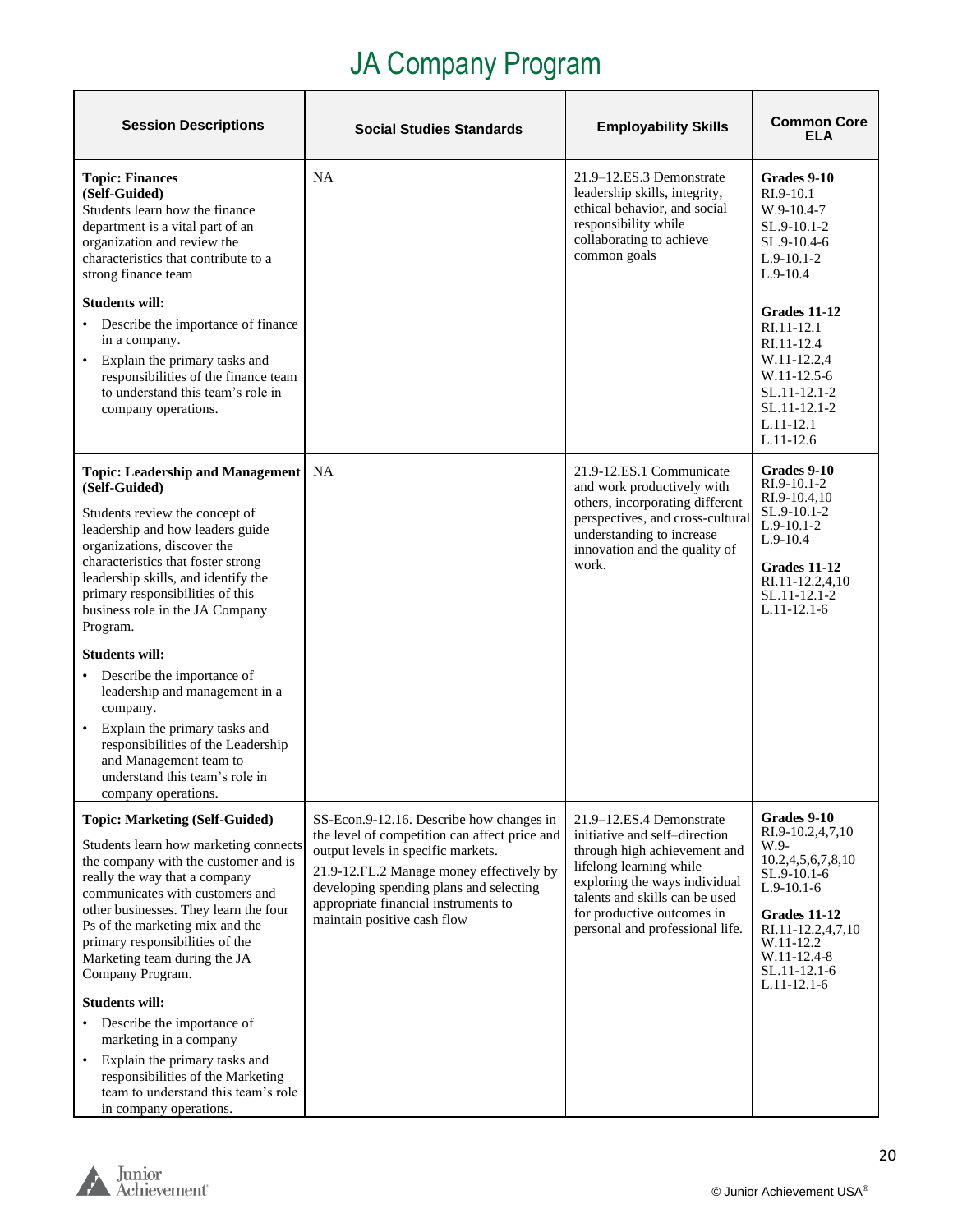| <b>Session Descriptions</b>                                                                                                                                                                                                                                                                                                   | <b>Social Studies Standards</b>                                                                                                                                                                                                                   | <b>Employability Skills</b>                                                                                                                                                                                                  | <b>Common Core</b><br><b>ELA</b>                                                                                                                                                      |
|-------------------------------------------------------------------------------------------------------------------------------------------------------------------------------------------------------------------------------------------------------------------------------------------------------------------------------|---------------------------------------------------------------------------------------------------------------------------------------------------------------------------------------------------------------------------------------------------|------------------------------------------------------------------------------------------------------------------------------------------------------------------------------------------------------------------------------|---------------------------------------------------------------------------------------------------------------------------------------------------------------------------------------|
| <b>Topic: Finances</b><br>(Self-Guided)<br>Students learn how the finance<br>department is a vital part of an<br>organization and review the<br>characteristics that contribute to a<br>strong finance team                                                                                                                   | NA                                                                                                                                                                                                                                                | 21.9-12.ES.3 Demonstrate<br>leadership skills, integrity,<br>ethical behavior, and social<br>responsibility while<br>collaborating to achieve<br>common goals                                                                | Grades 9-10<br>RI.9-10.1<br>W.9-10.4-7<br>SL.9-10.1-2<br>SL.9-10.4-6<br>$L.9-10.1-2$<br>$L.9-10.4$                                                                                    |
| <b>Students will:</b><br>Describe the importance of finance<br>in a company.<br>Explain the primary tasks and<br>$\bullet$<br>responsibilities of the finance team<br>to understand this team's role in<br>company operations.                                                                                                |                                                                                                                                                                                                                                                   |                                                                                                                                                                                                                              | <b>Grades 11-12</b><br>RI.11-12.1<br>RI.11-12.4<br>W.11-12.2,4<br>W.11-12.5-6<br>SL.11-12.1-2<br>SL.11-12.1-2<br>$L.11-12.1$<br>$L.11-12.6$                                           |
| <b>Topic: Leadership and Management</b><br>(Self-Guided)<br>Students review the concept of<br>leadership and how leaders guide<br>organizations, discover the<br>characteristics that foster strong<br>leadership skills, and identify the<br>primary responsibilities of this<br>business role in the JA Company<br>Program. | <b>NA</b>                                                                                                                                                                                                                                         | 21.9-12.ES.1 Communicate<br>and work productively with<br>others, incorporating different<br>perspectives, and cross-cultural<br>understanding to increase<br>innovation and the quality of<br>work.                         | Grades 9-10<br>RI.9-10.1-2<br>RI.9-10.4,10<br>SL.9-10.1-2<br>$L.9-10.1-2$<br>$L.9-10.4$<br>Grades 11-12<br>RI.11-12.2,4,10<br>SL.11-12.1-2<br>$L.11-12.1-6$                           |
| <b>Students will:</b>                                                                                                                                                                                                                                                                                                         |                                                                                                                                                                                                                                                   |                                                                                                                                                                                                                              |                                                                                                                                                                                       |
| Describe the importance of<br>leadership and management in a<br>company.                                                                                                                                                                                                                                                      |                                                                                                                                                                                                                                                   |                                                                                                                                                                                                                              |                                                                                                                                                                                       |
| Explain the primary tasks and<br>responsibilities of the Leadership<br>and Management team to<br>understand this team's role in<br>company operations.                                                                                                                                                                        |                                                                                                                                                                                                                                                   |                                                                                                                                                                                                                              |                                                                                                                                                                                       |
| <b>Topic: Marketing (Self-Guided)</b>                                                                                                                                                                                                                                                                                         | SS-Econ.9-12.16. Describe how changes in                                                                                                                                                                                                          | 21.9-12.ES.4 Demonstrate                                                                                                                                                                                                     | Grades 9-10                                                                                                                                                                           |
| Students learn how marketing connects<br>the company with the customer and is<br>really the way that a company<br>communicates with customers and<br>other businesses. They learn the four<br>Ps of the marketing mix and the<br>primary responsibilities of the<br>Marketing team during the JA<br>Company Program.          | the level of competition can affect price and<br>output levels in specific markets.<br>21.9-12.FL.2 Manage money effectively by<br>developing spending plans and selecting<br>appropriate financial instruments to<br>maintain positive cash flow | initiative and self-direction<br>through high achievement and<br>lifelong learning while<br>exploring the ways individual<br>talents and skills can be used<br>for productive outcomes in<br>personal and professional life. | RI.9-10.2,4,7,10<br>W.9-<br>10.2,4,5,6,7,8,10<br>SL.9-10.1-6<br>$L.9-10.1-6$<br><b>Grades 11-12</b><br>RI.11-12.2,4,7,10<br>W.11-12.2<br>W.11-12.4-8<br>SL.11-12.1-6<br>$L.11-12.1-6$ |
| <b>Students will:</b>                                                                                                                                                                                                                                                                                                         |                                                                                                                                                                                                                                                   |                                                                                                                                                                                                                              |                                                                                                                                                                                       |
| Describe the importance of<br>marketing in a company                                                                                                                                                                                                                                                                          |                                                                                                                                                                                                                                                   |                                                                                                                                                                                                                              |                                                                                                                                                                                       |
| Explain the primary tasks and<br>$\bullet$<br>responsibilities of the Marketing<br>team to understand this team's role<br>in company operations.                                                                                                                                                                              |                                                                                                                                                                                                                                                   |                                                                                                                                                                                                                              |                                                                                                                                                                                       |

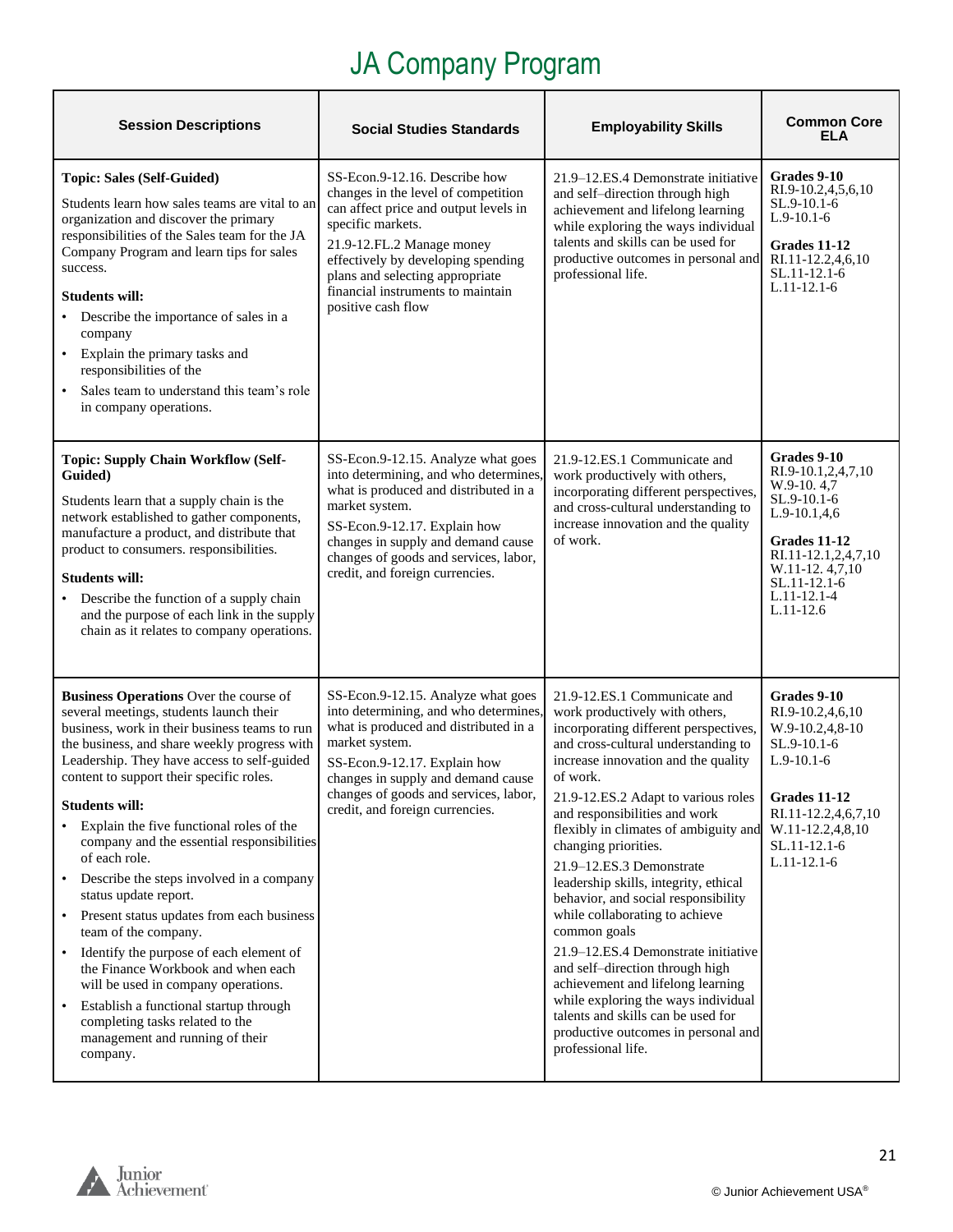| <b>Session Descriptions</b>                                                                                                                                                                                                                                                                                                                                                                                                                                                                                                                                                                                                                                                                                                                                                                                                                            | <b>Social Studies Standards</b>                                                                                                                                                                                                                                                                     | <b>Employability Skills</b>                                                                                                                                                                                                                                                                                                                                                                                                                                                                                                                                                                                                                                                                                                                                       | <b>Common Core</b><br>ELA                                                                                                                                                               |
|--------------------------------------------------------------------------------------------------------------------------------------------------------------------------------------------------------------------------------------------------------------------------------------------------------------------------------------------------------------------------------------------------------------------------------------------------------------------------------------------------------------------------------------------------------------------------------------------------------------------------------------------------------------------------------------------------------------------------------------------------------------------------------------------------------------------------------------------------------|-----------------------------------------------------------------------------------------------------------------------------------------------------------------------------------------------------------------------------------------------------------------------------------------------------|-------------------------------------------------------------------------------------------------------------------------------------------------------------------------------------------------------------------------------------------------------------------------------------------------------------------------------------------------------------------------------------------------------------------------------------------------------------------------------------------------------------------------------------------------------------------------------------------------------------------------------------------------------------------------------------------------------------------------------------------------------------------|-----------------------------------------------------------------------------------------------------------------------------------------------------------------------------------------|
| <b>Topic: Sales (Self-Guided)</b><br>Students learn how sales teams are vital to an<br>organization and discover the primary<br>responsibilities of the Sales team for the JA<br>Company Program and learn tips for sales<br>success.<br><b>Students will:</b><br>Describe the importance of sales in a<br>$\bullet$<br>company<br>Explain the primary tasks and<br>$\bullet$<br>responsibilities of the<br>Sales team to understand this team's role<br>$\bullet$<br>in company operations.                                                                                                                                                                                                                                                                                                                                                           | SS-Econ.9-12.16. Describe how<br>changes in the level of competition<br>can affect price and output levels in<br>specific markets.<br>21.9-12.FL.2 Manage money<br>effectively by developing spending<br>plans and selecting appropriate<br>financial instruments to maintain<br>positive cash flow | 21.9–12.ES.4 Demonstrate initiative<br>and self-direction through high<br>achievement and lifelong learning<br>while exploring the ways individual<br>talents and skills can be used for<br>productive outcomes in personal and<br>professional life.                                                                                                                                                                                                                                                                                                                                                                                                                                                                                                             | Grades 9-10<br>RI.9-10.2,4,5,6,10<br>SL.9-10.1-6<br>$L.9-10.1-6$<br>Grades 11-12<br>RI.11-12.2,4,6,10<br>SL.11-12.1-6<br>$L.11-12.1-6$                                                  |
| <b>Topic: Supply Chain Workflow (Self-</b><br>Guided)<br>Students learn that a supply chain is the<br>network established to gather components,<br>manufacture a product, and distribute that<br>product to consumers. responsibilities.<br><b>Students will:</b><br>Describe the function of a supply chain<br>and the purpose of each link in the supply<br>chain as it relates to company operations.                                                                                                                                                                                                                                                                                                                                                                                                                                               | SS-Econ.9-12.15. Analyze what goes<br>into determining, and who determines<br>what is produced and distributed in a<br>market system.<br>SS-Econ.9-12.17. Explain how<br>changes in supply and demand cause<br>changes of goods and services, labor,<br>credit, and foreign currencies.             | 21.9-12.ES.1 Communicate and<br>work productively with others,<br>incorporating different perspectives,<br>and cross-cultural understanding to<br>increase innovation and the quality<br>of work.                                                                                                                                                                                                                                                                                                                                                                                                                                                                                                                                                                 | Grades 9-10<br>RI.9-10.1,2,4,7,10<br>W.9-10.4,7<br>SL.9-10.1-6<br>$L.9-10.1,4,6$<br>Grades 11-12<br>RI.11-12.1,2,4,7,10<br>W.11-12.4,7,10<br>SL.11-12.1-6<br>L.11-12.1-4<br>$L.11-12.6$ |
| Business Operations Over the course of<br>several meetings, students launch their<br>business, work in their business teams to run<br>the business, and share weekly progress with<br>Leadership. They have access to self-guided<br>content to support their specific roles.<br><b>Students will:</b><br>Explain the five functional roles of the<br>company and the essential responsibilities<br>of each role.<br>Describe the steps involved in a company<br>status update report.<br>Present status updates from each business<br>$\bullet$<br>team of the company.<br>Identify the purpose of each element of<br>$\bullet$<br>the Finance Workbook and when each<br>will be used in company operations.<br>Establish a functional startup through<br>$\bullet$<br>completing tasks related to the<br>management and running of their<br>company. | SS-Econ.9-12.15. Analyze what goes<br>into determining, and who determines<br>what is produced and distributed in a<br>market system.<br>SS-Econ.9-12.17. Explain how<br>changes in supply and demand cause<br>changes of goods and services, labor,<br>credit, and foreign currencies.             | 21.9-12.ES.1 Communicate and<br>work productively with others,<br>incorporating different perspectives,<br>and cross-cultural understanding to<br>increase innovation and the quality<br>of work.<br>21.9-12.ES.2 Adapt to various roles<br>and responsibilities and work<br>flexibly in climates of ambiguity and<br>changing priorities.<br>21.9-12.ES.3 Demonstrate<br>leadership skills, integrity, ethical<br>behavior, and social responsibility<br>while collaborating to achieve<br>common goals<br>21.9–12.ES.4 Demonstrate initiative<br>and self-direction through high<br>achievement and lifelong learning<br>while exploring the ways individual<br>talents and skills can be used for<br>productive outcomes in personal and<br>professional life. | Grades 9-10<br>RI.9-10.2,4,6,10<br>W.9-10.2,4,8-10<br>SL.9-10.1-6<br>$L.9-10.1-6$<br><b>Grades 11-12</b><br>RI.11-12.2,4,6,7,10<br>W.11-12.2,4,8,10<br>SL.11-12.1-6<br>$L.11-12.1-6$    |

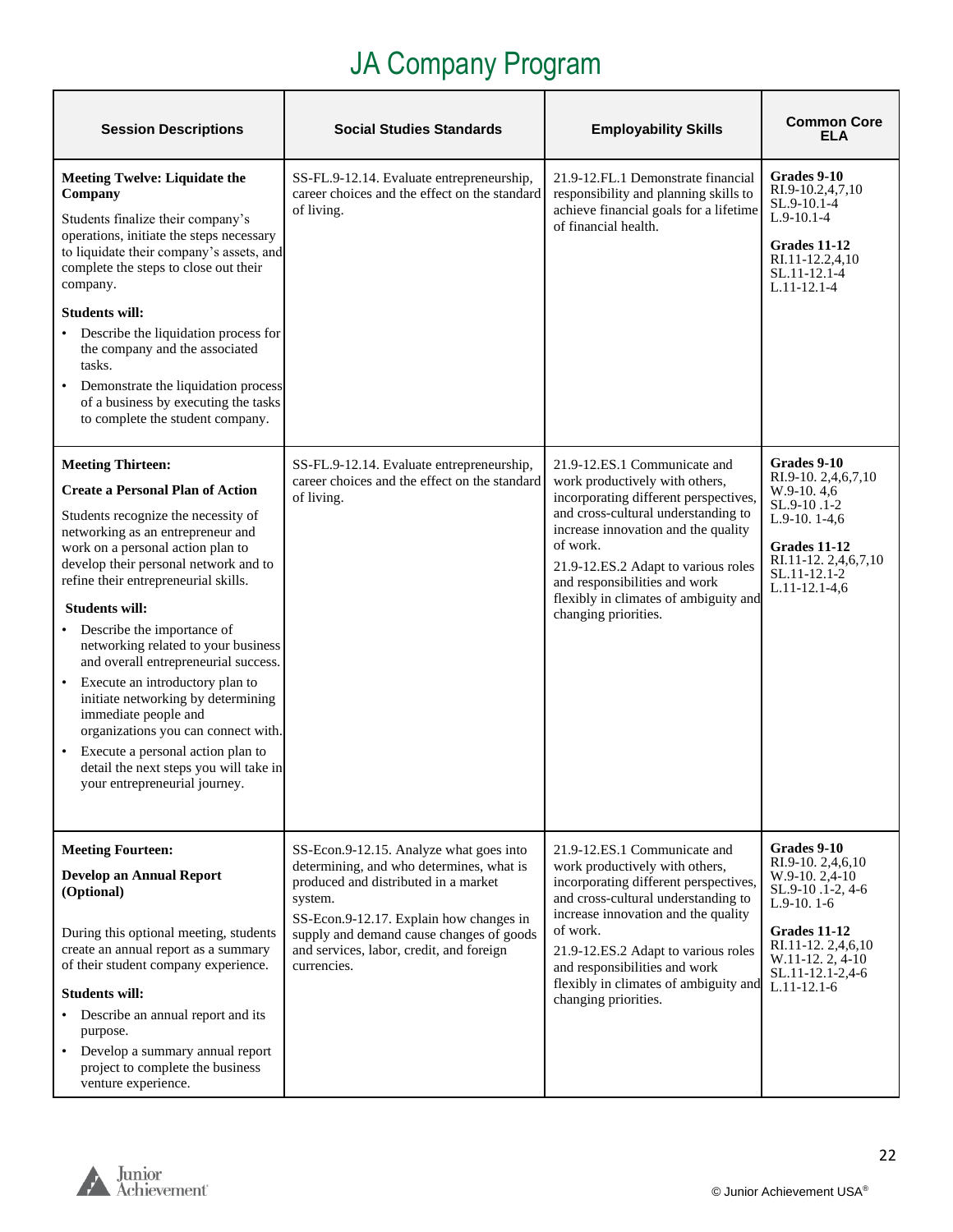| <b>Session Descriptions</b>                                                                                                                                                                                                                                                                                                                                                                                                                                                                                                                                                                                                                                         | <b>Social Studies Standards</b>                                                                                                                                                                                                                                                          | <b>Employability Skills</b>                                                                                                                                                                                                                                                                                                                | <b>Common Core</b><br>ELA                                                                                                                                                              |
|---------------------------------------------------------------------------------------------------------------------------------------------------------------------------------------------------------------------------------------------------------------------------------------------------------------------------------------------------------------------------------------------------------------------------------------------------------------------------------------------------------------------------------------------------------------------------------------------------------------------------------------------------------------------|------------------------------------------------------------------------------------------------------------------------------------------------------------------------------------------------------------------------------------------------------------------------------------------|--------------------------------------------------------------------------------------------------------------------------------------------------------------------------------------------------------------------------------------------------------------------------------------------------------------------------------------------|----------------------------------------------------------------------------------------------------------------------------------------------------------------------------------------|
| <b>Meeting Twelve: Liquidate the</b><br>Company<br>Students finalize their company's<br>operations, initiate the steps necessary<br>to liquidate their company's assets, and<br>complete the steps to close out their<br>company.<br><b>Students will:</b><br>Describe the liquidation process for<br>the company and the associated<br>tasks.<br>Demonstrate the liquidation process<br>of a business by executing the tasks<br>to complete the student company.                                                                                                                                                                                                   | SS-FL.9-12.14. Evaluate entrepreneurship,<br>career choices and the effect on the standard<br>of living.                                                                                                                                                                                 | 21.9-12.FL.1 Demonstrate financial<br>responsibility and planning skills to<br>achieve financial goals for a lifetime<br>of financial health.                                                                                                                                                                                              | Grades 9-10<br>RI.9-10.2,4,7,10<br>SL.9-10.1-4<br>$L.9-10.1-4$<br>Grades 11-12<br>RI.11-12.2,4,10<br>SL.11-12.1-4<br>$L.11 - 12.1 - 4$                                                 |
| <b>Meeting Thirteen:</b><br><b>Create a Personal Plan of Action</b><br>Students recognize the necessity of<br>networking as an entrepreneur and<br>work on a personal action plan to<br>develop their personal network and to<br>refine their entrepreneurial skills.<br><b>Students will:</b><br>Describe the importance of<br>networking related to your business<br>and overall entrepreneurial success.<br>Execute an introductory plan to<br>initiate networking by determining<br>immediate people and<br>organizations you can connect with.<br>Execute a personal action plan to<br>detail the next steps you will take in<br>your entrepreneurial journey. | SS-FL.9-12.14. Evaluate entrepreneurship,<br>career choices and the effect on the standard<br>of living.                                                                                                                                                                                 | 21.9-12.ES.1 Communicate and<br>work productively with others,<br>incorporating different perspectives,<br>and cross-cultural understanding to<br>increase innovation and the quality<br>of work.<br>21.9-12.ES.2 Adapt to various roles<br>and responsibilities and work<br>flexibly in climates of ambiguity and<br>changing priorities. | Grades 9-10<br>RI.9-10. 2,4,6,7,10<br>W.9-10.4,6<br>SL.9-10.1-2<br>L.9-10. 1-4,6<br>Grades 11-12<br>RI.11-12. 2,4,6,7,10<br>SL.11-12.1-2<br>$L.11-12.1-4,6$                            |
| <b>Meeting Fourteen:</b><br><b>Develop an Annual Report</b><br>(Optional)<br>During this optional meeting, students<br>create an annual report as a summary<br>of their student company experience.<br><b>Students will:</b><br>Describe an annual report and its<br>purpose.<br>Develop a summary annual report<br>$\bullet$<br>project to complete the business<br>venture experience.                                                                                                                                                                                                                                                                            | SS-Econ.9-12.15. Analyze what goes into<br>determining, and who determines, what is<br>produced and distributed in a market<br>system.<br>SS-Econ.9-12.17. Explain how changes in<br>supply and demand cause changes of goods<br>and services, labor, credit, and foreign<br>currencies. | 21.9-12.ES.1 Communicate and<br>work productively with others,<br>incorporating different perspectives,<br>and cross-cultural understanding to<br>increase innovation and the quality<br>of work.<br>21.9-12.ES.2 Adapt to various roles<br>and responsibilities and work<br>flexibly in climates of ambiguity and<br>changing priorities. | Grades 9-10<br>RI.9-10. 2,4,6,10<br>$W.9-10.2,4-10$<br>SL.9-10.1-2, 4-6<br>$L.9-10.1-6$<br>Grades 11-12<br>RI.11-12. 2,4,6,10<br>W.11-12. 2, 4-10<br>SL.11-12.1-2,4-6<br>$L.11-12.1-6$ |

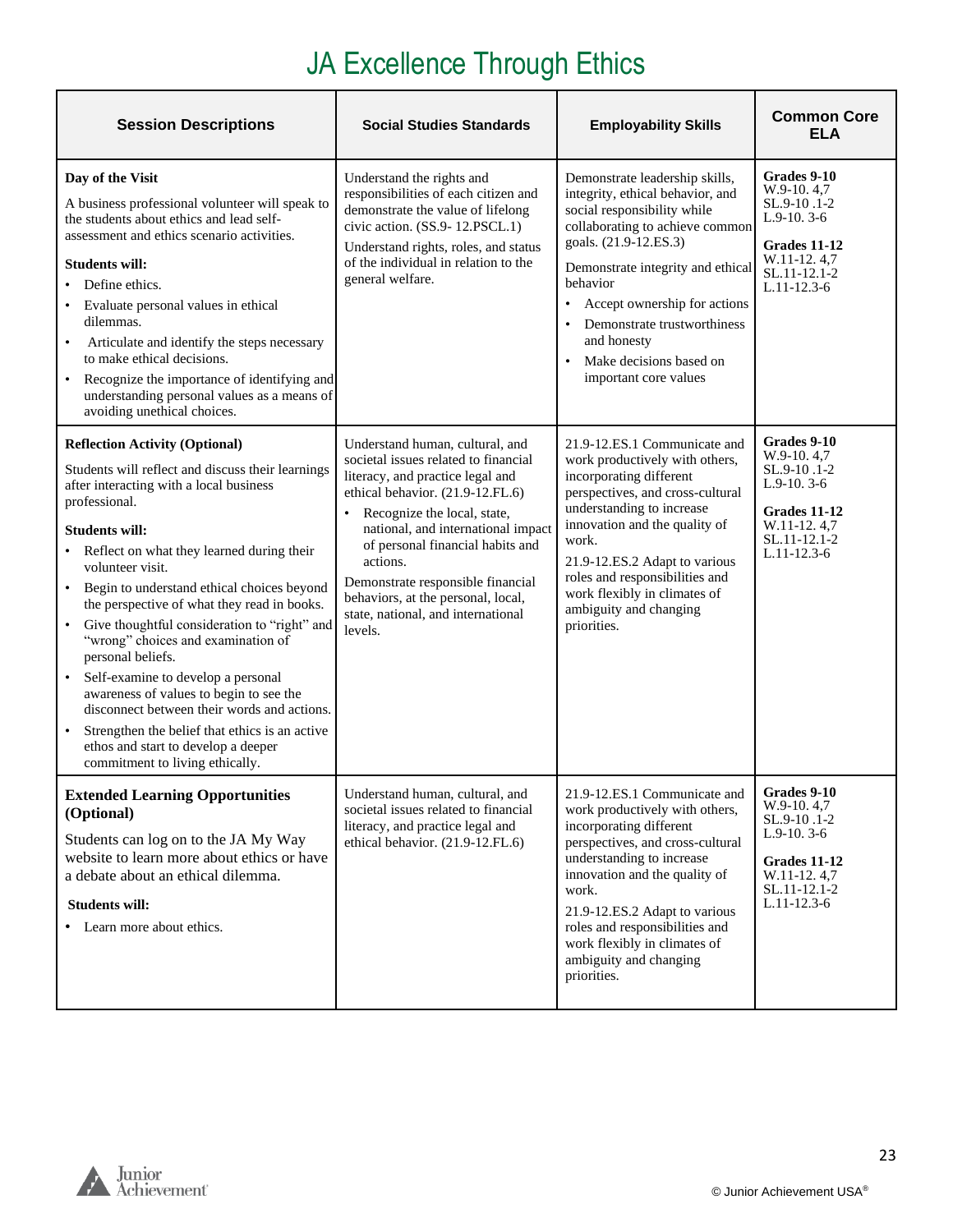## JA Excellence Through Ethics

| <b>Session Descriptions</b>                                                                                                                                                                                                                                                                                                                                                                                                                                                                                                                                                                                                                                                                                                           | <b>Social Studies Standards</b>                                                                                                                                                                                                                                                                                                                                                                               | <b>Employability Skills</b>                                                                                                                                                                                                                                                                                                                                                             | <b>Common Core</b><br><b>ELA</b>                                                                                               |
|---------------------------------------------------------------------------------------------------------------------------------------------------------------------------------------------------------------------------------------------------------------------------------------------------------------------------------------------------------------------------------------------------------------------------------------------------------------------------------------------------------------------------------------------------------------------------------------------------------------------------------------------------------------------------------------------------------------------------------------|---------------------------------------------------------------------------------------------------------------------------------------------------------------------------------------------------------------------------------------------------------------------------------------------------------------------------------------------------------------------------------------------------------------|-----------------------------------------------------------------------------------------------------------------------------------------------------------------------------------------------------------------------------------------------------------------------------------------------------------------------------------------------------------------------------------------|--------------------------------------------------------------------------------------------------------------------------------|
| Day of the Visit<br>A business professional volunteer will speak to<br>the students about ethics and lead self-<br>assessment and ethics scenario activities.<br><b>Students will:</b><br>Define ethics.<br>Evaluate personal values in ethical<br>dilemmas.<br>Articulate and identify the steps necessary<br>$\bullet$<br>to make ethical decisions.<br>Recognize the importance of identifying and<br>understanding personal values as a means of<br>avoiding unethical choices.                                                                                                                                                                                                                                                   | Understand the rights and<br>responsibilities of each citizen and<br>demonstrate the value of lifelong<br>civic action. (SS.9-12.PSCL.1)<br>Understand rights, roles, and status<br>of the individual in relation to the<br>general welfare.                                                                                                                                                                  | Demonstrate leadership skills,<br>integrity, ethical behavior, and<br>social responsibility while<br>collaborating to achieve common<br>goals. (21.9-12.ES.3)<br>Demonstrate integrity and ethical<br>behavior<br>Accept ownership for actions<br>$\bullet$<br>Demonstrate trustworthiness<br>$\bullet$<br>and honesty<br>Make decisions based on<br>$\bullet$<br>important core values | Grades 9-10<br>W.9-10.4,7<br>SL.9-10.1-2<br>$L.9-10.3-6$<br>Grades 11-12<br>W.11-12.4,7<br>SL.11-12.1-2<br>$L.11 - 12.3 - 6$   |
| <b>Reflection Activity (Optional)</b><br>Students will reflect and discuss their learnings<br>after interacting with a local business<br>professional.<br><b>Students will:</b><br>• Reflect on what they learned during their<br>volunteer visit.<br>• Begin to understand ethical choices beyond<br>the perspective of what they read in books.<br>Give thoughtful consideration to "right" and<br>$\bullet$<br>"wrong" choices and examination of<br>personal beliefs.<br>Self-examine to develop a personal<br>awareness of values to begin to see the<br>disconnect between their words and actions.<br>Strengthen the belief that ethics is an active<br>ethos and start to develop a deeper<br>commitment to living ethically. | Understand human, cultural, and<br>societal issues related to financial<br>literacy, and practice legal and<br>ethical behavior. (21.9-12.FL.6)<br>Recognize the local, state,<br>$\bullet$<br>national, and international impact<br>of personal financial habits and<br>actions.<br>Demonstrate responsible financial<br>behaviors, at the personal, local,<br>state, national, and international<br>levels. | 21.9-12.ES.1 Communicate and<br>work productively with others,<br>incorporating different<br>perspectives, and cross-cultural<br>understanding to increase<br>innovation and the quality of<br>work.<br>21.9-12.ES.2 Adapt to various<br>roles and responsibilities and<br>work flexibly in climates of<br>ambiguity and changing<br>priorities.                                        | Grades 9-10<br>$W.9-10.4,7$<br>SL.9-10.1-2<br>$L.9-10.3-6$<br>Grades 11-12<br>W.11-12.4,7<br>SL.11-12.1-2<br>$L.11 - 12.3 - 6$ |
| <b>Extended Learning Opportunities</b><br>(Optional)<br>Students can log on to the JA My Way<br>website to learn more about ethics or have<br>a debate about an ethical dilemma.<br><b>Students will:</b><br>• Learn more about ethics.                                                                                                                                                                                                                                                                                                                                                                                                                                                                                               | Understand human, cultural, and<br>societal issues related to financial<br>literacy, and practice legal and<br>ethical behavior. (21.9-12.FL.6)                                                                                                                                                                                                                                                               | 21.9-12.ES.1 Communicate and<br>work productively with others,<br>incorporating different<br>perspectives, and cross-cultural<br>understanding to increase<br>innovation and the quality of<br>work.<br>21.9-12.ES.2 Adapt to various<br>roles and responsibilities and<br>work flexibly in climates of<br>ambiguity and changing<br>priorities.                                        | Grades 9-10<br>W.9-10.4,7<br>SL.9-10.1-2<br>$L.9-10.3-6$<br>Grades 11-12<br>W.11-12.4,7<br>SL.11-12.1-2<br>$L.11-12.3-6$       |

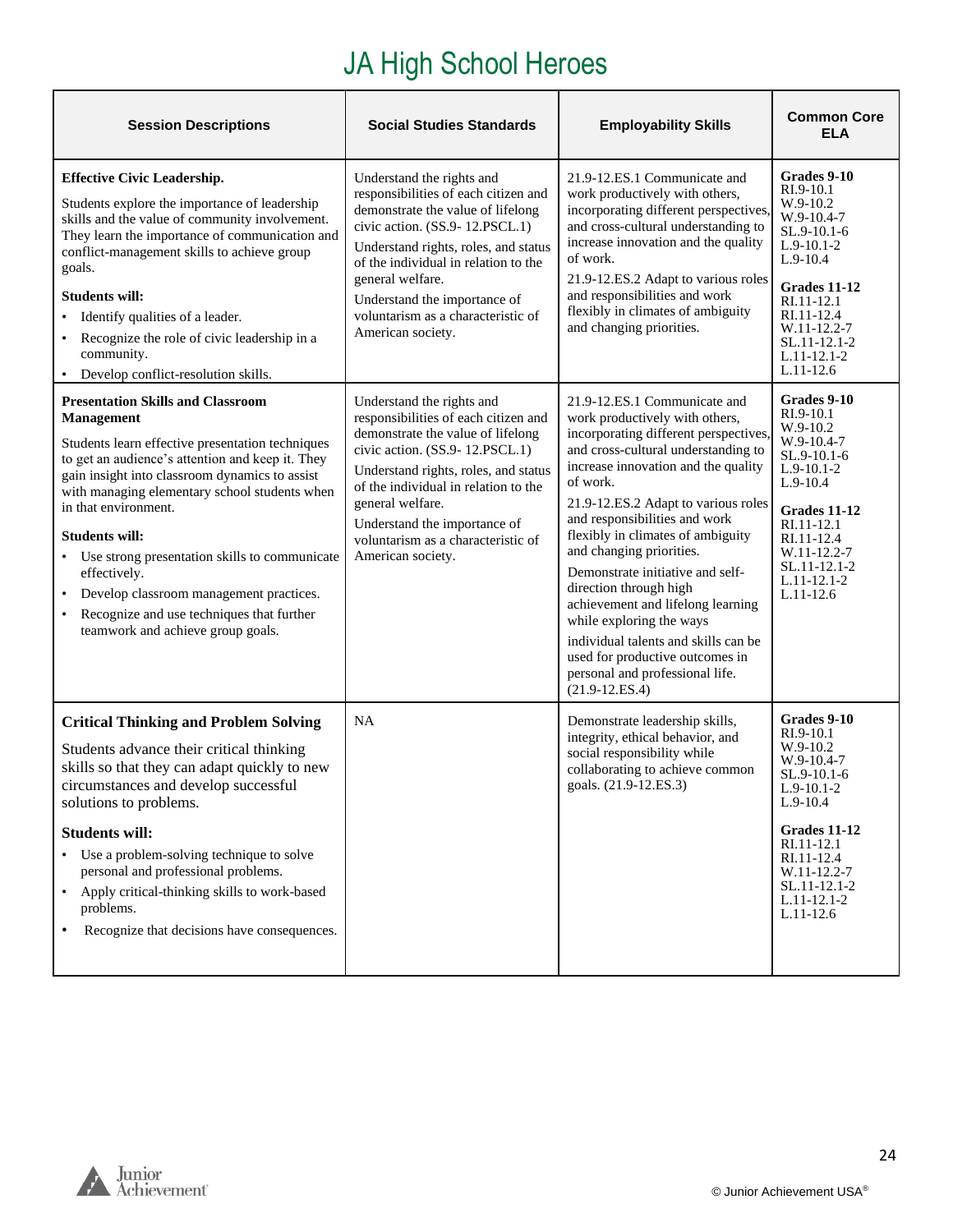## JA High School Heroes

| <b>Session Descriptions</b>                                                                                                                                                                                                                                                                                                                                                                                                                                                                                                                         | <b>Social Studies Standards</b>                                                                                                                                                                                                                                                                                                         | <b>Employability Skills</b>                                                                                                                                                                                                                                                                                                                                                                                                                                                                                                                                                                                   | <b>Common Core</b><br>ELA                                                                                                                                                                                      |
|-----------------------------------------------------------------------------------------------------------------------------------------------------------------------------------------------------------------------------------------------------------------------------------------------------------------------------------------------------------------------------------------------------------------------------------------------------------------------------------------------------------------------------------------------------|-----------------------------------------------------------------------------------------------------------------------------------------------------------------------------------------------------------------------------------------------------------------------------------------------------------------------------------------|---------------------------------------------------------------------------------------------------------------------------------------------------------------------------------------------------------------------------------------------------------------------------------------------------------------------------------------------------------------------------------------------------------------------------------------------------------------------------------------------------------------------------------------------------------------------------------------------------------------|----------------------------------------------------------------------------------------------------------------------------------------------------------------------------------------------------------------|
| <b>Effective Civic Leadership.</b><br>Students explore the importance of leadership<br>skills and the value of community involvement.<br>They learn the importance of communication and<br>conflict-management skills to achieve group<br>goals.<br><b>Students will:</b><br>Identify qualities of a leader.<br>Recognize the role of civic leadership in a<br>community.<br>• Develop conflict-resolution skills.                                                                                                                                  | Understand the rights and<br>responsibilities of each citizen and<br>demonstrate the value of lifelong<br>civic action. (SS.9-12.PSCL.1)<br>Understand rights, roles, and status<br>of the individual in relation to the<br>general welfare.<br>Understand the importance of<br>voluntarism as a characteristic of<br>American society. | 21.9-12.ES.1 Communicate and<br>work productively with others,<br>incorporating different perspectives.<br>and cross-cultural understanding to<br>increase innovation and the quality<br>of work.<br>21.9-12.ES.2 Adapt to various roles<br>and responsibilities and work<br>flexibly in climates of ambiguity<br>and changing priorities.                                                                                                                                                                                                                                                                    | Grades 9-10<br>RI.9-10.1<br>W.9-10.2<br>W.9-10.4-7<br>SL.9-10.1-6<br>L.9-10.1-2<br>$L.9-10.4$<br>Grades 11-12<br>RI.11-12.1<br>RI.11-12.4<br>W.11-12.2-7<br>SL.11-12.1-2<br>L.11-12.1-2<br>$L.11-12.6$         |
| <b>Presentation Skills and Classroom</b><br><b>Management</b><br>Students learn effective presentation techniques<br>to get an audience's attention and keep it. They<br>gain insight into classroom dynamics to assist<br>with managing elementary school students when<br>in that environment.<br><b>Students will:</b><br>• Use strong presentation skills to communicate<br>effectively.<br>Develop classroom management practices.<br>$\bullet$<br>Recognize and use techniques that further<br>$\bullet$<br>teamwork and achieve group goals. | Understand the rights and<br>responsibilities of each citizen and<br>demonstrate the value of lifelong<br>civic action. (SS.9-12.PSCL.1)<br>Understand rights, roles, and status<br>of the individual in relation to the<br>general welfare.<br>Understand the importance of<br>voluntarism as a characteristic of<br>American society. | 21.9-12.ES.1 Communicate and<br>work productively with others,<br>incorporating different perspectives.<br>and cross-cultural understanding to<br>increase innovation and the quality<br>of work.<br>21.9-12.ES.2 Adapt to various roles<br>and responsibilities and work<br>flexibly in climates of ambiguity<br>and changing priorities.<br>Demonstrate initiative and self-<br>direction through high<br>achievement and lifelong learning<br>while exploring the ways<br>individual talents and skills can be<br>used for productive outcomes in<br>personal and professional life.<br>$(21.9 - 12.ES.4)$ | Grades 9-10<br>RI.9-10.1<br>W.9-10.2<br>W.9-10.4-7<br>SL.9-10.1-6<br>$L.9-10.1-2$<br>$L.9-10.4$<br>Grades 11-12<br>RI.11-12.1<br>RI.11-12.4<br>W.11-12.2-7<br>SL.11-12.1-2<br>$L.11 - 12.1 - 2$<br>$L.11-12.6$ |
| <b>Critical Thinking and Problem Solving</b><br>Students advance their critical thinking<br>skills so that they can adapt quickly to new<br>circumstances and develop successful<br>solutions to problems.<br><b>Students will:</b><br>Use a problem-solving technique to solve<br>personal and professional problems.<br>Apply critical-thinking skills to work-based<br>$\bullet$<br>problems.<br>Recognize that decisions have consequences.<br>٠                                                                                                | NA                                                                                                                                                                                                                                                                                                                                      | Demonstrate leadership skills,<br>integrity, ethical behavior, and<br>social responsibility while<br>collaborating to achieve common<br>goals. (21.9-12.ES.3)                                                                                                                                                                                                                                                                                                                                                                                                                                                 | Grades 9-10<br>RI.9-10.1<br>W.9-10.2<br>W.9-10.4-7<br>SL.9-10.1-6<br>$L.9-10.1-2$<br>$L.9-10.4$<br>Grades 11-12<br>RI.11-12.1<br>RI.11-12.4<br>W.11-12.2-7<br>SL.11-12.1-2<br>$L.11 - 12.1 - 2$<br>$L.11-12.6$ |

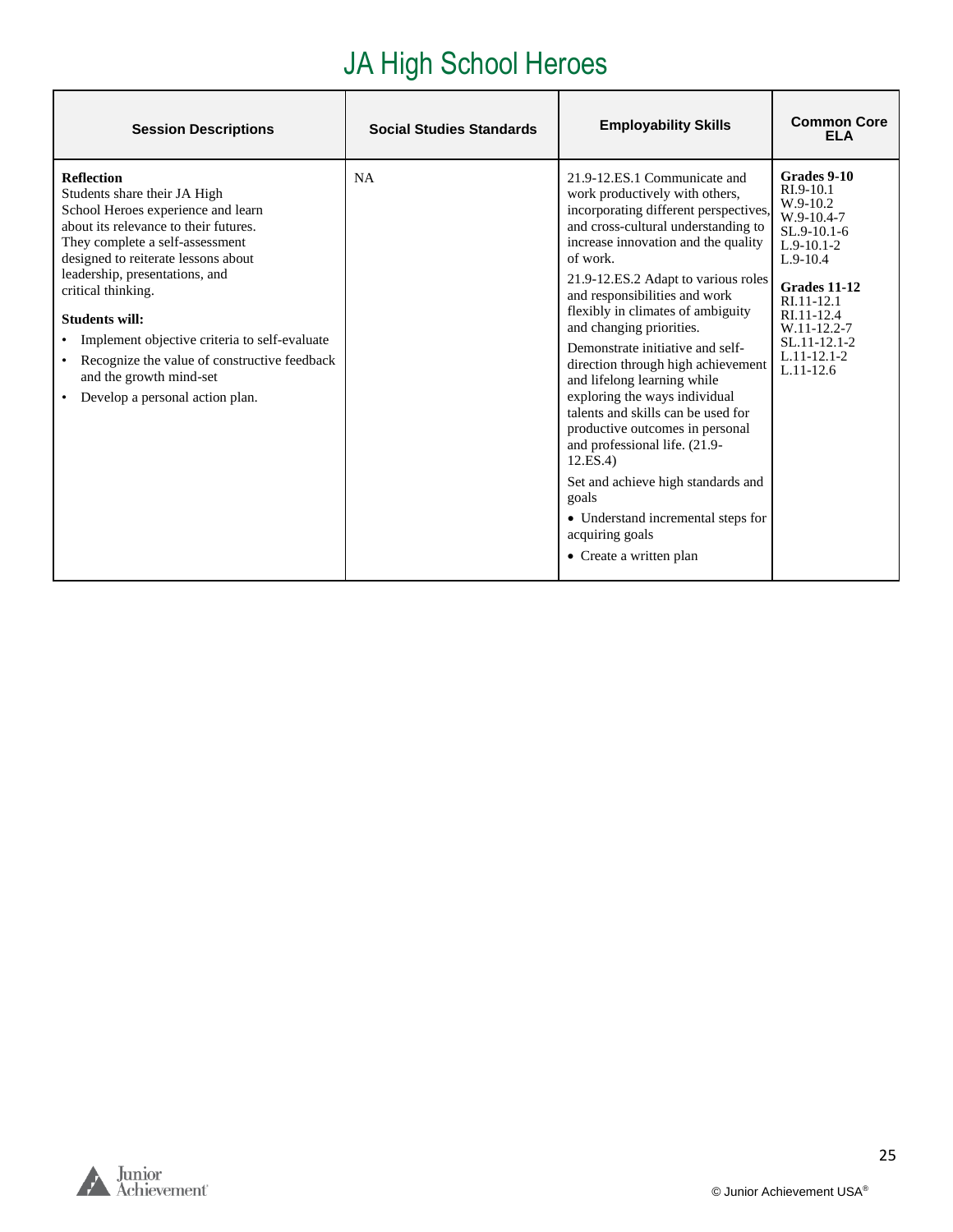## JA High School Heroes

| <b>Session Descriptions</b>                                                                                                                                                                                                                                                                                                                                                                                                                                                 | <b>Social Studies Standards</b> | <b>Employability Skills</b>                                                                                                                                                                                                                                                                                                                                                                                                                                                                                                                                                                                                                                                                                                                  | <b>Common Core</b><br>FI A                                                                                                                                                                                           |
|-----------------------------------------------------------------------------------------------------------------------------------------------------------------------------------------------------------------------------------------------------------------------------------------------------------------------------------------------------------------------------------------------------------------------------------------------------------------------------|---------------------------------|----------------------------------------------------------------------------------------------------------------------------------------------------------------------------------------------------------------------------------------------------------------------------------------------------------------------------------------------------------------------------------------------------------------------------------------------------------------------------------------------------------------------------------------------------------------------------------------------------------------------------------------------------------------------------------------------------------------------------------------------|----------------------------------------------------------------------------------------------------------------------------------------------------------------------------------------------------------------------|
| <b>Reflection</b><br>Students share their JA High<br>School Heroes experience and learn<br>about its relevance to their futures.<br>They complete a self-assessment<br>designed to reiterate lessons about<br>leadership, presentations, and<br>critical thinking.<br><b>Students will:</b><br>• Implement objective criteria to self-evaluate<br>• Recognize the value of constructive feedback<br>and the growth mind-set<br>Develop a personal action plan.<br>$\bullet$ | <b>NA</b>                       | 21.9-12.ES.1 Communicate and<br>work productively with others,<br>incorporating different perspectives,<br>and cross-cultural understanding to<br>increase innovation and the quality<br>of work.<br>21.9-12.ES.2 Adapt to various roles<br>and responsibilities and work<br>flexibly in climates of ambiguity<br>and changing priorities.<br>Demonstrate initiative and self-<br>direction through high achievement<br>and lifelong learning while<br>exploring the ways individual<br>talents and skills can be used for<br>productive outcomes in personal<br>and professional life. (21.9-<br>12.ES.4<br>Set and achieve high standards and<br>goals<br>• Understand incremental steps for<br>acquiring goals<br>• Create a written plan | Grades 9-10<br>RI.9-10.1<br>$W.9-10.2$<br>$W.9-10.4-7$<br>$SL.9-10.1-6$<br>$L.9-10.1-2$<br>$L.9-10.4$<br>Grades 11-12<br>RI.11-12.1<br>RI.11-12.4<br>W.11-12.2-7<br>SL.11-12.1-2<br>$L.11 - 12.1 - 2$<br>$L.11-12.6$ |

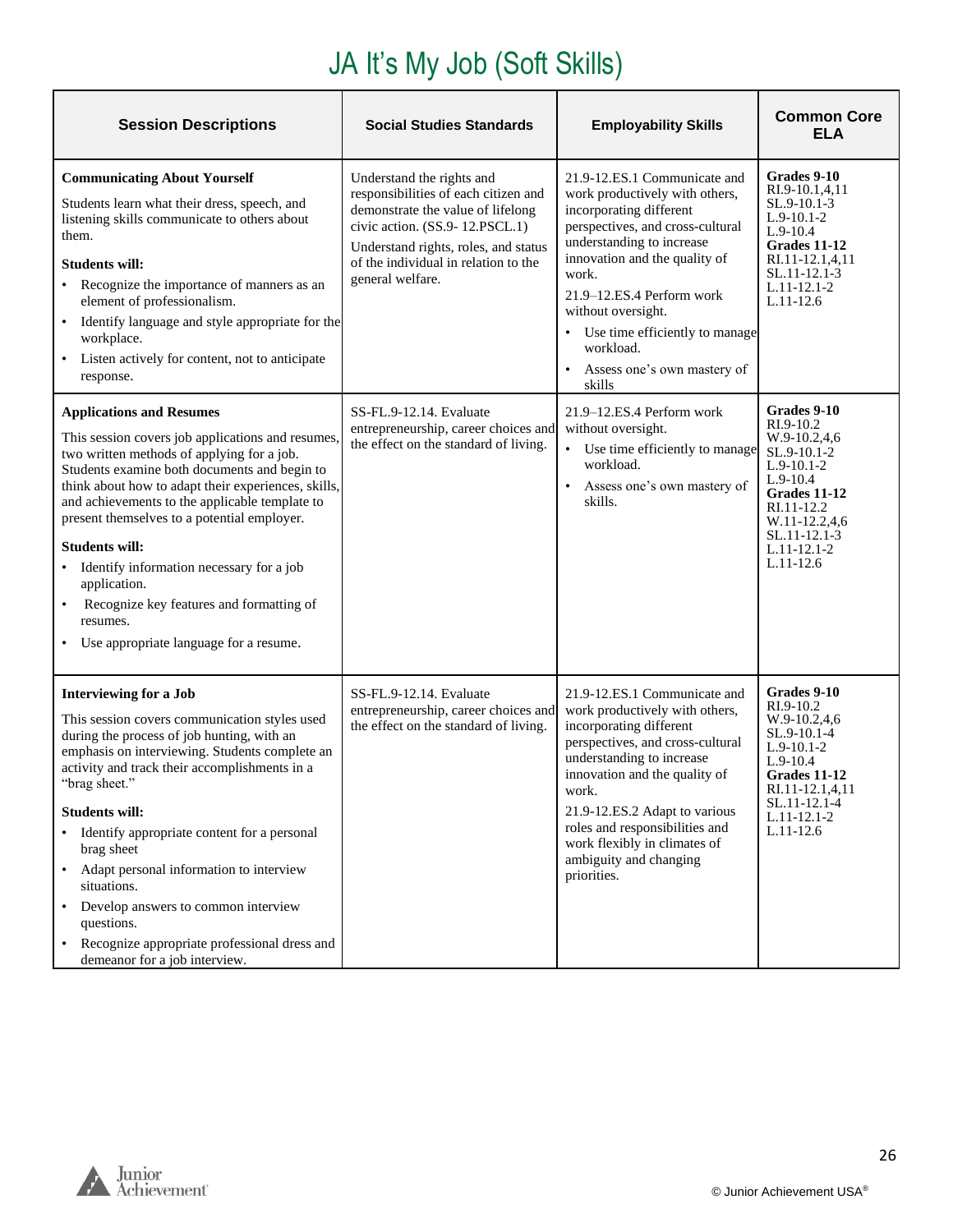# JA It's My Job (Soft Skills)

| <b>Session Descriptions</b>                                                                                                                                                                                                                                                                                                                                                                                                                                                                                                                                                                | <b>Social Studies Standards</b>                                                                                                                                                                                                              | <b>Employability Skills</b>                                                                                                                                                                                                                                                                                                                      | <b>Common Core</b><br><b>ELA</b>                                                                                                                                                       |
|--------------------------------------------------------------------------------------------------------------------------------------------------------------------------------------------------------------------------------------------------------------------------------------------------------------------------------------------------------------------------------------------------------------------------------------------------------------------------------------------------------------------------------------------------------------------------------------------|----------------------------------------------------------------------------------------------------------------------------------------------------------------------------------------------------------------------------------------------|--------------------------------------------------------------------------------------------------------------------------------------------------------------------------------------------------------------------------------------------------------------------------------------------------------------------------------------------------|----------------------------------------------------------------------------------------------------------------------------------------------------------------------------------------|
| <b>Communicating About Yourself</b><br>Students learn what their dress, speech, and<br>listening skills communicate to others about<br>them.<br><b>Students will:</b><br>• Recognize the importance of manners as an<br>element of professionalism.<br>Identify language and style appropriate for the<br>workplace.<br>• Listen actively for content, not to anticipate<br>response.                                                                                                                                                                                                      | Understand the rights and<br>responsibilities of each citizen and<br>demonstrate the value of lifelong<br>civic action. (SS.9-12.PSCL.1)<br>Understand rights, roles, and status<br>of the individual in relation to the<br>general welfare. | 21.9-12.ES.1 Communicate and<br>work productively with others,<br>incorporating different<br>perspectives, and cross-cultural<br>understanding to increase<br>innovation and the quality of<br>work.<br>21.9-12.ES.4 Perform work<br>without oversight.<br>Use time efficiently to manage<br>workload.<br>Assess one's own mastery of<br>skills  | Grades 9-10<br>RI.9-10.1,4,11<br>$SL.9-10.1-3$<br>$L.9-10.1-2$<br>$L.9-10.4$<br>Grades 11-12<br>RI.11-12.1,4,11<br>SL.11-12.1-3<br>$L.11-12.1-2$<br>$L.11-12.6$                        |
| <b>Applications and Resumes</b><br>This session covers job applications and resumes,<br>two written methods of applying for a job.<br>Students examine both documents and begin to<br>think about how to adapt their experiences, skills,<br>and achievements to the applicable template to<br>present themselves to a potential employer.<br><b>Students will:</b><br>Identify information necessary for a job<br>application.<br>Recognize key features and formatting of<br>resumes.<br>• Use appropriate language for a resume.                                                        | SS-FL.9-12.14. Evaluate<br>entrepreneurship, career choices and<br>the effect on the standard of living.                                                                                                                                     | 21.9–12.ES.4 Perform work<br>without oversight.<br>Use time efficiently to manage<br>workload.<br>Assess one's own mastery of<br>skills.                                                                                                                                                                                                         | Grades 9-10<br>$RI.9-10.2$<br>W.9-10.2,4,6<br>$SL.9-10.1-2$<br>$L.9-10.1-2$<br>$L.9-10.4$<br>Grades 11-12<br>RI.11-12.2<br>W.11-12.2,4,6<br>SL.11-12.1-3<br>L.11-12.1-2<br>$L.11-12.6$ |
| <b>Interviewing for a Job</b><br>This session covers communication styles used<br>during the process of job hunting, with an<br>emphasis on interviewing. Students complete an<br>activity and track their accomplishments in a<br>"brag sheet."<br><b>Students will:</b><br>Identify appropriate content for a personal<br>$\bullet$<br>brag sheet<br>Adapt personal information to interview<br>$\bullet$<br>situations.<br>Develop answers to common interview<br>$\bullet$<br>questions.<br>Recognize appropriate professional dress and<br>$\bullet$<br>demeanor for a job interview. | SS-FL.9-12.14. Evaluate<br>entrepreneurship, career choices and<br>the effect on the standard of living.                                                                                                                                     | 21.9-12.ES.1 Communicate and<br>work productively with others,<br>incorporating different<br>perspectives, and cross-cultural<br>understanding to increase<br>innovation and the quality of<br>work.<br>21.9-12.ES.2 Adapt to various<br>roles and responsibilities and<br>work flexibly in climates of<br>ambiguity and changing<br>priorities. | Grades 9-10<br>RI.9-10.2<br>W.9-10.2,4,6<br>SL.9-10.1-4<br>$L.9-10.1-2$<br>$L.9-10.4$<br>Grades 11-12<br>RI.11-12.1,4,11<br>SL.11-12.1-4<br>$L.11-12.1-2$<br>$L.11-12.6$               |

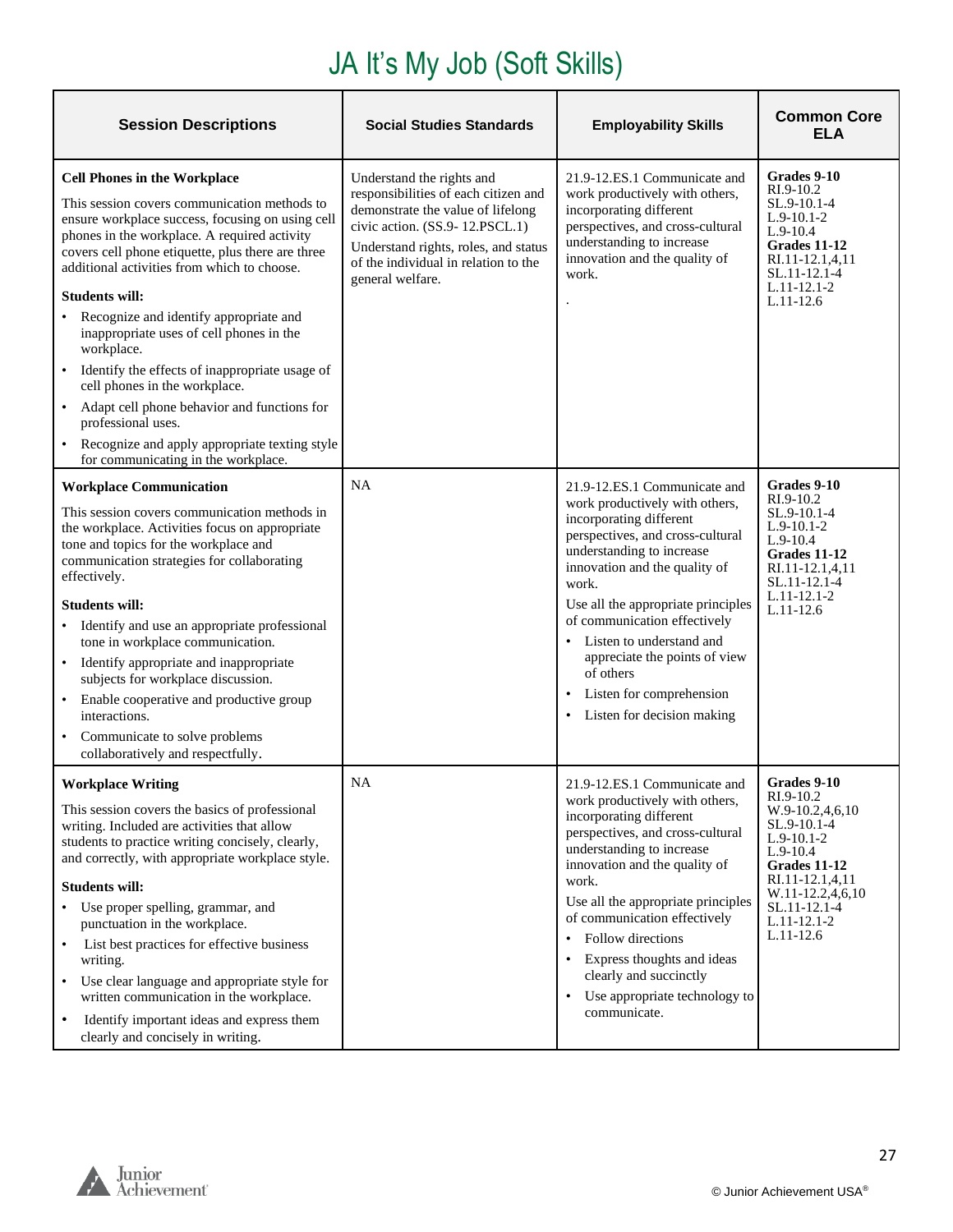## JA It's My Job (Soft Skills)

| <b>Session Descriptions</b>                                                                                                                                                                                                                                                                                                                                                                                                                                                                                                                                                                                                                                                                                     | <b>Social Studies Standards</b>                                                                                                                                                                                                              | <b>Employability Skills</b>                                                                                                                                                                                                                                                                                                                                                                                                                           | <b>Common Core</b><br>ELA                                                                                                                                                                             |
|-----------------------------------------------------------------------------------------------------------------------------------------------------------------------------------------------------------------------------------------------------------------------------------------------------------------------------------------------------------------------------------------------------------------------------------------------------------------------------------------------------------------------------------------------------------------------------------------------------------------------------------------------------------------------------------------------------------------|----------------------------------------------------------------------------------------------------------------------------------------------------------------------------------------------------------------------------------------------|-------------------------------------------------------------------------------------------------------------------------------------------------------------------------------------------------------------------------------------------------------------------------------------------------------------------------------------------------------------------------------------------------------------------------------------------------------|-------------------------------------------------------------------------------------------------------------------------------------------------------------------------------------------------------|
| <b>Cell Phones in the Workplace</b><br>This session covers communication methods to<br>ensure workplace success, focusing on using cell<br>phones in the workplace. A required activity<br>covers cell phone etiquette, plus there are three<br>additional activities from which to choose.<br><b>Students will:</b><br>Recognize and identify appropriate and<br>inappropriate uses of cell phones in the<br>workplace.<br>Identify the effects of inappropriate usage of<br>$\bullet$<br>cell phones in the workplace.<br>Adapt cell phone behavior and functions for<br>$\bullet$<br>professional uses.<br>Recognize and apply appropriate texting style<br>$\bullet$<br>for communicating in the workplace. | Understand the rights and<br>responsibilities of each citizen and<br>demonstrate the value of lifelong<br>civic action. (SS.9-12.PSCL.1)<br>Understand rights, roles, and status<br>of the individual in relation to the<br>general welfare. | 21.9-12.ES.1 Communicate and<br>work productively with others,<br>incorporating different<br>perspectives, and cross-cultural<br>understanding to increase<br>innovation and the quality of<br>work.                                                                                                                                                                                                                                                  | Grades 9-10<br>$RI.9-10.2$<br>SL.9-10.1-4<br>$L.9-10.1-2$<br>$L.9-10.4$<br>Grades 11-12<br>RI.11-12.1,4,11<br>SL.11-12.1-4<br>$L.11 - 12.1 - 2$<br>$L.11-12.6$                                        |
| <b>Workplace Communication</b><br>This session covers communication methods in<br>the workplace. Activities focus on appropriate<br>tone and topics for the workplace and<br>communication strategies for collaborating<br>effectively.<br><b>Students will:</b><br>Identify and use an appropriate professional<br>tone in workplace communication.<br>Identify appropriate and inappropriate<br>$\bullet$<br>subjects for workplace discussion.<br>Enable cooperative and productive group<br>$\bullet$<br>interactions.<br>Communicate to solve problems<br>collaboratively and respectfully.                                                                                                                | NA                                                                                                                                                                                                                                           | 21.9-12.ES.1 Communicate and<br>work productively with others,<br>incorporating different<br>perspectives, and cross-cultural<br>understanding to increase<br>innovation and the quality of<br>work.<br>Use all the appropriate principles<br>of communication effectively<br>Listen to understand and<br>$\bullet$<br>appreciate the points of view<br>of others<br>Listen for comprehension<br>$\bullet$<br>Listen for decision making<br>$\bullet$ | Grades 9-10<br>$RI.9-10.2$<br>SL.9-10.1-4<br>$L.9-10.1-2$<br>$L.9-10.4$<br>Grades 11-12<br>RI.11-12.1,4,11<br>SL.11-12.1-4<br>$L.11 - 12.1 - 2$<br>$L.11-12.6$                                        |
| <b>Workplace Writing</b><br>This session covers the basics of professional<br>writing. Included are activities that allow<br>students to practice writing concisely, clearly,<br>and correctly, with appropriate workplace style.<br><b>Students will:</b><br>• Use proper spelling, grammar, and<br>punctuation in the workplace.<br>List best practices for effective business<br>$\bullet$<br>writing.<br>Use clear language and appropriate style for<br>$\bullet$<br>written communication in the workplace.<br>Identify important ideas and express them<br>$\bullet$<br>clearly and concisely in writing.                                                                                                | <b>NA</b>                                                                                                                                                                                                                                    | 21.9-12.ES.1 Communicate and<br>work productively with others,<br>incorporating different<br>perspectives, and cross-cultural<br>understanding to increase<br>innovation and the quality of<br>work.<br>Use all the appropriate principles<br>of communication effectively<br>Follow directions<br>$\bullet$<br>Express thoughts and ideas<br>clearly and succinctly<br>Use appropriate technology to<br>$\bullet$<br>communicate.                    | Grades 9-10<br>RI.9-10.2<br>$W.9-10.2,4,6,10$<br>SL.9-10.1-4<br>$L.9-10.1-2$<br>$L.9-10.4$<br>Grades 11-12<br>RI.11-12.1,4,11<br>W.11-12.2,4,6,10<br>SL.11-12.1-4<br>$L.11 - 12.1 - 2$<br>$L.11-12.6$ |

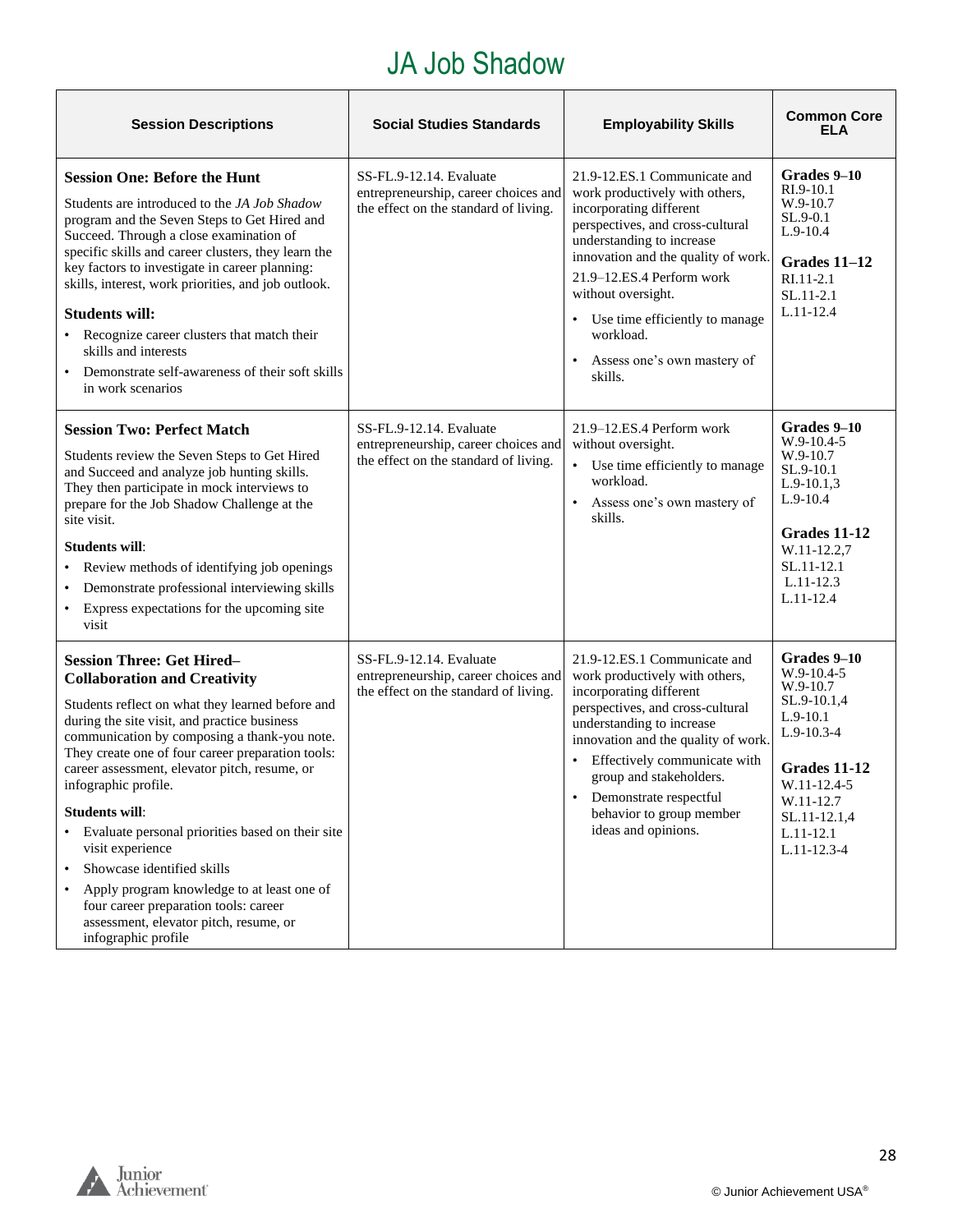#### JA Job Shadow

| <b>Session Descriptions</b>                                                                                                                                                                                                                                                                                                                                                                                                                                                                                                                                                                                                                                   | <b>Social Studies Standards</b>                                                                          | <b>Employability Skills</b>                                                                                                                                                                                                                                                                                                                                         | <b>Common Core</b><br><b>ELA</b>                                                                                                                                                         |
|---------------------------------------------------------------------------------------------------------------------------------------------------------------------------------------------------------------------------------------------------------------------------------------------------------------------------------------------------------------------------------------------------------------------------------------------------------------------------------------------------------------------------------------------------------------------------------------------------------------------------------------------------------------|----------------------------------------------------------------------------------------------------------|---------------------------------------------------------------------------------------------------------------------------------------------------------------------------------------------------------------------------------------------------------------------------------------------------------------------------------------------------------------------|------------------------------------------------------------------------------------------------------------------------------------------------------------------------------------------|
| <b>Session One: Before the Hunt</b><br>Students are introduced to the JA Job Shadow<br>program and the Seven Steps to Get Hired and<br>Succeed. Through a close examination of<br>specific skills and career clusters, they learn the<br>key factors to investigate in career planning:<br>skills, interest, work priorities, and job outlook.<br><b>Students will:</b><br>Recognize career clusters that match their<br>skills and interests<br>Demonstrate self-awareness of their soft skills<br>in work scenarios                                                                                                                                         | SS-FL.9-12.14. Evaluate<br>entrepreneurship, career choices and<br>the effect on the standard of living. | 21.9-12.ES.1 Communicate and<br>work productively with others,<br>incorporating different<br>perspectives, and cross-cultural<br>understanding to increase<br>innovation and the quality of work.<br>21.9-12.ES.4 Perform work<br>without oversight.<br>• Use time efficiently to manage<br>workload.<br>Assess one's own mastery of<br>skills.                     | Grades 9-10<br>RI.9-10.1<br>W.9-10.7<br>SL.9-0.1<br>$L.9-10.4$<br>Grades 11-12<br>RI.11-2.1<br>$SL.11-2.1$<br>$L.11 - 12.4$                                                              |
| <b>Session Two: Perfect Match</b><br>Students review the Seven Steps to Get Hired<br>and Succeed and analyze job hunting skills.<br>They then participate in mock interviews to<br>prepare for the Job Shadow Challenge at the<br>site visit.<br><b>Students will:</b><br>Review methods of identifying job openings<br>Demonstrate professional interviewing skills<br>• Express expectations for the upcoming site<br>visit                                                                                                                                                                                                                                 | SS-FL.9-12.14. Evaluate<br>entrepreneurship, career choices and<br>the effect on the standard of living. | 21.9–12.ES.4 Perform work<br>without oversight.<br>$\bullet$<br>Use time efficiently to manage<br>workload.<br>Assess one's own mastery of<br>$\bullet$<br>skills.                                                                                                                                                                                                  | Grades 9–10<br>$W.9-10.4-5$<br>W.9-10.7<br>SL.9-10.1<br>$L.9-10.1,3$<br>$L.9-10.4$<br>Grades 11-12<br>W.11-12.2,7<br>SL.11-12.1<br>$L.11-12.3$<br>L.11-12.4                              |
| <b>Session Three: Get Hired-</b><br><b>Collaboration and Creativity</b><br>Students reflect on what they learned before and<br>during the site visit, and practice business<br>communication by composing a thank-you note.<br>They create one of four career preparation tools:<br>career assessment, elevator pitch, resume, or<br>infographic profile.<br><b>Students will:</b><br>Evaluate personal priorities based on their site<br>visit experience<br>Showcase identified skills<br>$\bullet$<br>Apply program knowledge to at least one of<br>four career preparation tools: career<br>assessment, elevator pitch, resume, or<br>infographic profile | SS-FL.9-12.14. Evaluate<br>entrepreneurship, career choices and<br>the effect on the standard of living. | 21.9-12.ES.1 Communicate and<br>work productively with others,<br>incorporating different<br>perspectives, and cross-cultural<br>understanding to increase<br>innovation and the quality of work.<br>Effectively communicate with<br>$\bullet$<br>group and stakeholders.<br>Demonstrate respectful<br>$\bullet$<br>behavior to group member<br>ideas and opinions. | Grades 9-10<br>$W.9-10.4-5$<br>W.9-10.7<br>SL.9-10.1,4<br>$L.9-10.1$<br>$L.9 - 10.3 - 4$<br>Grades 11-12<br>W.11-12.4-5<br>W.11-12.7<br>SL.11-12.1,4<br>$L.11-12.1$<br>$L.11 - 12.3 - 4$ |

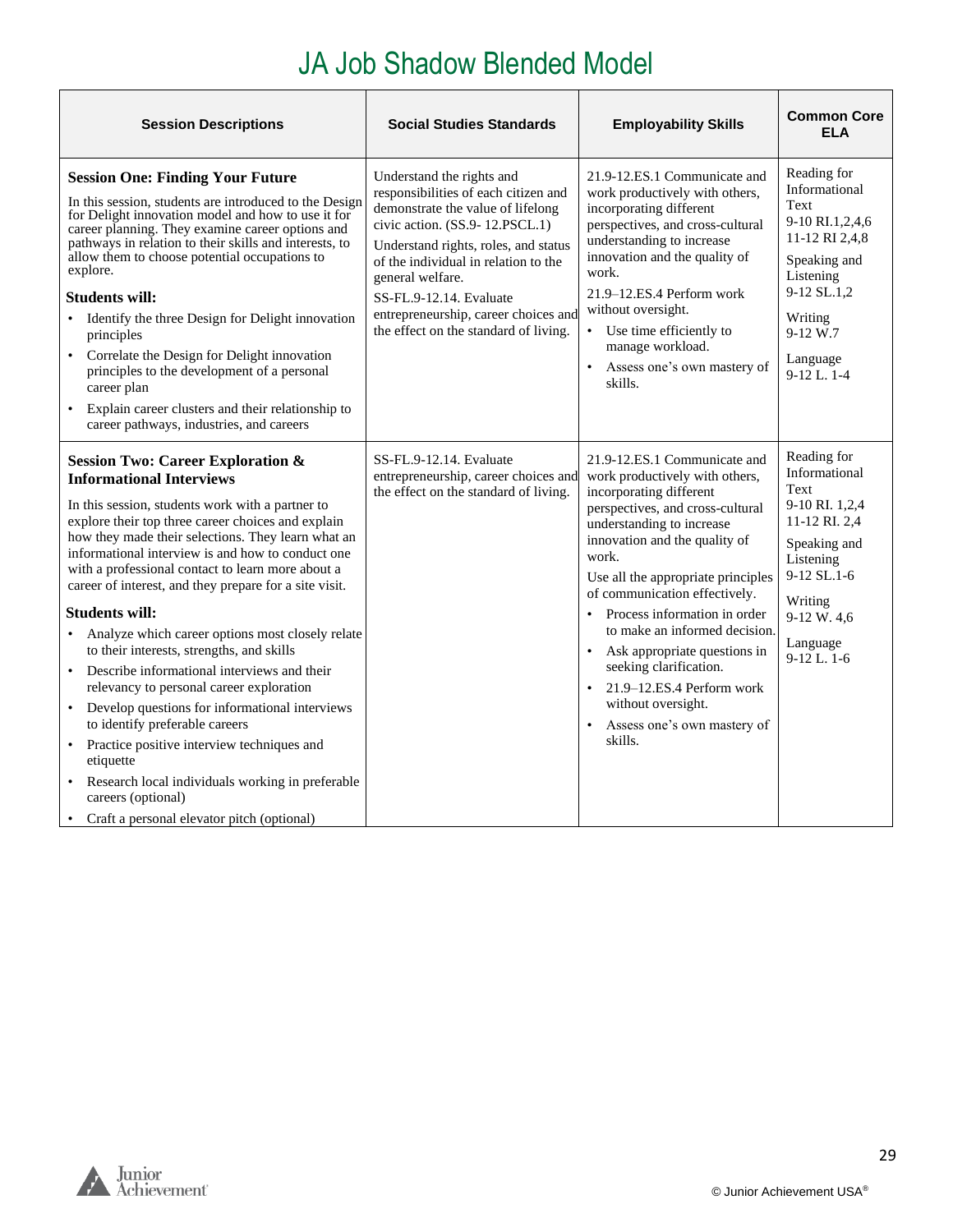#### JA Job Shadow Blended Model

<span id="page-28-0"></span>

| <b>Session Descriptions</b>                                                                                                                                                                                                                                                                                                                                                                                                                                                                                                                                                                                                                                                                                                                                                                                                                                                                                                        | <b>Social Studies Standards</b>                                                                                                                                                                                                                                                                                                                          | <b>Employability Skills</b>                                                                                                                                                                                                                                                                                                                                                                                                                                                                         | <b>Common Core</b><br><b>ELA</b>                                                                                                                                              |
|------------------------------------------------------------------------------------------------------------------------------------------------------------------------------------------------------------------------------------------------------------------------------------------------------------------------------------------------------------------------------------------------------------------------------------------------------------------------------------------------------------------------------------------------------------------------------------------------------------------------------------------------------------------------------------------------------------------------------------------------------------------------------------------------------------------------------------------------------------------------------------------------------------------------------------|----------------------------------------------------------------------------------------------------------------------------------------------------------------------------------------------------------------------------------------------------------------------------------------------------------------------------------------------------------|-----------------------------------------------------------------------------------------------------------------------------------------------------------------------------------------------------------------------------------------------------------------------------------------------------------------------------------------------------------------------------------------------------------------------------------------------------------------------------------------------------|-------------------------------------------------------------------------------------------------------------------------------------------------------------------------------|
| <b>Session One: Finding Your Future</b><br>In this session, students are introduced to the Design<br>for Delight innovation model and how to use it for<br>career planning. They examine career options and<br>pathways in relation to their skills and interests, to<br>allow them to choose potential occupations to<br>explore.<br><b>Students will:</b><br>Identify the three Design for Delight innovation<br>principles<br>Correlate the Design for Delight innovation<br>$\bullet$<br>principles to the development of a personal<br>career plan<br>Explain career clusters and their relationship to<br>$\bullet$<br>career pathways, industries, and careers                                                                                                                                                                                                                                                              | Understand the rights and<br>responsibilities of each citizen and<br>demonstrate the value of lifelong<br>civic action. (SS.9-12.PSCL.1)<br>Understand rights, roles, and status<br>of the individual in relation to the<br>general welfare.<br>SS-FL.9-12.14. Evaluate<br>entrepreneurship, career choices and<br>the effect on the standard of living. | 21.9-12.ES.1 Communicate and<br>work productively with others,<br>incorporating different<br>perspectives, and cross-cultural<br>understanding to increase<br>innovation and the quality of<br>work.<br>21.9-12.ES.4 Perform work<br>without oversight.<br>• Use time efficiently to<br>manage workload.<br>Assess one's own mastery of<br>$\bullet$<br>skills.                                                                                                                                     | Reading for<br>Informational<br>Text<br>9-10 RI.1,2,4,6<br>11-12 RI 2,4,8<br>Speaking and<br>Listening<br>9-12 SL.1,2<br>Writing<br>$9-12 W.7$<br>Language<br>$9-12$ L. $1-4$ |
| <b>Session Two: Career Exploration &amp;</b><br><b>Informational Interviews</b><br>In this session, students work with a partner to<br>explore their top three career choices and explain<br>how they made their selections. They learn what an<br>informational interview is and how to conduct one<br>with a professional contact to learn more about a<br>career of interest, and they prepare for a site visit.<br><b>Students will:</b><br>Analyze which career options most closely relate<br>to their interests, strengths, and skills<br>Describe informational interviews and their<br>$\bullet$<br>relevancy to personal career exploration<br>• Develop questions for informational interviews<br>to identify preferable careers<br>• Practice positive interview techniques and<br>etiquette<br>• Research local individuals working in preferable<br>careers (optional)<br>Craft a personal elevator pitch (optional) | SS-FL.9-12.14. Evaluate<br>entrepreneurship, career choices and<br>the effect on the standard of living.                                                                                                                                                                                                                                                 | 21.9-12.ES.1 Communicate and<br>work productively with others,<br>incorporating different<br>perspectives, and cross-cultural<br>understanding to increase<br>innovation and the quality of<br>work.<br>Use all the appropriate principles<br>of communication effectively.<br>Process information in order<br>to make an informed decision.<br>Ask appropriate questions in<br>seeking clarification.<br>21.9-12.ES.4 Perform work<br>without oversight.<br>Assess one's own mastery of<br>skills. | Reading for<br>Informational<br>Text<br>9-10 RI. 1,2,4<br>11-12 RI. 2,4<br>Speaking and<br>Listening<br>9-12 SL.1-6<br>Writing<br>9-12 W. 4,6<br>Language<br>$9-12$ L. 1-6    |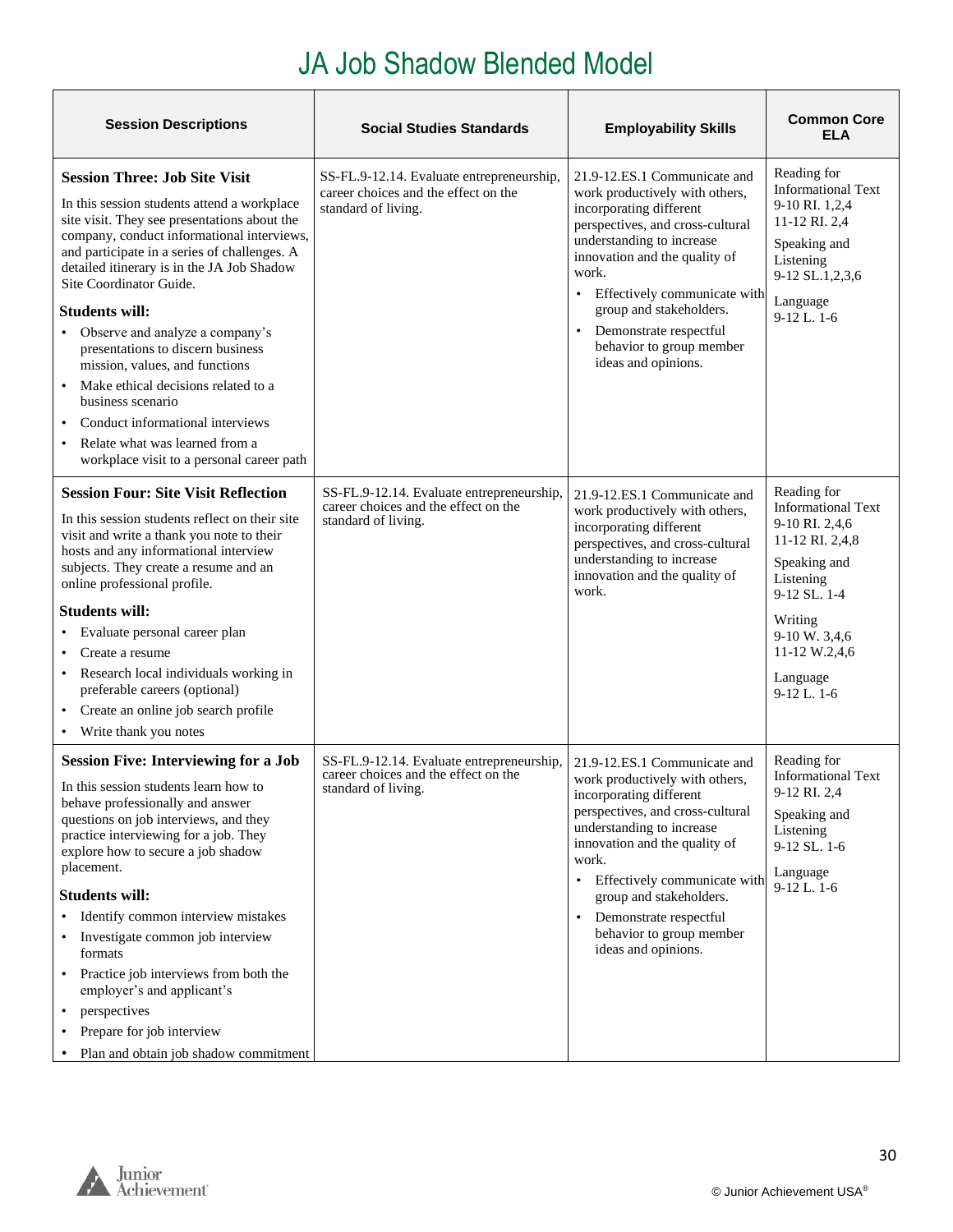#### JA Job Shadow Blended Model

| <b>Session Descriptions</b>                                                                                                                                                                                                                                                                                                                                                                                                                                                                                                                                                                                                  | <b>Social Studies Standards</b>                                                                          | <b>Employability Skills</b>                                                                                                                                                                                                                                                                                                                               | <b>Common Core</b><br>ELA                                                                                                                                                                                  |
|------------------------------------------------------------------------------------------------------------------------------------------------------------------------------------------------------------------------------------------------------------------------------------------------------------------------------------------------------------------------------------------------------------------------------------------------------------------------------------------------------------------------------------------------------------------------------------------------------------------------------|----------------------------------------------------------------------------------------------------------|-----------------------------------------------------------------------------------------------------------------------------------------------------------------------------------------------------------------------------------------------------------------------------------------------------------------------------------------------------------|------------------------------------------------------------------------------------------------------------------------------------------------------------------------------------------------------------|
| <b>Session Three: Job Site Visit</b><br>In this session students attend a workplace<br>site visit. They see presentations about the<br>company, conduct informational interviews,<br>and participate in a series of challenges. A<br>detailed itinerary is in the JA Job Shadow<br>Site Coordinator Guide.<br><b>Students will:</b><br>Observe and analyze a company's<br>presentations to discern business<br>mission, values, and functions<br>Make ethical decisions related to a<br>business scenario<br>Conduct informational interviews<br>Relate what was learned from a<br>workplace visit to a personal career path | SS-FL.9-12.14. Evaluate entrepreneurship,<br>career choices and the effect on the<br>standard of living. | 21.9-12.ES.1 Communicate and<br>work productively with others,<br>incorporating different<br>perspectives, and cross-cultural<br>understanding to increase<br>innovation and the quality of<br>work.<br>Effectively communicate with<br>$\bullet$<br>group and stakeholders.<br>Demonstrate respectful<br>behavior to group member<br>ideas and opinions. | Reading for<br><b>Informational Text</b><br>9-10 RI. 1,2,4<br>11-12 RI. 2,4<br>Speaking and<br>Listening<br>9-12 SL.1,2,3,6<br>Language<br>$9-12$ L. $1-6$                                                 |
| <b>Session Four: Site Visit Reflection</b><br>In this session students reflect on their site<br>visit and write a thank you note to their<br>hosts and any informational interview<br>subjects. They create a resume and an<br>online professional profile.<br><b>Students will:</b><br>Evaluate personal career plan<br>Create a resume<br>$\bullet$<br>Research local individuals working in<br>$\bullet$<br>preferable careers (optional)<br>• Create an online job search profile<br>• Write thank you notes                                                                                                             | SS-FL.9-12.14. Evaluate entrepreneurship,<br>career choices and the effect on the<br>standard of living. | 21.9-12.ES.1 Communicate and<br>work productively with others,<br>incorporating different<br>perspectives, and cross-cultural<br>understanding to increase<br>innovation and the quality of<br>work.                                                                                                                                                      | Reading for<br><b>Informational Text</b><br>9-10 RI. 2,4,6<br>11-12 RI. 2,4,8<br>Speaking and<br>Listening<br>$9-12$ SL, $1-4$<br>Writing<br>9-10 W. 3,4,6<br>11-12 W.2,4,6<br>Language<br>$9-12$ L, $1-6$ |
| <b>Session Five: Interviewing for a Job</b><br>In this session students learn how to<br>behave professionally and answer<br>questions on job interviews, and they<br>practice interviewing for a job. They<br>explore how to secure a job shadow<br>placement.<br><b>Students will:</b><br>Identify common interview mistakes<br>Investigate common job interview<br>formats<br>Practice job interviews from both the<br>employer's and applicant's<br>perspectives<br>Prepare for job interview<br>Plan and obtain job shadow commitment                                                                                    | SS-FL.9-12.14. Evaluate entrepreneurship,<br>career choices and the effect on the<br>standard of living. | 21.9-12.ES.1 Communicate and<br>work productively with others,<br>incorporating different<br>perspectives, and cross-cultural<br>understanding to increase<br>innovation and the quality of<br>work.<br>Effectively communicate with<br>group and stakeholders.<br>Demonstrate respectful<br>behavior to group member<br>ideas and opinions.              | Reading for<br><b>Informational Text</b><br>9-12 RI. 2,4<br>Speaking and<br>Listening<br>9-12 SL. 1-6<br>Language<br>$9-12$ L. 1-6                                                                         |

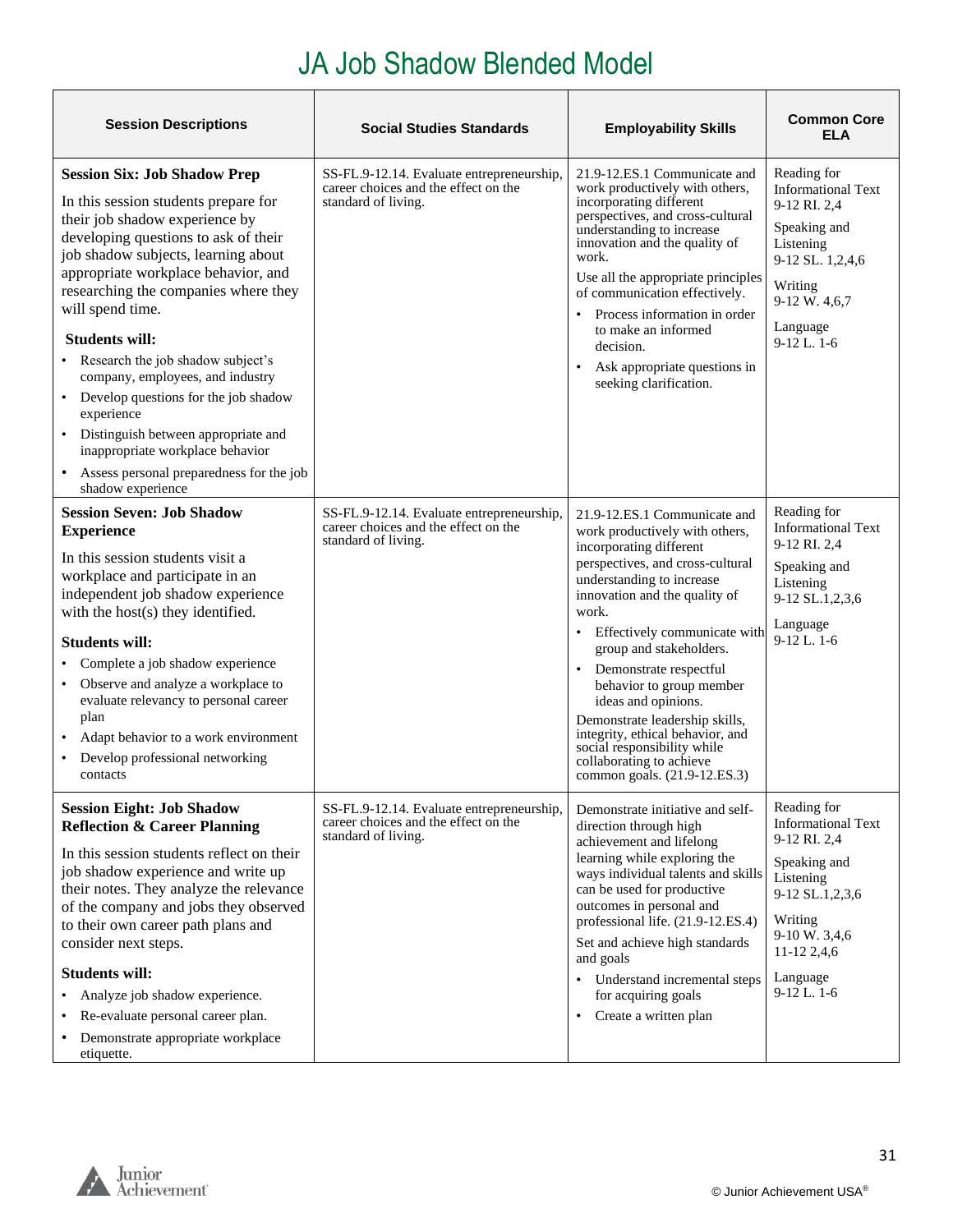# JA Job Shadow Blended Model

| <b>Session Descriptions</b>                                                                                                                                                                                                                                                                                                                                                                                                                                                                                                                                                                         | <b>Social Studies Standards</b>                                                                          | <b>Employability Skills</b>                                                                                                                                                                                                                                                                                                                                                                                                                                                                                                             | <b>Common Core</b><br><b>ELA</b>                                                                                                                                                   |
|-----------------------------------------------------------------------------------------------------------------------------------------------------------------------------------------------------------------------------------------------------------------------------------------------------------------------------------------------------------------------------------------------------------------------------------------------------------------------------------------------------------------------------------------------------------------------------------------------------|----------------------------------------------------------------------------------------------------------|-----------------------------------------------------------------------------------------------------------------------------------------------------------------------------------------------------------------------------------------------------------------------------------------------------------------------------------------------------------------------------------------------------------------------------------------------------------------------------------------------------------------------------------------|------------------------------------------------------------------------------------------------------------------------------------------------------------------------------------|
| <b>Session Six: Job Shadow Prep</b><br>In this session students prepare for<br>their job shadow experience by<br>developing questions to ask of their<br>job shadow subjects, learning about<br>appropriate workplace behavior, and<br>researching the companies where they<br>will spend time.<br><b>Students will:</b><br>Research the job shadow subject's<br>company, employees, and industry<br>Develop questions for the job shadow<br>experience<br>Distinguish between appropriate and<br>inappropriate workplace behavior<br>Assess personal preparedness for the job<br>shadow experience | SS-FL.9-12.14. Evaluate entrepreneurship,<br>career choices and the effect on the<br>standard of living. | 21.9-12.ES.1 Communicate and<br>work productively with others,<br>incorporating different<br>perspectives, and cross-cultural<br>understanding to increase<br>innovation and the quality of<br>work.<br>Use all the appropriate principles<br>of communication effectively.<br>Process information in order<br>to make an informed<br>decision.<br>Ask appropriate questions in<br>seeking clarification.                                                                                                                               | Reading for<br><b>Informational Text</b><br>9-12 RI. 2,4<br>Speaking and<br>Listening<br>9-12 SL. 1,2,4,6<br>Writing<br>9-12 W. 4,6,7<br>Language<br>$9-12$ L. 1-6                 |
| <b>Session Seven: Job Shadow</b><br><b>Experience</b><br>In this session students visit a<br>workplace and participate in an<br>independent job shadow experience<br>with the host(s) they identified.<br><b>Students will:</b><br>Complete a job shadow experience<br>Observe and analyze a workplace to<br>evaluate relevancy to personal career<br>plan<br>Adapt behavior to a work environment<br>Develop professional networking<br>contacts                                                                                                                                                   | SS-FL.9-12.14. Evaluate entrepreneurship,<br>career choices and the effect on the<br>standard of living. | 21.9-12.ES.1 Communicate and<br>work productively with others,<br>incorporating different<br>perspectives, and cross-cultural<br>understanding to increase<br>innovation and the quality of<br>work.<br>Effectively communicate with<br>$\bullet$<br>group and stakeholders.<br>Demonstrate respectful<br>$\bullet$<br>behavior to group member<br>ideas and opinions.<br>Demonstrate leadership skills,<br>integrity, ethical behavior, and<br>social responsibility while<br>collaborating to achieve<br>common goals. (21.9-12.ES.3) | Reading for<br><b>Informational Text</b><br>9-12 RI. 2,4<br>Speaking and<br>Listening<br>9-12 SL.1,2,3,6<br>Language<br>$9-12$ L. $1-6$                                            |
| <b>Session Eight: Job Shadow</b><br><b>Reflection &amp; Career Planning</b><br>In this session students reflect on their<br>job shadow experience and write up<br>their notes. They analyze the relevance<br>of the company and jobs they observed<br>to their own career path plans and<br>consider next steps.<br><b>Students will:</b><br>Analyze job shadow experience.<br>Re-evaluate personal career plan.<br>Demonstrate appropriate workplace<br>etiquette.                                                                                                                                 | SS-FL.9-12.14. Evaluate entrepreneurship,<br>career choices and the effect on the<br>standard of living. | Demonstrate initiative and self-<br>direction through high<br>achievement and lifelong<br>learning while exploring the<br>ways individual talents and skills<br>can be used for productive<br>outcomes in personal and<br>professional life. (21.9-12.ES.4)<br>Set and achieve high standards<br>and goals<br>• Understand incremental steps<br>for acquiring goals<br>Create a written plan<br>$\bullet$                                                                                                                               | Reading for<br><b>Informational Text</b><br>9-12 RI. 2,4<br>Speaking and<br>Listening<br>9-12 SL.1,2,3,6<br>Writing<br>9-10 W. 3,4,6<br>11-12 2,4,6<br>Language<br>$9-12$ L. $1-6$ |



**r**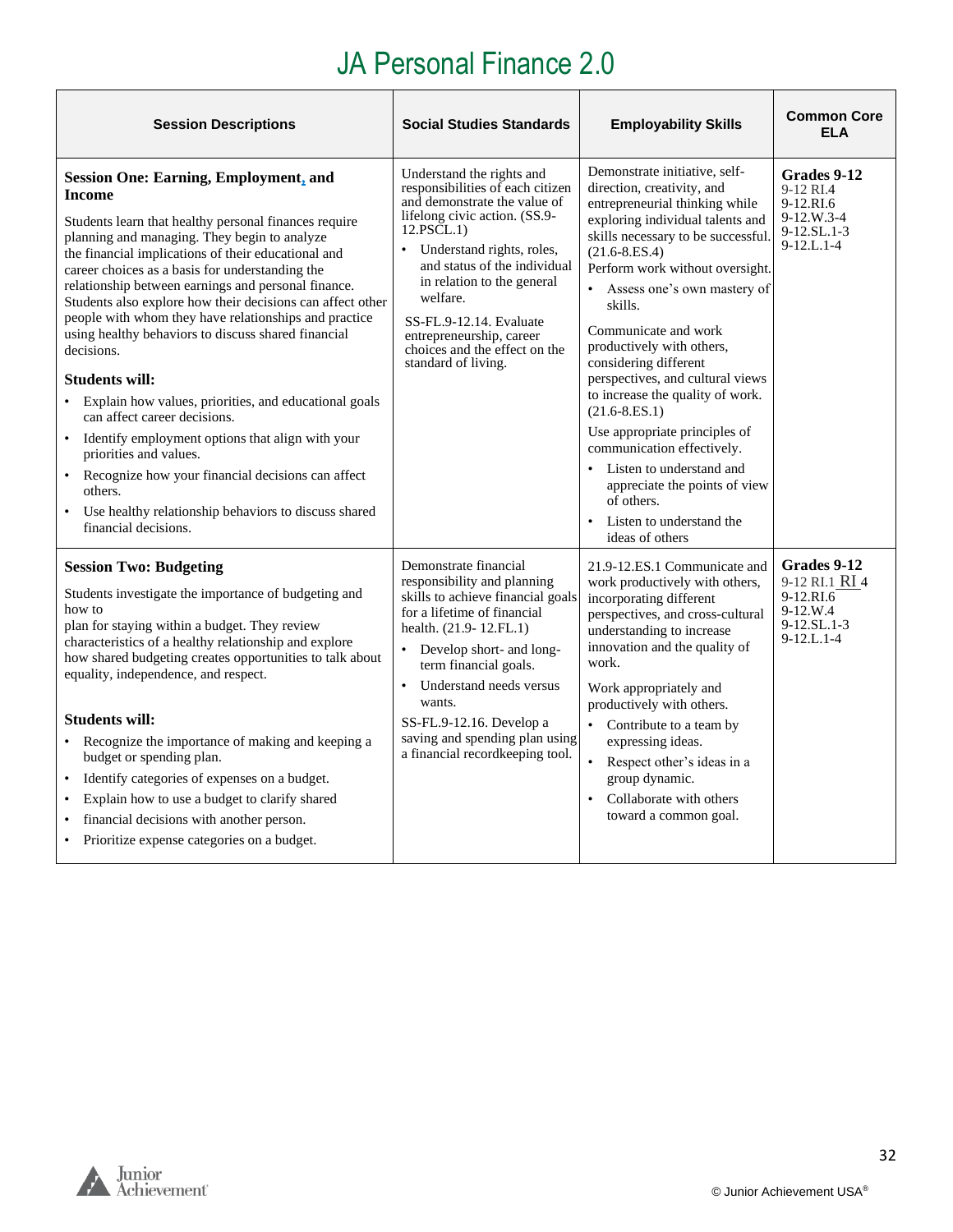<span id="page-31-0"></span>

| <b>Session Descriptions</b>                                                                                                                                                                                                                                                                                                                                                                                                                                                                                                                                                                                                                                                                                                                                                                                                                                                                      | <b>Social Studies Standards</b>                                                                                                                                                                                                                                                                                                                                    | <b>Employability Skills</b>                                                                                                                                                                                                                                                                                                                                                                                                                                                                                                                                                                                                                                | <b>Common Core</b><br><b>ELA</b>                                                           |
|--------------------------------------------------------------------------------------------------------------------------------------------------------------------------------------------------------------------------------------------------------------------------------------------------------------------------------------------------------------------------------------------------------------------------------------------------------------------------------------------------------------------------------------------------------------------------------------------------------------------------------------------------------------------------------------------------------------------------------------------------------------------------------------------------------------------------------------------------------------------------------------------------|--------------------------------------------------------------------------------------------------------------------------------------------------------------------------------------------------------------------------------------------------------------------------------------------------------------------------------------------------------------------|------------------------------------------------------------------------------------------------------------------------------------------------------------------------------------------------------------------------------------------------------------------------------------------------------------------------------------------------------------------------------------------------------------------------------------------------------------------------------------------------------------------------------------------------------------------------------------------------------------------------------------------------------------|--------------------------------------------------------------------------------------------|
| <b>Session One: Earning, Employment, and</b><br><b>Income</b><br>Students learn that healthy personal finances require<br>planning and managing. They begin to analyze<br>the financial implications of their educational and<br>career choices as a basis for understanding the<br>relationship between earnings and personal finance.<br>Students also explore how their decisions can affect other<br>people with whom they have relationships and practice<br>using healthy behaviors to discuss shared financial<br>decisions.<br><b>Students will:</b><br>Explain how values, priorities, and educational goals<br>can affect career decisions.<br>Identify employment options that align with your<br>$\bullet$<br>priorities and values.<br>Recognize how your financial decisions can affect<br>others.<br>Use healthy relationship behaviors to discuss shared<br>financial decisions. | Understand the rights and<br>responsibilities of each citizen<br>and demonstrate the value of<br>lifelong civic action. (SS.9-<br>12.PSCL.1)<br>Understand rights, roles,<br>and status of the individual<br>in relation to the general<br>welfare.<br>SS-FL.9-12.14. Evaluate<br>entrepreneurship, career<br>choices and the effect on the<br>standard of living. | Demonstrate initiative, self-<br>direction, creativity, and<br>entrepreneurial thinking while<br>exploring individual talents and<br>skills necessary to be successful.<br>$(21.6 - 8.ES.4)$<br>Perform work without oversight.<br>Assess one's own mastery of<br>skills.<br>Communicate and work<br>productively with others,<br>considering different<br>perspectives, and cultural views<br>to increase the quality of work.<br>$(21.6 - 8.ES.1)$<br>Use appropriate principles of<br>communication effectively.<br>Listen to understand and<br>$\bullet$<br>appreciate the points of view<br>of others.<br>Listen to understand the<br>ideas of others | Grades 9-12<br>9-12 RI.4<br>9-12.RI.6<br>$9-12.W.3-4$<br>9-12.SL.1-3<br>$9-12.L.1-4$       |
| <b>Session Two: Budgeting</b><br>Students investigate the importance of budgeting and<br>how to<br>plan for staying within a budget. They review<br>characteristics of a healthy relationship and explore<br>how shared budgeting creates opportunities to talk about<br>equality, independence, and respect.<br><b>Students will:</b><br>Recognize the importance of making and keeping a<br>budget or spending plan.<br>Identify categories of expenses on a budget.<br>Explain how to use a budget to clarify shared<br>financial decisions with another person.<br>Prioritize expense categories on a budget.                                                                                                                                                                                                                                                                                | Demonstrate financial<br>responsibility and planning<br>skills to achieve financial goals<br>for a lifetime of financial<br>health. (21.9 - 12. FL. 1)<br>• Develop short- and long-<br>term financial goals.<br>Understand needs versus<br>$\bullet$<br>wants.<br>SS-FL.9-12.16. Develop a<br>saving and spending plan using<br>a financial recordkeeping tool.   | 21.9-12.ES.1 Communicate and<br>work productively with others,<br>incorporating different<br>perspectives, and cross-cultural<br>understanding to increase<br>innovation and the quality of<br>work.<br>Work appropriately and<br>productively with others.<br>$\bullet$<br>Contribute to a team by<br>expressing ideas.<br>Respect other's ideas in a<br>group dynamic.<br>Collaborate with others<br>toward a common goal.                                                                                                                                                                                                                               | Grades 9-12<br>9-12 RI.1 RI 4<br>9-12.RI.6<br>9-12.W.4<br>$9 - 12$ .SL.1-3<br>$9-12.L.1-4$ |

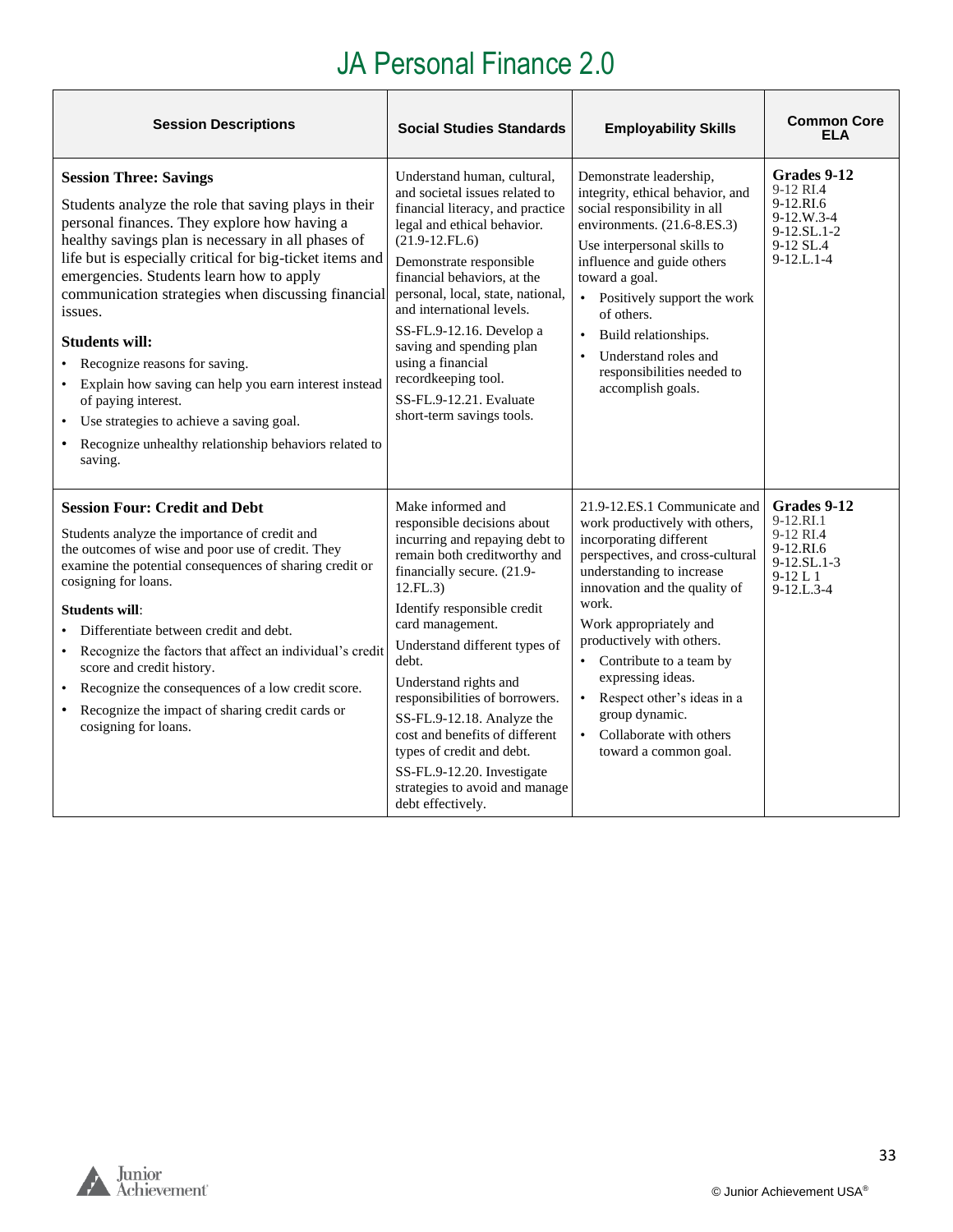| <b>Session Descriptions</b>                                                                                                                                                                                                                                                                                                                                                                                                                                                                                                                                                                                                                       | <b>Social Studies Standards</b>                                                                                                                                                                                                                                                                                                                                                                                                                                                                        | <b>Employability Skills</b>                                                                                                                                                                                                                                                                                                                                                                                                                 | <b>Common Core</b><br>ELA                                                                                      |
|---------------------------------------------------------------------------------------------------------------------------------------------------------------------------------------------------------------------------------------------------------------------------------------------------------------------------------------------------------------------------------------------------------------------------------------------------------------------------------------------------------------------------------------------------------------------------------------------------------------------------------------------------|--------------------------------------------------------------------------------------------------------------------------------------------------------------------------------------------------------------------------------------------------------------------------------------------------------------------------------------------------------------------------------------------------------------------------------------------------------------------------------------------------------|---------------------------------------------------------------------------------------------------------------------------------------------------------------------------------------------------------------------------------------------------------------------------------------------------------------------------------------------------------------------------------------------------------------------------------------------|----------------------------------------------------------------------------------------------------------------|
| <b>Session Three: Savings</b><br>Students analyze the role that saving plays in their<br>personal finances. They explore how having a<br>healthy savings plan is necessary in all phases of<br>life but is especially critical for big-ticket items and<br>emergencies. Students learn how to apply<br>communication strategies when discussing financial<br>issues.<br><b>Students will:</b><br>Recognize reasons for saving.<br>$\bullet$<br>• Explain how saving can help you earn interest instead<br>of paying interest.<br>• Use strategies to achieve a saving goal.<br>• Recognize unhealthy relationship behaviors related to<br>saving. | Understand human, cultural,<br>and societal issues related to<br>financial literacy, and practice<br>legal and ethical behavior.<br>$(21.9-12.FL.6)$<br>Demonstrate responsible<br>financial behaviors, at the<br>personal, local, state, national,<br>and international levels.<br>SS-FL.9-12.16. Develop a<br>saving and spending plan<br>using a financial<br>recordkeeping tool.<br>SS-FL.9-12.21. Evaluate<br>short-term savings tools.                                                           | Demonstrate leadership,<br>integrity, ethical behavior, and<br>social responsibility in all<br>environments. (21.6-8.ES.3)<br>Use interpersonal skills to<br>influence and guide others<br>toward a goal.<br>• Positively support the work<br>of others.<br>Build relationships.<br>Understand roles and<br>responsibilities needed to<br>accomplish goals.                                                                                 | Grades 9-12<br>9-12 RI.4<br>9-12.RI.6<br>$9-12$ , W.3-4<br>$9-12$ .SL.1-2<br>9-12 SL.4<br>$9 - 12$ .L. $1 - 4$ |
| <b>Session Four: Credit and Debt</b><br>Students analyze the importance of credit and<br>the outcomes of wise and poor use of credit. They<br>examine the potential consequences of sharing credit or<br>cosigning for loans.<br><b>Students will:</b><br>Differentiate between credit and debt.<br>Recognize the factors that affect an individual's credit<br>$\bullet$<br>score and credit history.<br>Recognize the consequences of a low credit score.<br>$\bullet$<br>Recognize the impact of sharing credit cards or<br>cosigning for loans.                                                                                               | Make informed and<br>responsible decisions about<br>incurring and repaying debt to<br>remain both creditworthy and<br>financially secure. (21.9-<br>12.FL.3)<br>Identify responsible credit<br>card management.<br>Understand different types of<br>debt.<br>Understand rights and<br>responsibilities of borrowers.<br>SS-FL.9-12.18. Analyze the<br>cost and benefits of different<br>types of credit and debt.<br>SS-FL.9-12.20. Investigate<br>strategies to avoid and manage<br>debt effectively. | 21.9-12.ES.1 Communicate and<br>work productively with others,<br>incorporating different<br>perspectives, and cross-cultural<br>understanding to increase<br>innovation and the quality of<br>work.<br>Work appropriately and<br>productively with others.<br>Contribute to a team by<br>$\bullet$<br>expressing ideas.<br>• Respect other's ideas in a<br>group dynamic.<br>Collaborate with others<br>$\bullet$<br>toward a common goal. | Grades 9-12<br>9-12.RI.1<br>9-12 RI.4<br>9-12.RI.6<br>$9-12.SL.1-3$<br>$9-12L1$<br>$9 - 12$ .L.3-4             |

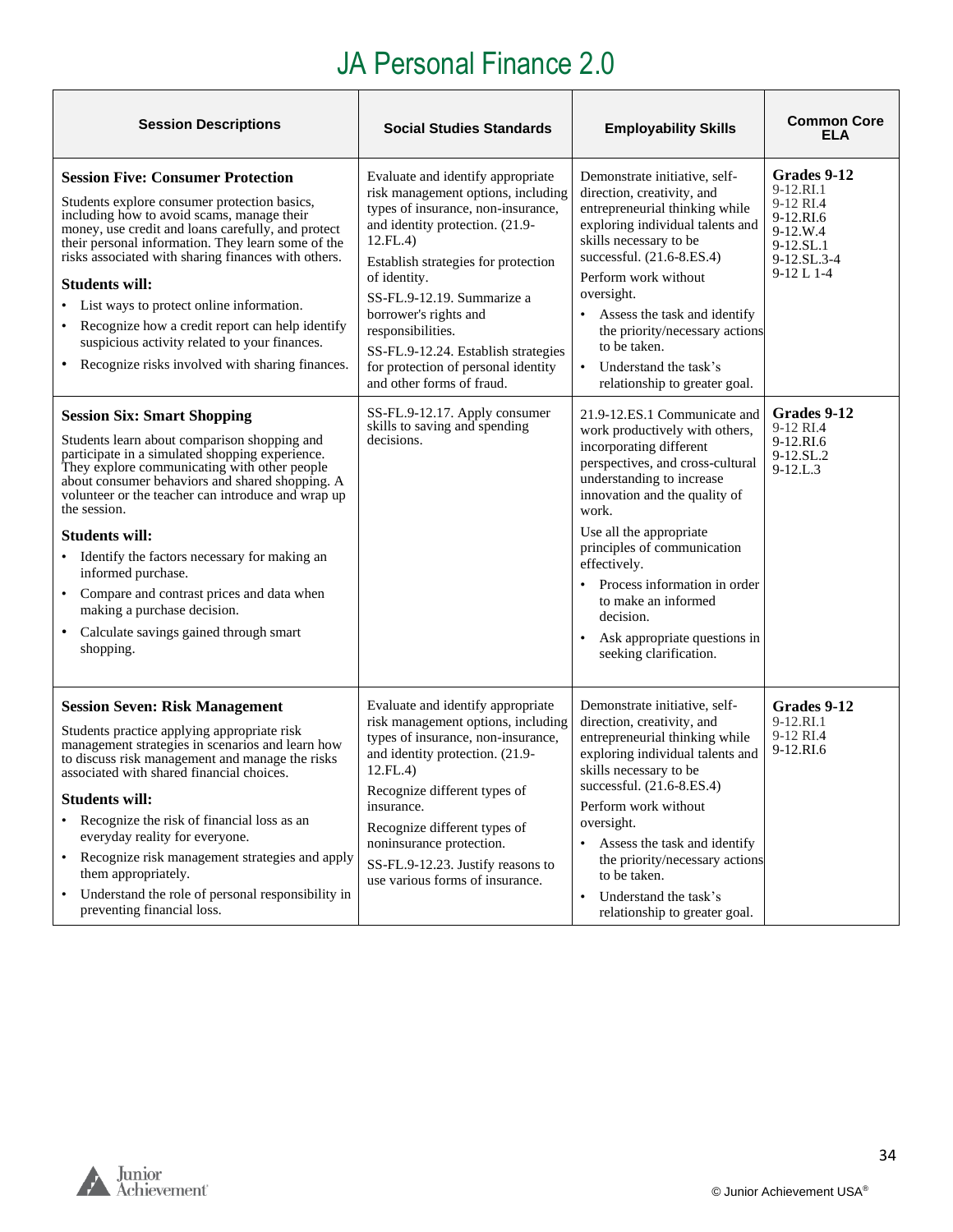| <b>Session Descriptions</b>                                                                                                                                                                                                                                                                                                                                                                                                                                                                                                                                       | <b>Social Studies Standards</b>                                                                                                                                                                                                                                                                                                                                                                            | <b>Employability Skills</b>                                                                                                                                                                                                                                                                                                                                                                                  | <b>Common Core</b><br><b>ELA</b>                                                                              |
|-------------------------------------------------------------------------------------------------------------------------------------------------------------------------------------------------------------------------------------------------------------------------------------------------------------------------------------------------------------------------------------------------------------------------------------------------------------------------------------------------------------------------------------------------------------------|------------------------------------------------------------------------------------------------------------------------------------------------------------------------------------------------------------------------------------------------------------------------------------------------------------------------------------------------------------------------------------------------------------|--------------------------------------------------------------------------------------------------------------------------------------------------------------------------------------------------------------------------------------------------------------------------------------------------------------------------------------------------------------------------------------------------------------|---------------------------------------------------------------------------------------------------------------|
| <b>Session Five: Consumer Protection</b><br>Students explore consumer protection basics,<br>including how to avoid scams, manage their<br>money, use credit and loans carefully, and protect<br>their personal information. They learn some of the<br>risks associated with sharing finances with others.<br><b>Students will:</b><br>• List ways to protect online information.<br>Recognize how a credit report can help identify<br>suspicious activity related to your finances.<br>• Recognize risks involved with sharing finances.                         | Evaluate and identify appropriate<br>risk management options, including<br>types of insurance, non-insurance,<br>and identity protection. (21.9-<br>12.FL.4)<br>Establish strategies for protection<br>of identity.<br>SS-FL.9-12.19. Summarize a<br>borrower's rights and<br>responsibilities.<br>SS-FL.9-12.24. Establish strategies<br>for protection of personal identity<br>and other forms of fraud. | Demonstrate initiative, self-<br>direction, creativity, and<br>entrepreneurial thinking while<br>exploring individual talents and<br>skills necessary to be<br>successful. (21.6-8.ES.4)<br>Perform work without<br>oversight.<br>Assess the task and identify<br>the priority/necessary actions<br>to be taken.<br>Understand the task's<br>$\bullet$<br>relationship to greater goal.                      | Grades 9-12<br>9-12.RI.1<br>9-12 RI.4<br>9-12.RI.6<br>$9-12.W.4$<br>$9-12.SL.1$<br>9-12.SL.3-4<br>$9-12 L1-4$ |
| <b>Session Six: Smart Shopping</b><br>Students learn about comparison shopping and<br>participate in a simulated shopping experience.<br>They explore communicating with other people<br>about consumer behaviors and shared shopping. A<br>volunteer or the teacher can introduce and wrap up<br>the session.<br><b>Students will:</b><br>• Identify the factors necessary for making an<br>informed purchase.<br>• Compare and contrast prices and data when<br>making a purchase decision.<br>Calculate savings gained through smart<br>$\bullet$<br>shopping. | SS-FL.9-12.17. Apply consumer<br>skills to saving and spending<br>decisions.                                                                                                                                                                                                                                                                                                                               | 21.9-12.ES.1 Communicate and<br>work productively with others,<br>incorporating different<br>perspectives, and cross-cultural<br>understanding to increase<br>innovation and the quality of<br>work.<br>Use all the appropriate<br>principles of communication<br>effectively.<br>Process information in order<br>to make an informed<br>decision.<br>Ask appropriate questions in<br>seeking clarification. | Grades 9-12<br>9-12 RI.4<br>9-12.RI.6<br>$9-12$ .SL.2<br>$9 - 12$ .L.3                                        |
| <b>Session Seven: Risk Management</b><br>Students practice applying appropriate risk<br>management strategies in scenarios and learn how<br>to discuss risk management and manage the risks<br>associated with shared financial choices.<br>Students will:<br>Recognize the risk of financial loss as an<br>everyday reality for everyone.<br>Recognize risk management strategies and apply<br>them appropriately.<br>Understand the role of personal responsibility in<br>$\bullet$<br>preventing financial loss.                                               | Evaluate and identify appropriate<br>risk management options, including<br>types of insurance, non-insurance,<br>and identity protection. (21.9-<br>12.FL.4<br>Recognize different types of<br>insurance.<br>Recognize different types of<br>noninsurance protection.<br>SS-FL.9-12.23. Justify reasons to<br>use various forms of insurance.                                                              | Demonstrate initiative, self-<br>direction, creativity, and<br>entrepreneurial thinking while<br>exploring individual talents and<br>skills necessary to be<br>successful. (21.6-8.ES.4)<br>Perform work without<br>oversight.<br>Assess the task and identify<br>the priority/necessary actions<br>to be taken.<br>Understand the task's<br>relationship to greater goal.                                   | Grades 9-12<br>9-12.RI.1<br>9-12 RI.4<br>9-12.RI.6                                                            |

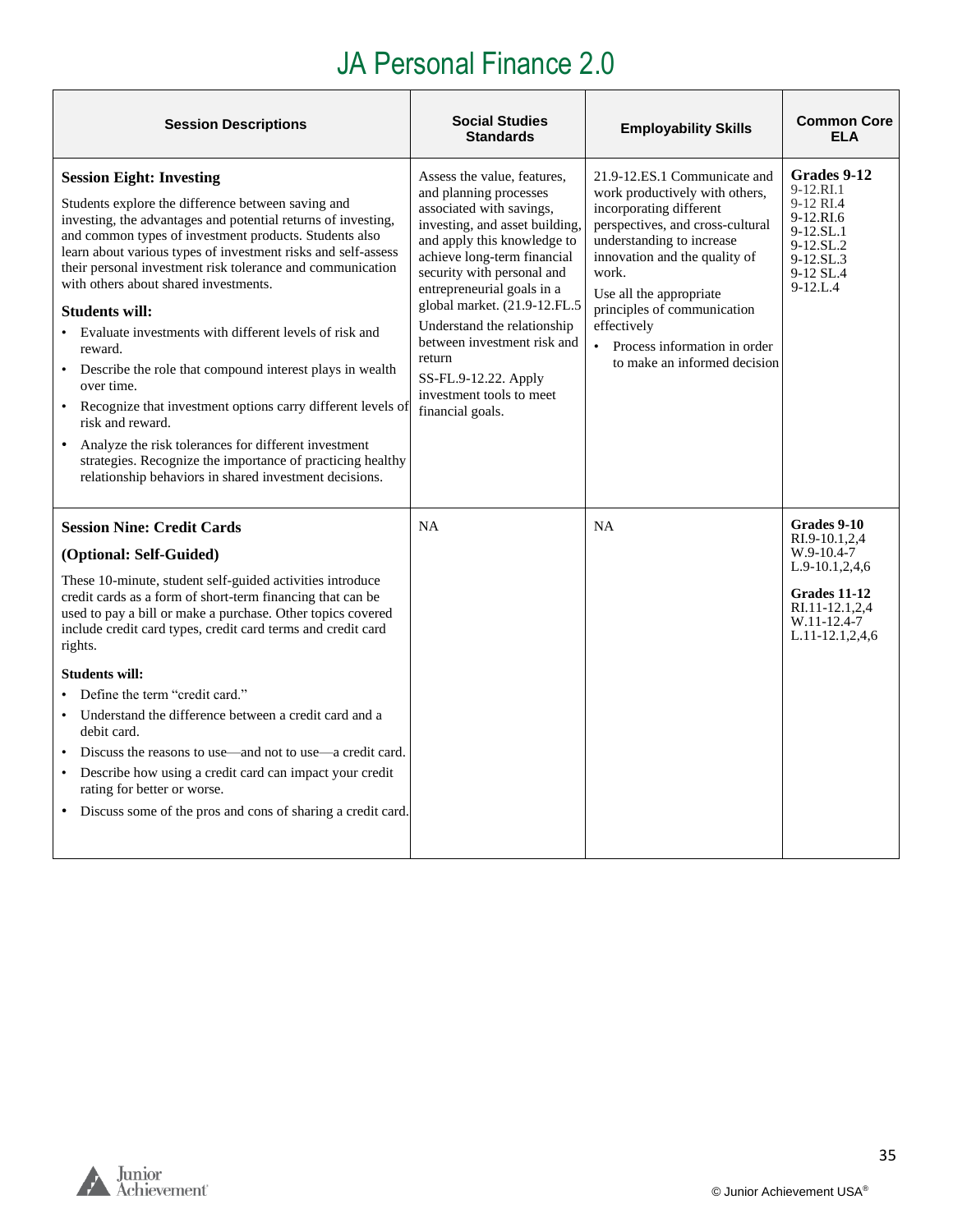| <b>Session Descriptions</b>                                                                                                                                                                                                                                                                                                                                                                                                                                                                                                                                                                                                                                                                                                                                                                                                         | <b>Social Studies</b><br><b>Standards</b>                                                                                                                                                                                                                                                                                                                                                                                     | <b>Employability Skills</b>                                                                                                                                                                                                                                                                                                                     | <b>Common Core</b><br><b>ELA</b>                                                                                                        |
|-------------------------------------------------------------------------------------------------------------------------------------------------------------------------------------------------------------------------------------------------------------------------------------------------------------------------------------------------------------------------------------------------------------------------------------------------------------------------------------------------------------------------------------------------------------------------------------------------------------------------------------------------------------------------------------------------------------------------------------------------------------------------------------------------------------------------------------|-------------------------------------------------------------------------------------------------------------------------------------------------------------------------------------------------------------------------------------------------------------------------------------------------------------------------------------------------------------------------------------------------------------------------------|-------------------------------------------------------------------------------------------------------------------------------------------------------------------------------------------------------------------------------------------------------------------------------------------------------------------------------------------------|-----------------------------------------------------------------------------------------------------------------------------------------|
| <b>Session Eight: Investing</b><br>Students explore the difference between saving and<br>investing, the advantages and potential returns of investing,<br>and common types of investment products. Students also<br>learn about various types of investment risks and self-assess<br>their personal investment risk tolerance and communication<br>with others about shared investments.<br><b>Students will:</b><br>Evaluate investments with different levels of risk and<br>reward.<br>Describe the role that compound interest plays in wealth<br>over time.<br>Recognize that investment options carry different levels of<br>risk and reward.<br>Analyze the risk tolerances for different investment<br>strategies. Recognize the importance of practicing healthy<br>relationship behaviors in shared investment decisions. | Assess the value, features,<br>and planning processes<br>associated with savings,<br>investing, and asset building,<br>and apply this knowledge to<br>achieve long-term financial<br>security with personal and<br>entrepreneurial goals in a<br>global market. (21.9-12.FL.5<br>Understand the relationship<br>between investment risk and<br>return<br>SS-FL.9-12.22. Apply<br>investment tools to meet<br>financial goals. | 21.9-12.ES.1 Communicate and<br>work productively with others,<br>incorporating different<br>perspectives, and cross-cultural<br>understanding to increase<br>innovation and the quality of<br>work.<br>Use all the appropriate<br>principles of communication<br>effectively<br>• Process information in order<br>to make an informed decision | Grades 9-12<br>9-12.RI.1<br>9-12 RI.4<br>9-12.RI.6<br>9-12.SL.1<br>9-12.SL.2<br>$9-12$ .SL.3<br>9-12 SL.4<br>$9-12.L.4$                 |
| <b>Session Nine: Credit Cards</b><br>(Optional: Self-Guided)<br>These 10-minute, student self-guided activities introduce<br>credit cards as a form of short-term financing that can be<br>used to pay a bill or make a purchase. Other topics covered<br>include credit card types, credit card terms and credit card<br>rights.<br><b>Students will:</b><br>Define the term "credit card."<br>Understand the difference between a credit card and a<br>debit card.<br>Discuss the reasons to use—and not to use—a credit card.<br>Describe how using a credit card can impact your credit<br>$\bullet$<br>rating for better or worse.<br>• Discuss some of the pros and cons of sharing a credit card.                                                                                                                            | <b>NA</b>                                                                                                                                                                                                                                                                                                                                                                                                                     | <b>NA</b>                                                                                                                                                                                                                                                                                                                                       | Grades 9-10<br>RI.9-10.1,2,4<br>$W.9-10.4-7$<br>$L.9-10.1, 2, 4, 6$<br>Grades 11-12<br>RI.11-12.1,2,4<br>W.11-12.4-7<br>L.11-12.1,2,4,6 |

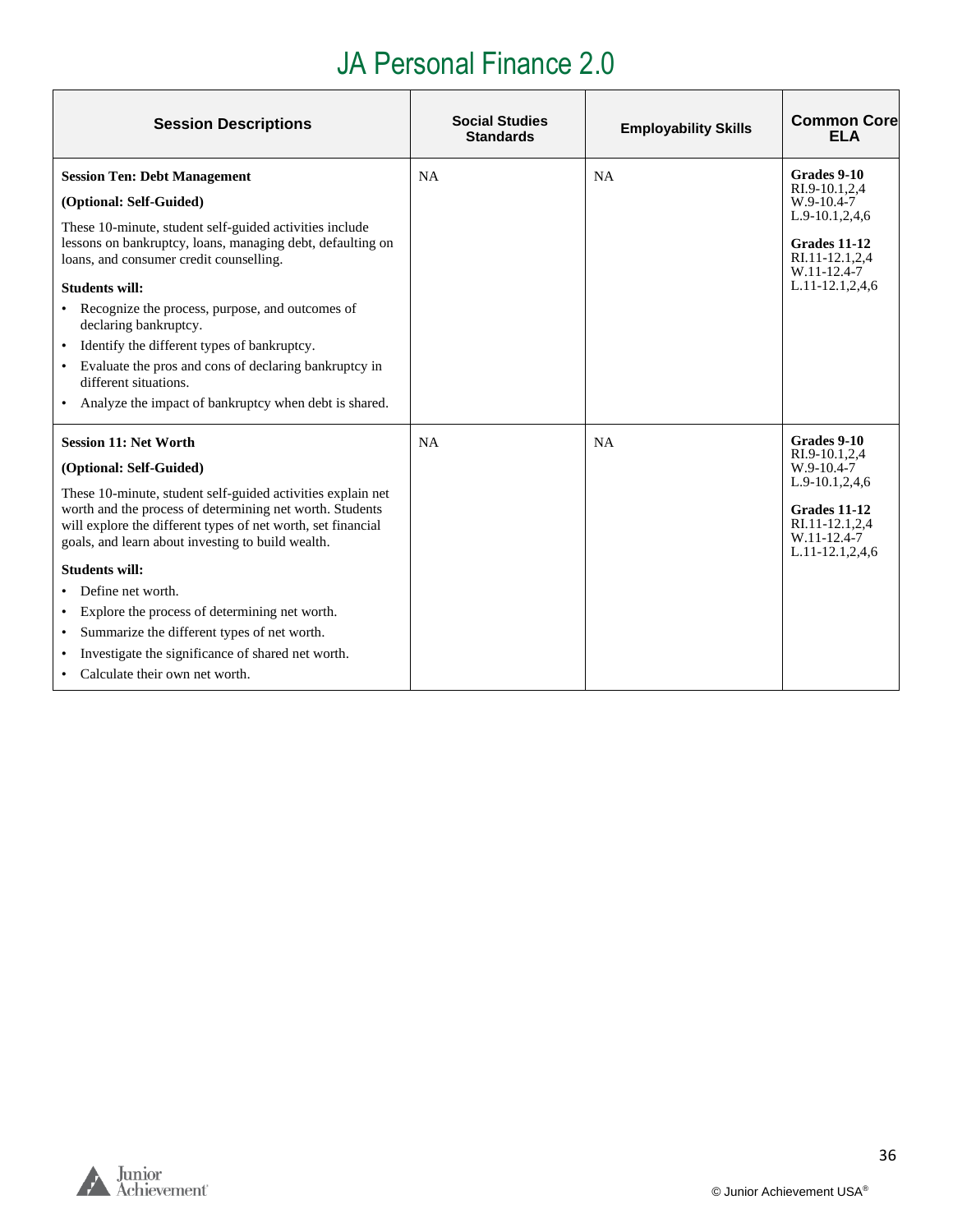| <b>Session Descriptions</b>                                                                                                                                                                                                                  | <b>Social Studies</b><br><b>Standards</b> | <b>Employability Skills</b> | <b>Common Core</b><br><b>ELA</b>                                                        |
|----------------------------------------------------------------------------------------------------------------------------------------------------------------------------------------------------------------------------------------------|-------------------------------------------|-----------------------------|-----------------------------------------------------------------------------------------|
| <b>Session Ten: Debt Management</b>                                                                                                                                                                                                          | <b>NA</b>                                 | <b>NA</b>                   | Grades 9-10<br>RI.9-10.1,2,4                                                            |
| (Optional: Self-Guided)                                                                                                                                                                                                                      |                                           |                             | W.9-10.4-7                                                                              |
| These 10-minute, student self-guided activities include<br>lessons on bankruptcy, loans, managing debt, defaulting on<br>loans, and consumer credit counselling.                                                                             |                                           |                             | L.9-10.1,2,4,6<br>Grades 11-12<br>RI.11-12.1,2,4<br>W.11-12.4-7                         |
| Students will:                                                                                                                                                                                                                               |                                           |                             | $L.11-12.1, 2, 4, 6$                                                                    |
| Recognize the process, purpose, and outcomes of<br>declaring bankruptcy.                                                                                                                                                                     |                                           |                             |                                                                                         |
| Identify the different types of bankruptcy.<br>$\bullet$                                                                                                                                                                                     |                                           |                             |                                                                                         |
| Evaluate the pros and cons of declaring bankruptcy in<br>different situations.                                                                                                                                                               |                                           |                             |                                                                                         |
| Analyze the impact of bankruptcy when debt is shared.                                                                                                                                                                                        |                                           |                             |                                                                                         |
| <b>Session 11: Net Worth</b>                                                                                                                                                                                                                 | NA                                        | NA                          | Grades 9-10<br>RI.9-10.1.2.4                                                            |
| (Optional: Self-Guided)                                                                                                                                                                                                                      |                                           |                             | W.9-10.4-7                                                                              |
| These 10-minute, student self-guided activities explain net<br>worth and the process of determining net worth. Students<br>will explore the different types of net worth, set financial<br>goals, and learn about investing to build wealth. |                                           |                             | L.9-10.1,2,4,6<br>Grades 11-12<br>RI.11-12.1,2,4<br>W.11-12.4-7<br>$L.11-12.1, 2, 4, 6$ |
| <b>Students will:</b>                                                                                                                                                                                                                        |                                           |                             |                                                                                         |
| Define net worth.                                                                                                                                                                                                                            |                                           |                             |                                                                                         |
| Explore the process of determining net worth.                                                                                                                                                                                                |                                           |                             |                                                                                         |
| Summarize the different types of net worth.                                                                                                                                                                                                  |                                           |                             |                                                                                         |
| Investigate the significance of shared net worth.                                                                                                                                                                                            |                                           |                             |                                                                                         |
| Calculate their own net worth.                                                                                                                                                                                                               |                                           |                             |                                                                                         |

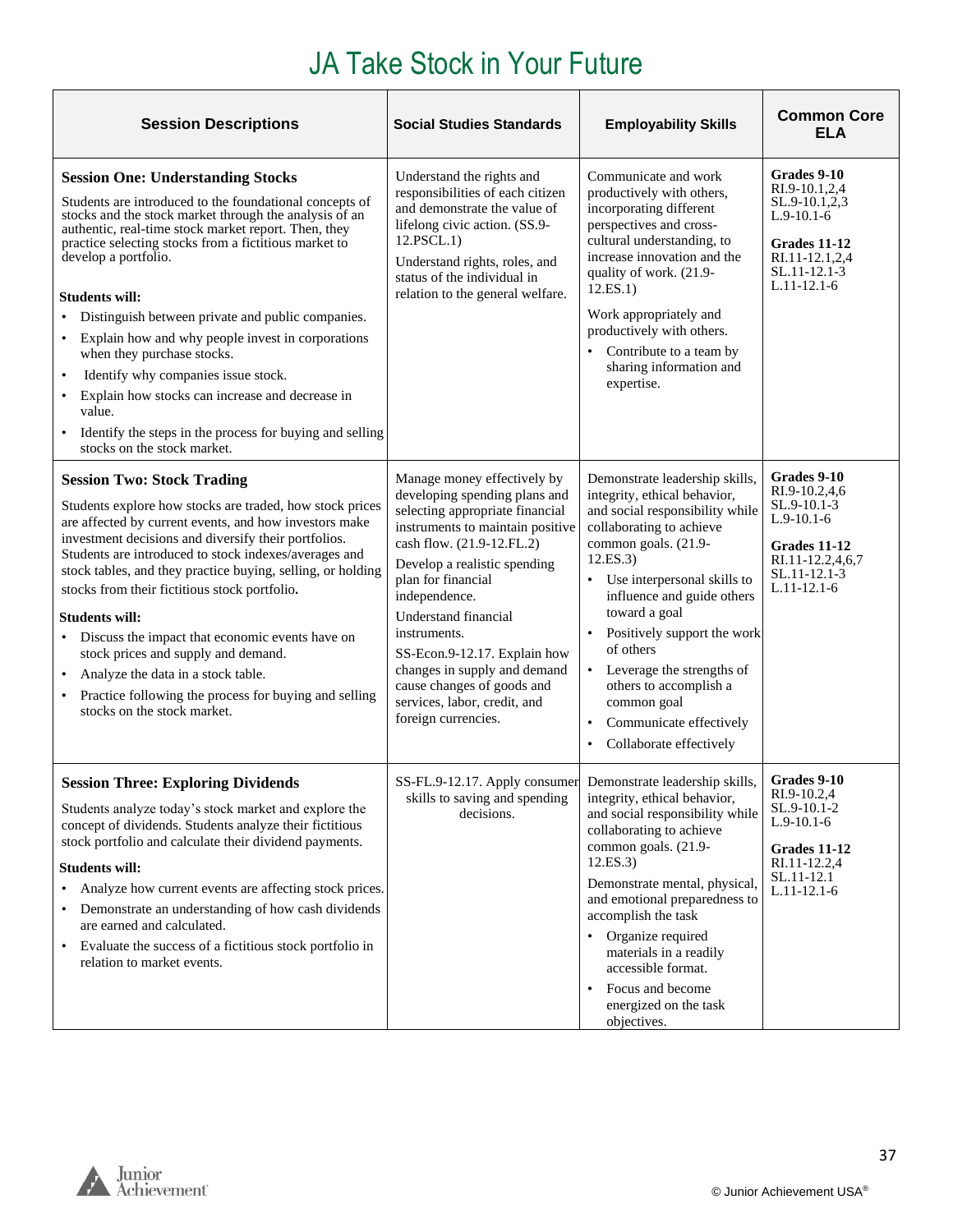<span id="page-36-0"></span>

| <b>Session Descriptions</b>                                                                                                                                                                                                                                                                                                                                                                                                                                                                                                                                                                                                                                                    | <b>Social Studies Standards</b>                                                                                                                                                                                                                                                                                                                                                                                                      | <b>Employability Skills</b>                                                                                                                                                                                                                                                                                                                                                                                                                         | <b>Common Core</b><br>ELA                                                                                                        |
|--------------------------------------------------------------------------------------------------------------------------------------------------------------------------------------------------------------------------------------------------------------------------------------------------------------------------------------------------------------------------------------------------------------------------------------------------------------------------------------------------------------------------------------------------------------------------------------------------------------------------------------------------------------------------------|--------------------------------------------------------------------------------------------------------------------------------------------------------------------------------------------------------------------------------------------------------------------------------------------------------------------------------------------------------------------------------------------------------------------------------------|-----------------------------------------------------------------------------------------------------------------------------------------------------------------------------------------------------------------------------------------------------------------------------------------------------------------------------------------------------------------------------------------------------------------------------------------------------|----------------------------------------------------------------------------------------------------------------------------------|
| <b>Session One: Understanding Stocks</b><br>Students are introduced to the foundational concepts of<br>stocks and the stock market through the analysis of an<br>authentic, real-time stock market report. Then, they<br>practice selecting stocks from a fictitious market to<br>develop a portfolio.<br><b>Students will:</b><br>• Distinguish between private and public companies.<br>• Explain how and why people invest in corporations<br>when they purchase stocks.<br>Identify why companies issue stock.<br>• Explain how stocks can increase and decrease in<br>value.<br>• Identify the steps in the process for buying and selling<br>stocks on the stock market. | Understand the rights and<br>responsibilities of each citizen<br>and demonstrate the value of<br>lifelong civic action. (SS.9-<br>12.PSCL.1)<br>Understand rights, roles, and<br>status of the individual in<br>relation to the general welfare.                                                                                                                                                                                     | Communicate and work<br>productively with others,<br>incorporating different<br>perspectives and cross-<br>cultural understanding, to<br>increase innovation and the<br>quality of work. (21.9-<br>12.ES.1)<br>Work appropriately and<br>productively with others.<br>• Contribute to a team by<br>sharing information and<br>expertise.                                                                                                            | Grades 9-10<br>RI.9-10.1,2,4<br>SL.9-10.1,2,3<br>$L.9-10.1-6$<br>Grades 11-12<br>RI.11-12.1,2,4<br>SL.11-12.1-3<br>$L.11-12.1-6$ |
| <b>Session Two: Stock Trading</b><br>Students explore how stocks are traded, how stock prices<br>are affected by current events, and how investors make<br>investment decisions and diversify their portfolios.<br>Students are introduced to stock indexes/averages and<br>stock tables, and they practice buying, selling, or holding<br>stocks from their fictitious stock portfolio.<br><b>Students will:</b><br>• Discuss the impact that economic events have on<br>stock prices and supply and demand.<br>Analyze the data in a stock table.<br>• Practice following the process for buying and selling<br>stocks on the stock market.                                  | Manage money effectively by<br>developing spending plans and<br>selecting appropriate financial<br>instruments to maintain positive<br>cash flow. (21.9-12.FL.2)<br>Develop a realistic spending<br>plan for financial<br>independence.<br>Understand financial<br>instruments.<br>SS-Econ.9-12.17. Explain how<br>changes in supply and demand<br>cause changes of goods and<br>services, labor, credit, and<br>foreign currencies. | Demonstrate leadership skills,<br>integrity, ethical behavior,<br>and social responsibility while<br>collaborating to achieve<br>common goals. (21.9-<br>12.ES.3)<br>Use interpersonal skills to<br>influence and guide others<br>toward a goal<br>Positively support the work<br>$\bullet$<br>of others<br>• Leverage the strengths of<br>others to accomplish a<br>common goal<br>Communicate effectively<br>Collaborate effectively<br>$\bullet$ | Grades 9-10<br>RI.9-10.2,4,6<br>SL.9-10.1-3<br>$L.9-10.1-6$<br>Grades 11-12<br>RI.11-12.2,4,6,7<br>SL.11-12.1-3<br>$L.11-12.1-6$ |
| <b>Session Three: Exploring Dividends</b><br>Students analyze today's stock market and explore the<br>concept of dividends. Students analyze their fictitious<br>stock portfolio and calculate their dividend payments.<br><b>Students will:</b><br>Analyze how current events are affecting stock prices.<br>• Demonstrate an understanding of how cash dividends<br>are earned and calculated.<br>• Evaluate the success of a fictitious stock portfolio in<br>relation to market events.                                                                                                                                                                                    | SS-FL.9-12.17. Apply consumer Demonstrate leadership skills,<br>skills to saving and spending<br>decisions.                                                                                                                                                                                                                                                                                                                          | integrity, ethical behavior,<br>and social responsibility while<br>collaborating to achieve<br>common goals. (21.9-<br>12.ES.3)<br>Demonstrate mental, physical,<br>and emotional preparedness to<br>accomplish the task<br>Organize required<br>materials in a readily<br>accessible format.<br>Focus and become<br>energized on the task<br>objectives.                                                                                           | Grades 9-10<br>RI.9-10.2,4<br>$SL.9-10.1-2$<br>$L.9-10.1-6$<br>Grades 11-12<br>RI.11-12.2,4<br>SL.11-12.1<br>$L.11-12.1-6$       |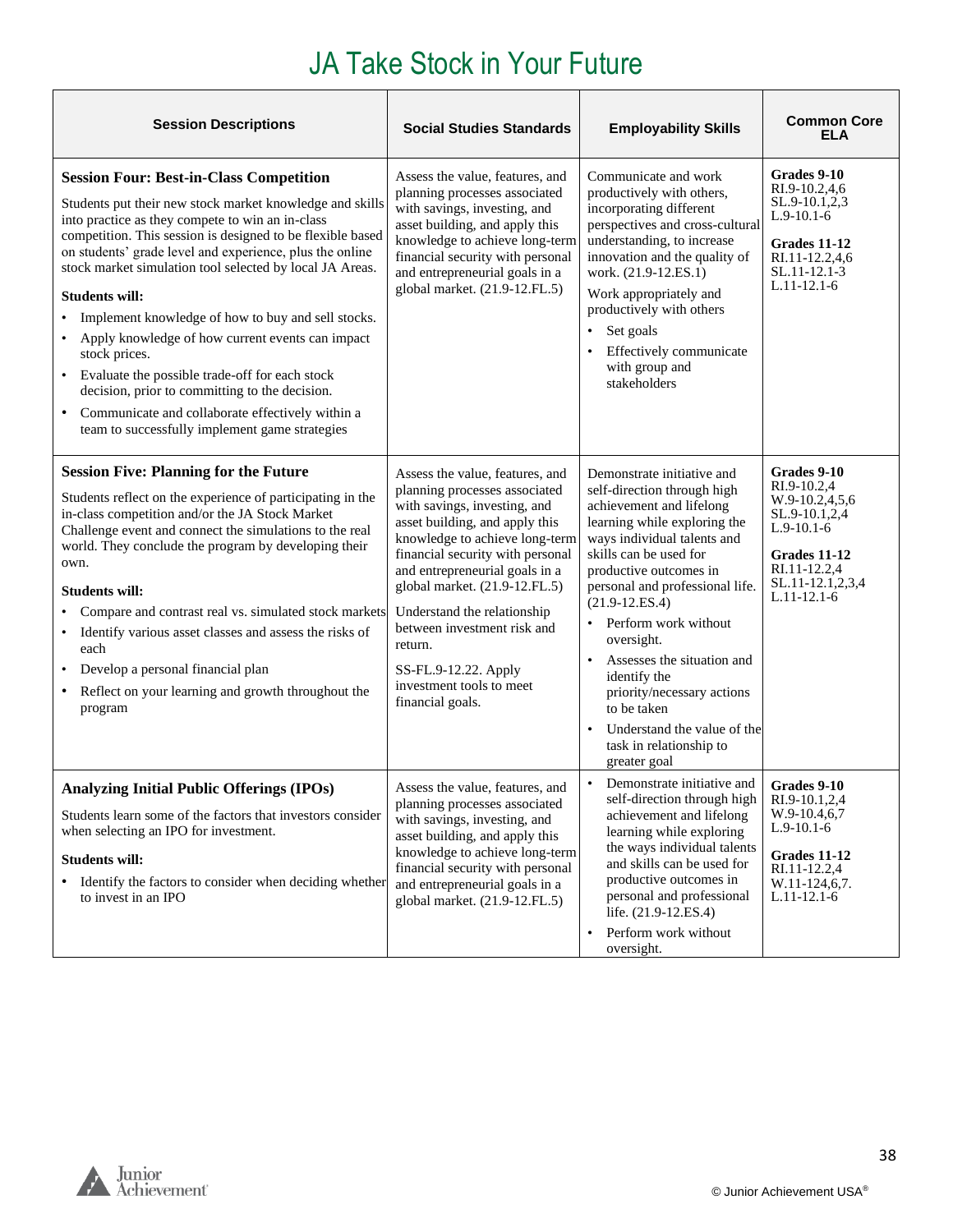| <b>Session Descriptions</b>                                                                                                                                                                                                                                                                                                                                                                                                                                                                                                                                                                                                                                                                                            | <b>Social Studies Standards</b>                                                                                                                                                                                                                                                                                                                                                                                              | <b>Employability Skills</b>                                                                                                                                                                                                                                                                                                                                                                                                                                                             | <b>Common Core</b><br>ELA                                                                                                                          |
|------------------------------------------------------------------------------------------------------------------------------------------------------------------------------------------------------------------------------------------------------------------------------------------------------------------------------------------------------------------------------------------------------------------------------------------------------------------------------------------------------------------------------------------------------------------------------------------------------------------------------------------------------------------------------------------------------------------------|------------------------------------------------------------------------------------------------------------------------------------------------------------------------------------------------------------------------------------------------------------------------------------------------------------------------------------------------------------------------------------------------------------------------------|-----------------------------------------------------------------------------------------------------------------------------------------------------------------------------------------------------------------------------------------------------------------------------------------------------------------------------------------------------------------------------------------------------------------------------------------------------------------------------------------|----------------------------------------------------------------------------------------------------------------------------------------------------|
| <b>Session Four: Best-in-Class Competition</b><br>Students put their new stock market knowledge and skills<br>into practice as they compete to win an in-class<br>competition. This session is designed to be flexible based<br>on students' grade level and experience, plus the online<br>stock market simulation tool selected by local JA Areas.<br><b>Students will:</b><br>Implement knowledge of how to buy and sell stocks.<br>Apply knowledge of how current events can impact<br>stock prices.<br>• Evaluate the possible trade-off for each stock<br>decision, prior to committing to the decision.<br>• Communicate and collaborate effectively within a<br>team to successfully implement game strategies | Assess the value, features, and<br>planning processes associated<br>with savings, investing, and<br>asset building, and apply this<br>knowledge to achieve long-term<br>financial security with personal<br>and entrepreneurial goals in a<br>global market. (21.9-12.FL.5)                                                                                                                                                  | Communicate and work<br>productively with others,<br>incorporating different<br>perspectives and cross-cultural<br>understanding, to increase<br>innovation and the quality of<br>work. (21.9-12.ES.1)<br>Work appropriately and<br>productively with others<br>Set goals<br>Effectively communicate<br>with group and<br>stakeholders                                                                                                                                                  | Grades 9-10<br>RI.9-10.2,4,6<br>SL.9-10.1,2,3<br>$L.9-10.1-6$<br>Grades 11-12<br>RI.11-12.2,4,6<br>SL.11-12.1-3<br>$L.11-12.1-6$                   |
| <b>Session Five: Planning for the Future</b><br>Students reflect on the experience of participating in the<br>in-class competition and/or the JA Stock Market<br>Challenge event and connect the simulations to the real<br>world. They conclude the program by developing their<br>own.<br><b>Students will:</b><br>Compare and contrast real vs. simulated stock markets<br>Identify various asset classes and assess the risks of<br>$\bullet$<br>each<br>Develop a personal financial plan<br>$\bullet$<br>Reflect on your learning and growth throughout the<br>program                                                                                                                                           | Assess the value, features, and<br>planning processes associated<br>with savings, investing, and<br>asset building, and apply this<br>knowledge to achieve long-term<br>financial security with personal<br>and entrepreneurial goals in a<br>global market. (21.9-12.FL.5)<br>Understand the relationship<br>between investment risk and<br>return.<br>SS-FL.9-12.22. Apply<br>investment tools to meet<br>financial goals. | Demonstrate initiative and<br>self-direction through high<br>achievement and lifelong<br>learning while exploring the<br>ways individual talents and<br>skills can be used for<br>productive outcomes in<br>personal and professional life.<br>$(21.9-12.ES.4)$<br>Perform work without<br>oversight.<br>Assesses the situation and<br>$\bullet$<br>identify the<br>priority/necessary actions<br>to be taken<br>Understand the value of the<br>task in relationship to<br>greater goal | Grades 9-10<br>RI.9-10.2,4<br>W.9-10.2,4,5,6<br>SL.9-10.1,2,4<br>$L.9-10.1-6$<br>Grades 11-12<br>RI.11-12.2,4<br>SL.11-12.1,2,3,4<br>$L.11-12.1-6$ |
| <b>Analyzing Initial Public Offerings (IPOs)</b><br>Students learn some of the factors that investors consider<br>when selecting an IPO for investment.<br><b>Students will:</b><br>• Identify the factors to consider when deciding whether<br>to invest in an IPO                                                                                                                                                                                                                                                                                                                                                                                                                                                    | Assess the value, features, and<br>planning processes associated<br>with savings, investing, and<br>asset building, and apply this<br>knowledge to achieve long-term<br>financial security with personal<br>and entrepreneurial goals in a<br>global market. (21.9-12.FL.5)                                                                                                                                                  | Demonstrate initiative and<br>self-direction through high<br>achievement and lifelong<br>learning while exploring<br>the ways individual talents<br>and skills can be used for<br>productive outcomes in<br>personal and professional<br>life. (21.9-12.ES.4)<br>Perform work without<br>$\bullet$<br>oversight.                                                                                                                                                                        | Grades 9-10<br>RI.9-10.1,2,4<br>W.9-10.4,6,7<br>$L.9-10.1-6$<br><b>Grades 11-12</b><br>RI.11-12.2,4<br>W.11-124,6,7.<br>$L.11-12.1-6$              |

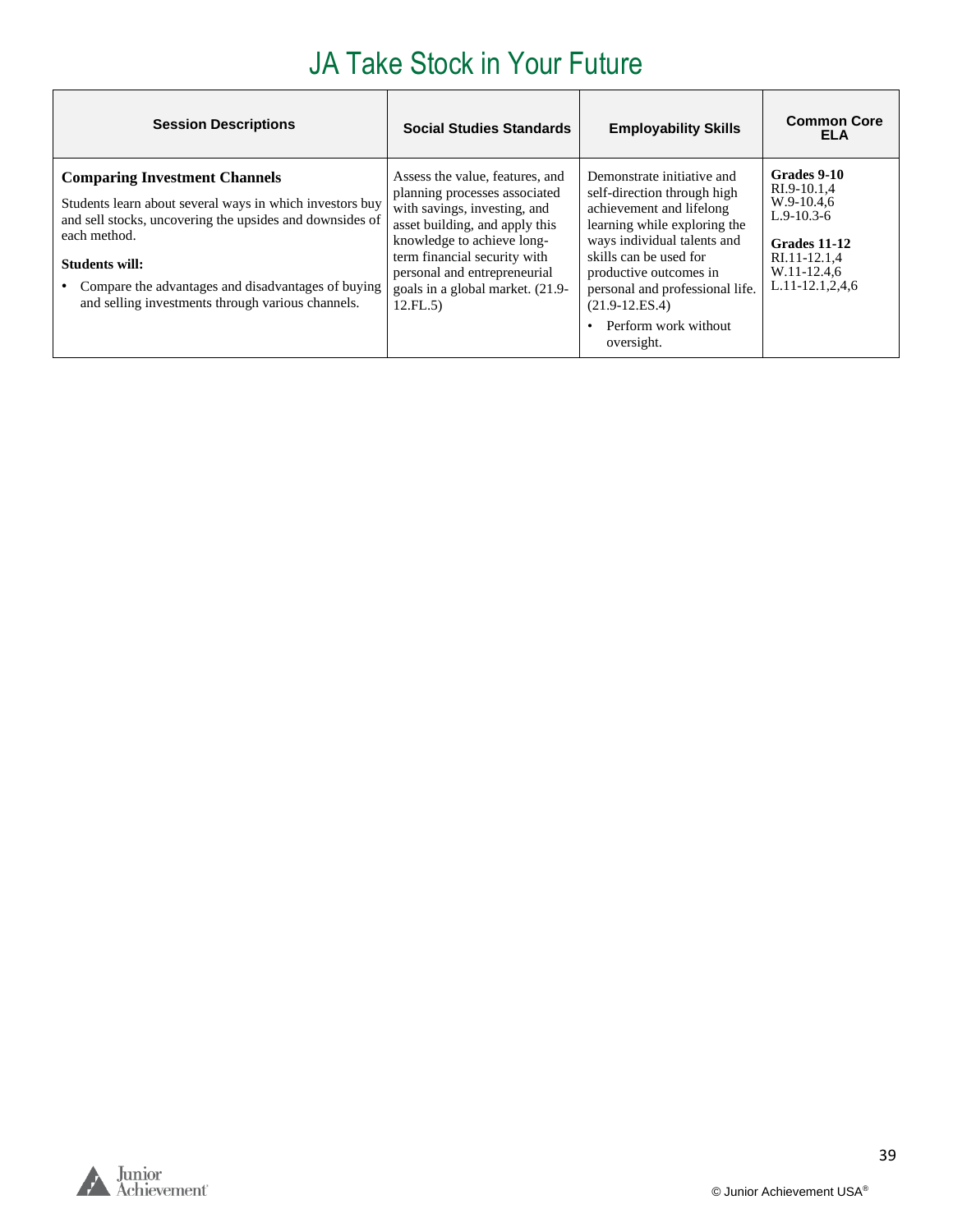| <b>Session Descriptions</b>                                                                                                                                                                                                                                                                                      | <b>Social Studies Standards</b>                                                                                                                                                                                                                                                  | <b>Employability Skills</b>                                                                                                                                                                                                                                                                              | <b>Common Core</b><br>ELA                                                                                                  |
|------------------------------------------------------------------------------------------------------------------------------------------------------------------------------------------------------------------------------------------------------------------------------------------------------------------|----------------------------------------------------------------------------------------------------------------------------------------------------------------------------------------------------------------------------------------------------------------------------------|----------------------------------------------------------------------------------------------------------------------------------------------------------------------------------------------------------------------------------------------------------------------------------------------------------|----------------------------------------------------------------------------------------------------------------------------|
| <b>Comparing Investment Channels</b><br>Students learn about several ways in which investors buy<br>and sell stocks, uncovering the upsides and downsides of<br>each method.<br><b>Students will:</b><br>Compare the advantages and disadvantages of buying<br>and selling investments through various channels. | Assess the value, features, and<br>planning processes associated<br>with savings, investing, and<br>asset building, and apply this<br>knowledge to achieve long-<br>term financial security with<br>personal and entrepreneurial<br>goals in a global market. (21.9-<br>12.FL.5) | Demonstrate initiative and<br>self-direction through high<br>achievement and lifelong<br>learning while exploring the<br>ways individual talents and<br>skills can be used for<br>productive outcomes in<br>personal and professional life.<br>$(21.9 - 12.E.S.4)$<br>Perform work without<br>oversight. | Grades 9-10<br>RI.9-10.1,4<br>W.9-10.4.6<br>$L.9-10.3-6$<br>Grades 11-12<br>RI.11-12.1,4<br>W.11-12.4,6<br>L.11-12.1,2,4,6 |

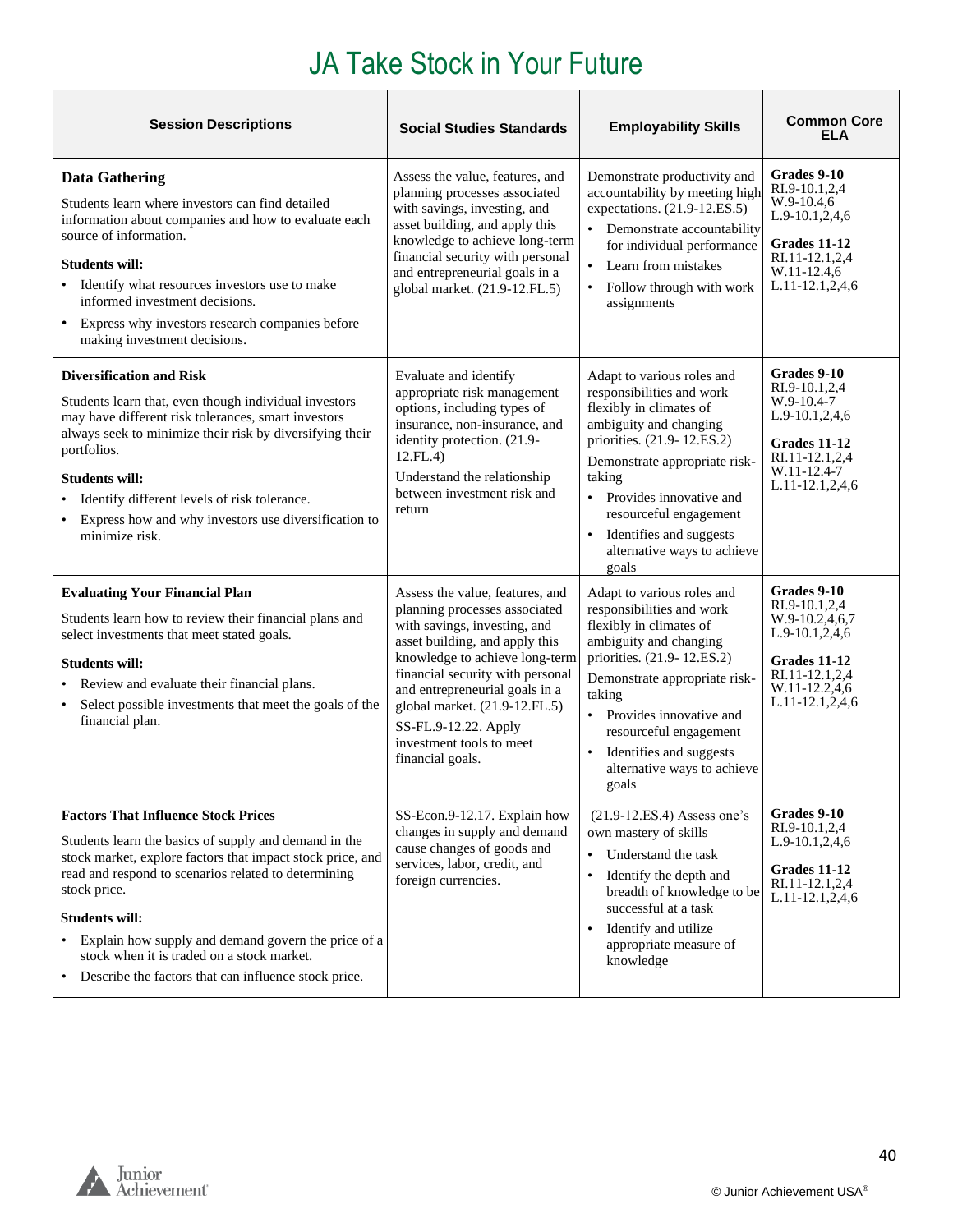| <b>Session Descriptions</b>                                                                                                                                                                                                                                                                                                                                                                                                                    | <b>Social Studies Standards</b>                                                                                                                                                                                                                                                                                                                     | <b>Employability Skills</b>                                                                                                                                                                                                                                                                                   | <b>Common Core</b><br><b>ELA</b>                                                                                                               |
|------------------------------------------------------------------------------------------------------------------------------------------------------------------------------------------------------------------------------------------------------------------------------------------------------------------------------------------------------------------------------------------------------------------------------------------------|-----------------------------------------------------------------------------------------------------------------------------------------------------------------------------------------------------------------------------------------------------------------------------------------------------------------------------------------------------|---------------------------------------------------------------------------------------------------------------------------------------------------------------------------------------------------------------------------------------------------------------------------------------------------------------|------------------------------------------------------------------------------------------------------------------------------------------------|
| <b>Data Gathering</b><br>Students learn where investors can find detailed<br>information about companies and how to evaluate each<br>source of information.<br><b>Students will:</b><br>• Identify what resources investors use to make<br>informed investment decisions.<br>• Express why investors research companies before<br>making investment decisions.                                                                                 | Assess the value, features, and<br>planning processes associated<br>with savings, investing, and<br>asset building, and apply this<br>knowledge to achieve long-term<br>financial security with personal<br>and entrepreneurial goals in a<br>global market. (21.9-12.FL.5)                                                                         | Demonstrate productivity and<br>accountability by meeting high<br>expectations. (21.9-12.ES.5)<br>Demonstrate accountability<br>for individual performance<br>Learn from mistakes<br>Follow through with work<br>assignments                                                                                  | Grades 9-10<br>RI.9-10.1.2.4<br>$W.9-10.4,6$<br>$L.9-10.1, 2, 4, 6$<br>Grades 11-12<br>RI.11-12.1,2,4<br>W.11-12.4,6<br>$L.11 - 12.1, 2, 4, 6$ |
| <b>Diversification and Risk</b><br>Students learn that, even though individual investors<br>may have different risk tolerances, smart investors<br>always seek to minimize their risk by diversifying their<br>portfolios.<br><b>Students will:</b><br>Identify different levels of risk tolerance.<br>Express how and why investors use diversification to<br>$\bullet$<br>minimize risk.                                                     | Evaluate and identify<br>appropriate risk management<br>options, including types of<br>insurance, non-insurance, and<br>identity protection. (21.9-<br>12.FL.4)<br>Understand the relationship<br>between investment risk and<br>return                                                                                                             | Adapt to various roles and<br>responsibilities and work<br>flexibly in climates of<br>ambiguity and changing<br>priorities. (21.9-12.ES.2)<br>Demonstrate appropriate risk-<br>taking<br>Provides innovative and<br>resourceful engagement<br>Identifies and suggests<br>alternative ways to achieve<br>goals | Grades 9-10<br>RI.9-10.1,2,4<br>W.9-10.4-7<br>$L.9-10.1, 2, 4, 6$<br>Grades 11-12<br>RI.11-12.1,2,4<br>W.11-12.4-7<br>$L.11-12.1, 2, 4, 6$     |
| <b>Evaluating Your Financial Plan</b><br>Students learn how to review their financial plans and<br>select investments that meet stated goals.<br><b>Students will:</b><br>Review and evaluate their financial plans.<br>Select possible investments that meet the goals of the<br>financial plan.                                                                                                                                              | Assess the value, features, and<br>planning processes associated<br>with savings, investing, and<br>asset building, and apply this<br>knowledge to achieve long-term<br>financial security with personal<br>and entrepreneurial goals in a<br>global market. (21.9-12.FL.5)<br>SS-FL.9-12.22. Apply<br>investment tools to meet<br>financial goals. | Adapt to various roles and<br>responsibilities and work<br>flexibly in climates of<br>ambiguity and changing<br>priorities. (21.9-12.ES.2)<br>Demonstrate appropriate risk-<br>taking<br>Provides innovative and<br>resourceful engagement<br>Identifies and suggests<br>alternative ways to achieve<br>goals | Grades 9-10<br>RI.9-10.1.2.4<br>W.9-10.2,4,6,7<br>L.9-10.1,2,4,6<br>Grades 11-12<br>RI.11-12.1,2,4<br>W.11-12.2,4,6<br>L.11-12.1,2,4,6         |
| <b>Factors That Influence Stock Prices</b><br>Students learn the basics of supply and demand in the<br>stock market, explore factors that impact stock price, and<br>read and respond to scenarios related to determining<br>stock price.<br><b>Students will:</b><br>Explain how supply and demand govern the price of a<br>$\bullet$<br>stock when it is traded on a stock market.<br>• Describe the factors that can influence stock price. | SS-Econ.9-12.17. Explain how<br>changes in supply and demand<br>cause changes of goods and<br>services, labor, credit, and<br>foreign currencies.                                                                                                                                                                                                   | $(21.9-12.ES.4)$ Assess one's<br>own mastery of skills<br>Understand the task<br>Identify the depth and<br>$\bullet$<br>breadth of knowledge to be<br>successful at a task<br>Identify and utilize<br>appropriate measure of<br>knowledge                                                                     | Grades 9-10<br>RI.9-10.1.2.4<br>$L.9-10.1, 2, 4, 6$<br>Grades 11-12<br>RI.11-12.1,2,4<br>L.11-12.1,2,4,6                                       |

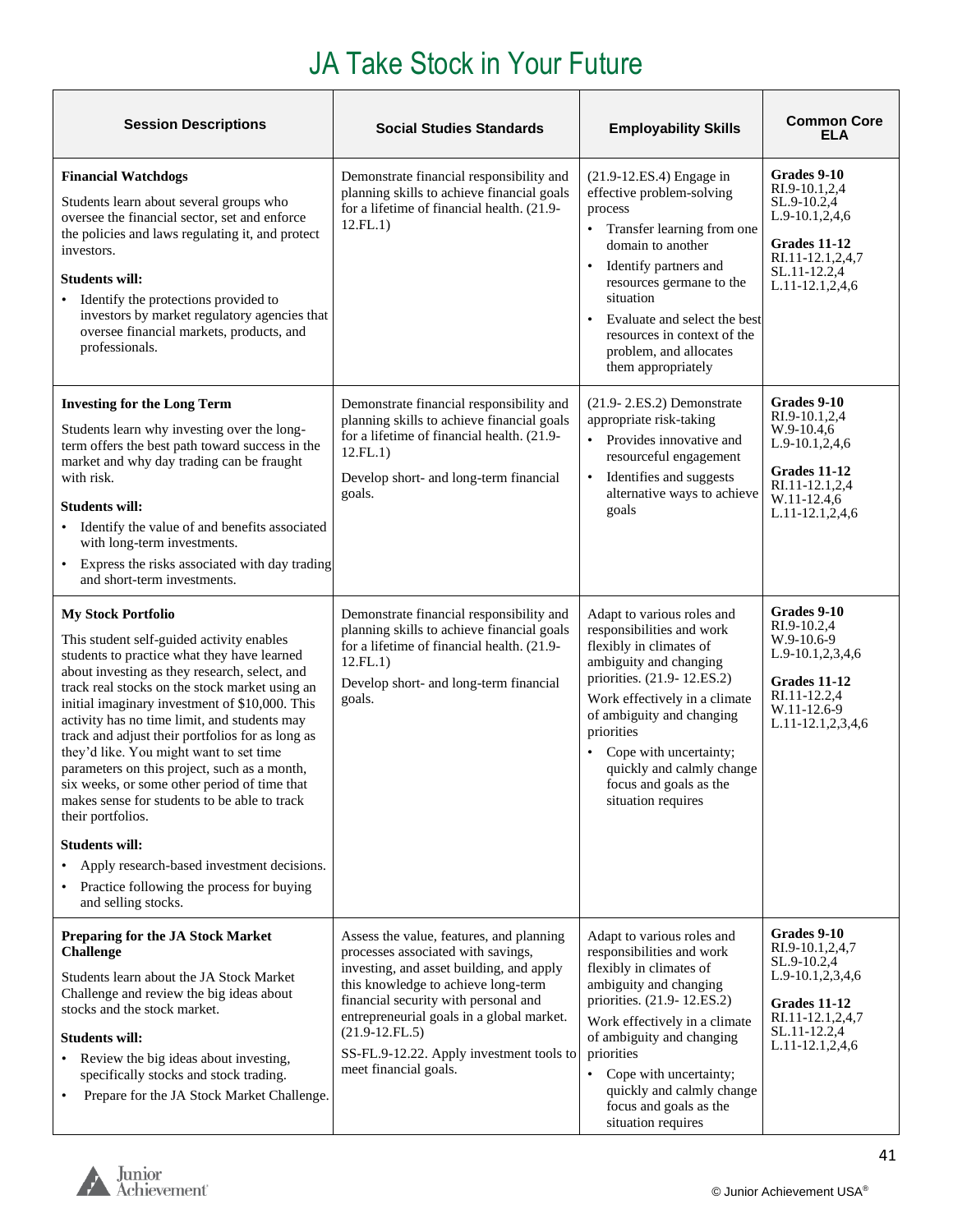| <b>Session Descriptions</b>                                                                                                                                                                                                                                                                                                                                                                                                                                                                                                                                                                                                                                                                                                               | <b>Social Studies Standards</b>                                                                                                                                                                                                                                                                                                                 | <b>Employability Skills</b>                                                                                                                                                                                                                                                                                                                | <b>Common Core</b><br>ELA                                                                                                                |
|-------------------------------------------------------------------------------------------------------------------------------------------------------------------------------------------------------------------------------------------------------------------------------------------------------------------------------------------------------------------------------------------------------------------------------------------------------------------------------------------------------------------------------------------------------------------------------------------------------------------------------------------------------------------------------------------------------------------------------------------|-------------------------------------------------------------------------------------------------------------------------------------------------------------------------------------------------------------------------------------------------------------------------------------------------------------------------------------------------|--------------------------------------------------------------------------------------------------------------------------------------------------------------------------------------------------------------------------------------------------------------------------------------------------------------------------------------------|------------------------------------------------------------------------------------------------------------------------------------------|
| <b>Financial Watchdogs</b><br>Students learn about several groups who<br>oversee the financial sector, set and enforce<br>the policies and laws regulating it, and protect<br>investors.<br><b>Students will:</b><br>Identify the protections provided to<br>investors by market regulatory agencies that<br>oversee financial markets, products, and<br>professionals.                                                                                                                                                                                                                                                                                                                                                                   | Demonstrate financial responsibility and<br>planning skills to achieve financial goals<br>for a lifetime of financial health. (21.9-<br>12.FL.1)                                                                                                                                                                                                | (21.9-12.ES.4) Engage in<br>effective problem-solving<br>process<br>Transfer learning from one<br>$\bullet$<br>domain to another<br>Identify partners and<br>$\bullet$<br>resources germane to the<br>situation<br>Evaluate and select the best<br>resources in context of the<br>problem, and allocates<br>them appropriately             | Grades 9-10<br>RI.9-10.1,2,4<br>SL.9-10.2,4<br>L.9-10.1,2,4,6<br>Grades 11-12<br>RI.11-12.1,2,4,7<br>SL.11-12.2,4<br>L.11-12.1,2,4,6     |
| <b>Investing for the Long Term</b><br>Students learn why investing over the long-<br>term offers the best path toward success in the<br>market and why day trading can be fraught<br>with risk.<br><b>Students will:</b><br>Identify the value of and benefits associated<br>with long-term investments.<br>• Express the risks associated with day trading<br>and short-term investments.                                                                                                                                                                                                                                                                                                                                                | Demonstrate financial responsibility and<br>planning skills to achieve financial goals<br>for a lifetime of financial health. (21.9-<br>12.FL.1)<br>Develop short- and long-term financial<br>goals.                                                                                                                                            | $(21.9 - 2.E.S.2)$ Demonstrate<br>appropriate risk-taking<br>Provides innovative and<br>resourceful engagement<br>Identifies and suggests<br>alternative ways to achieve<br>goals                                                                                                                                                          | Grades 9-10<br>RI.9-10.1,2,4<br>$W.9-10.4,6$<br>L.9-10.1,2,4,6<br>Grades 11-12<br>RI.11-12.1,2,4<br>W.11-12.4,6<br>$L.11-12.1,2,4,6$     |
| <b>My Stock Portfolio</b><br>This student self-guided activity enables<br>students to practice what they have learned<br>about investing as they research, select, and<br>track real stocks on the stock market using an<br>initial imaginary investment of \$10,000. This<br>activity has no time limit, and students may<br>track and adjust their portfolios for as long as<br>they'd like. You might want to set time<br>parameters on this project, such as a month,<br>six weeks, or some other period of time that<br>makes sense for students to be able to track<br>their portfolios.<br><b>Students will:</b><br>Apply research-based investment decisions.<br>Practice following the process for buying<br>and selling stocks. | Demonstrate financial responsibility and<br>planning skills to achieve financial goals<br>for a lifetime of financial health. (21.9-<br>12.FL.1)<br>Develop short- and long-term financial<br>goals.                                                                                                                                            | Adapt to various roles and<br>responsibilities and work<br>flexibly in climates of<br>ambiguity and changing<br>priorities. (21.9-12.ES.2)<br>Work effectively in a climate<br>of ambiguity and changing<br>priorities<br>Cope with uncertainty;<br>$\bullet$<br>quickly and calmly change<br>focus and goals as the<br>situation requires | Grades 9-10<br>RI.9-10.2,4<br>W.9-10.6-9<br>L.9-10.1,2,3,4,6<br>Grades 11-12<br>RI.11-12.2,4<br>W.11-12.6-9<br>L.11-12.1,2,3,4,6         |
| Preparing for the JA Stock Market<br><b>Challenge</b><br>Students learn about the JA Stock Market<br>Challenge and review the big ideas about<br>stocks and the stock market.<br><b>Students will:</b><br>Review the big ideas about investing,<br>specifically stocks and stock trading.<br>Prepare for the JA Stock Market Challenge.                                                                                                                                                                                                                                                                                                                                                                                                   | Assess the value, features, and planning<br>processes associated with savings,<br>investing, and asset building, and apply<br>this knowledge to achieve long-term<br>financial security with personal and<br>entrepreneurial goals in a global market.<br>$(21.9-12.FL.5)$<br>SS-FL.9-12.22. Apply investment tools to<br>meet financial goals. | Adapt to various roles and<br>responsibilities and work<br>flexibly in climates of<br>ambiguity and changing<br>priorities. (21.9-12.ES.2)<br>Work effectively in a climate<br>of ambiguity and changing<br>priorities<br>Cope with uncertainty;<br>$\bullet$<br>quickly and calmly change<br>focus and goals as the<br>situation requires | Grades 9-10<br>RI.9-10.1,2,4,7<br>SL.9-10.2,4<br>L.9-10.1,2,3,4,6<br>Grades 11-12<br>RI.11-12.1,2,4,7<br>SL.11-12.2,4<br>L.11-12.1,2,4,6 |

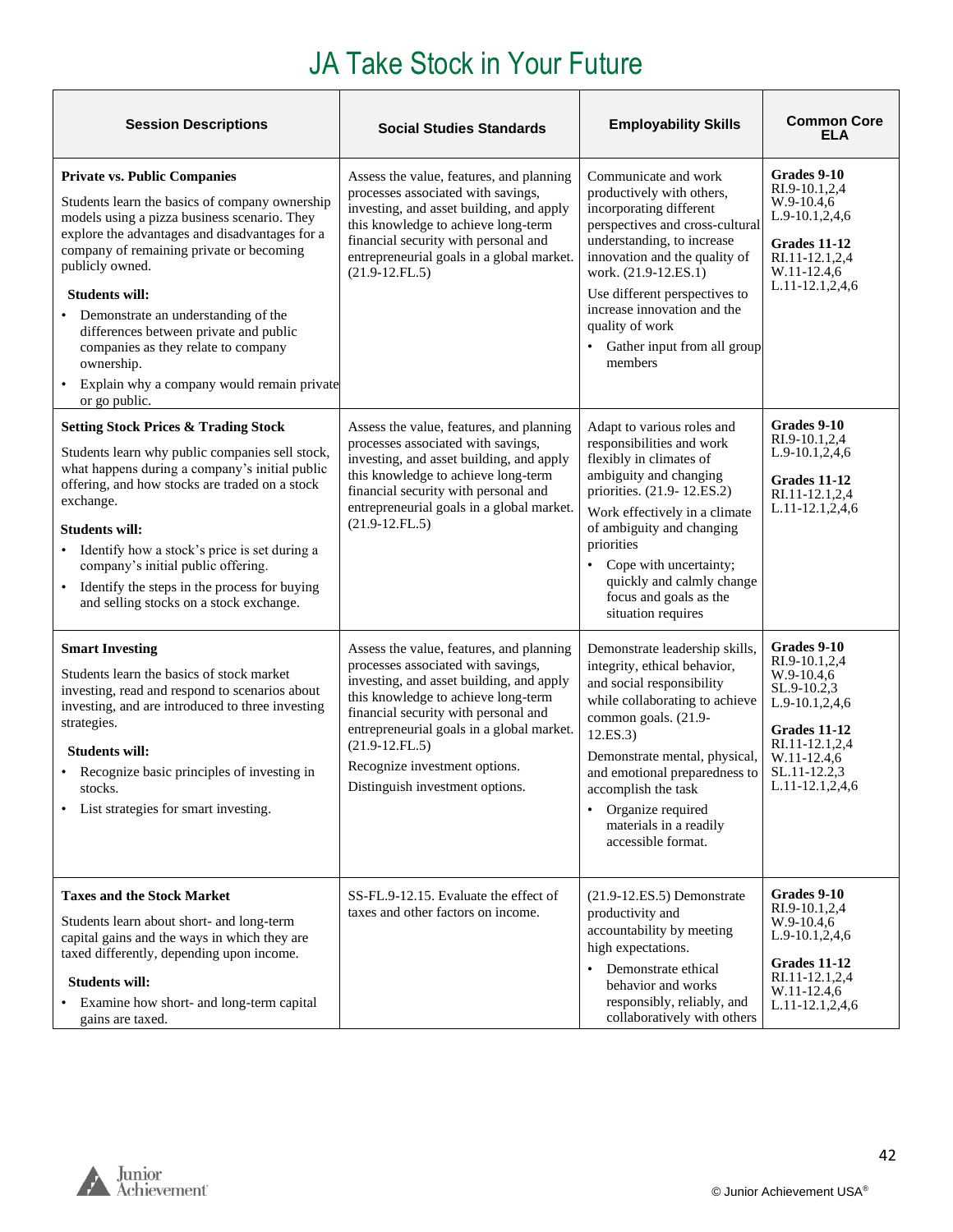| <b>Session Descriptions</b>                                                                                                                                                                                                                                                                                                                                                                                                                                                                       | <b>Social Studies Standards</b>                                                                                                                                                                                                                                                                                                                | <b>Employability Skills</b>                                                                                                                                                                                                                                                                                                                  | <b>Common Core</b><br>ELA                                                                                                                                              |
|---------------------------------------------------------------------------------------------------------------------------------------------------------------------------------------------------------------------------------------------------------------------------------------------------------------------------------------------------------------------------------------------------------------------------------------------------------------------------------------------------|------------------------------------------------------------------------------------------------------------------------------------------------------------------------------------------------------------------------------------------------------------------------------------------------------------------------------------------------|----------------------------------------------------------------------------------------------------------------------------------------------------------------------------------------------------------------------------------------------------------------------------------------------------------------------------------------------|------------------------------------------------------------------------------------------------------------------------------------------------------------------------|
| <b>Private vs. Public Companies</b><br>Students learn the basics of company ownership<br>models using a pizza business scenario. They<br>explore the advantages and disadvantages for a<br>company of remaining private or becoming<br>publicly owned.<br><b>Students will:</b><br>Demonstrate an understanding of the<br>differences between private and public<br>companies as they relate to company<br>ownership.<br>Explain why a company would remain private<br>$\bullet$<br>or go public. | Assess the value, features, and planning<br>processes associated with savings,<br>investing, and asset building, and apply<br>this knowledge to achieve long-term<br>financial security with personal and<br>entrepreneurial goals in a global market.<br>$(21.9-12.FL.5)$                                                                     | Communicate and work<br>productively with others,<br>incorporating different<br>perspectives and cross-cultural<br>understanding, to increase<br>innovation and the quality of<br>work. (21.9-12.ES.1)<br>Use different perspectives to<br>increase innovation and the<br>quality of work<br>Gather input from all group<br>members          | Grades 9-10<br>RI.9-10.1,2,4<br>$W.9-10.4,6$<br>L.9-10.1,2,4,6<br>Grades 11-12<br>RI.11-12.1,2,4<br>W.11-12.4,6<br>L.11-12.1,2,4,6                                     |
| <b>Setting Stock Prices &amp; Trading Stock</b><br>Students learn why public companies sell stock,<br>what happens during a company's initial public<br>offering, and how stocks are traded on a stock<br>exchange.<br><b>Students will:</b><br>Identify how a stock's price is set during a<br>$\bullet$<br>company's initial public offering.<br>Identify the steps in the process for buying<br>$\bullet$<br>and selling stocks on a stock exchange.                                           | Assess the value, features, and planning<br>processes associated with savings,<br>investing, and asset building, and apply<br>this knowledge to achieve long-term<br>financial security with personal and<br>entrepreneurial goals in a global market.<br>$(21.9-12.FL.5)$                                                                     | Adapt to various roles and<br>responsibilities and work<br>flexibly in climates of<br>ambiguity and changing<br>priorities. (21.9-12.ES.2)<br>Work effectively in a climate<br>of ambiguity and changing<br>priorities<br>Cope with uncertainty;<br>quickly and calmly change<br>focus and goals as the<br>situation requires                | Grades 9-10<br>RI.9-10.1,2,4<br>L.9-10.1,2,4,6<br><b>Grades 11-12</b><br>RI.11-12.1,2,4<br>L.11-12.1,2,4,6                                                             |
| <b>Smart Investing</b><br>Students learn the basics of stock market<br>investing, read and respond to scenarios about<br>investing, and are introduced to three investing<br>strategies.<br><b>Students will:</b><br>• Recognize basic principles of investing in<br>stocks.<br>List strategies for smart investing.                                                                                                                                                                              | Assess the value, features, and planning<br>processes associated with savings,<br>investing, and asset building, and apply<br>this knowledge to achieve long-term<br>financial security with personal and<br>entrepreneurial goals in a global market.<br>$(21.9-12.FL.5)$<br>Recognize investment options.<br>Distinguish investment options. | Demonstrate leadership skills,<br>integrity, ethical behavior,<br>and social responsibility<br>while collaborating to achieve<br>common goals. (21.9-<br>12.ES.3)<br>Demonstrate mental, physical,<br>and emotional preparedness to<br>accomplish the task<br>Organize required<br>$\bullet$<br>materials in a readily<br>accessible format. | Grades 9-10<br>RI.9-10.1,2,4<br>W.9-10.4,6<br>SL.9-10.2,3<br>L.9-10.1,2,4,6<br><b>Grades 11-12</b><br>RI.11-12.1,2,4<br>W.11-12.4,6<br>SL.11-12.2,3<br>L.11-12.1,2,4,6 |
| <b>Taxes and the Stock Market</b><br>Students learn about short- and long-term<br>capital gains and the ways in which they are<br>taxed differently, depending upon income.<br><b>Students will:</b><br>Examine how short- and long-term capital<br>gains are taxed.                                                                                                                                                                                                                              | SS-FL.9-12.15. Evaluate the effect of<br>taxes and other factors on income.                                                                                                                                                                                                                                                                    | $(21.9-12.E.S.5)$ Demonstrate<br>productivity and<br>accountability by meeting<br>high expectations.<br>Demonstrate ethical<br>$\bullet$<br>behavior and works<br>responsibly, reliably, and<br>collaboratively with others                                                                                                                  | Grades 9-10<br>RI.9-10.1,2,4<br>$W.9-10.4,6$<br>L.9-10.1,2,4,6<br><b>Grades 11-12</b><br>RI.11-12.1,2,4<br>W.11-12.4,6<br>L.11-12.1,2,4,6                              |

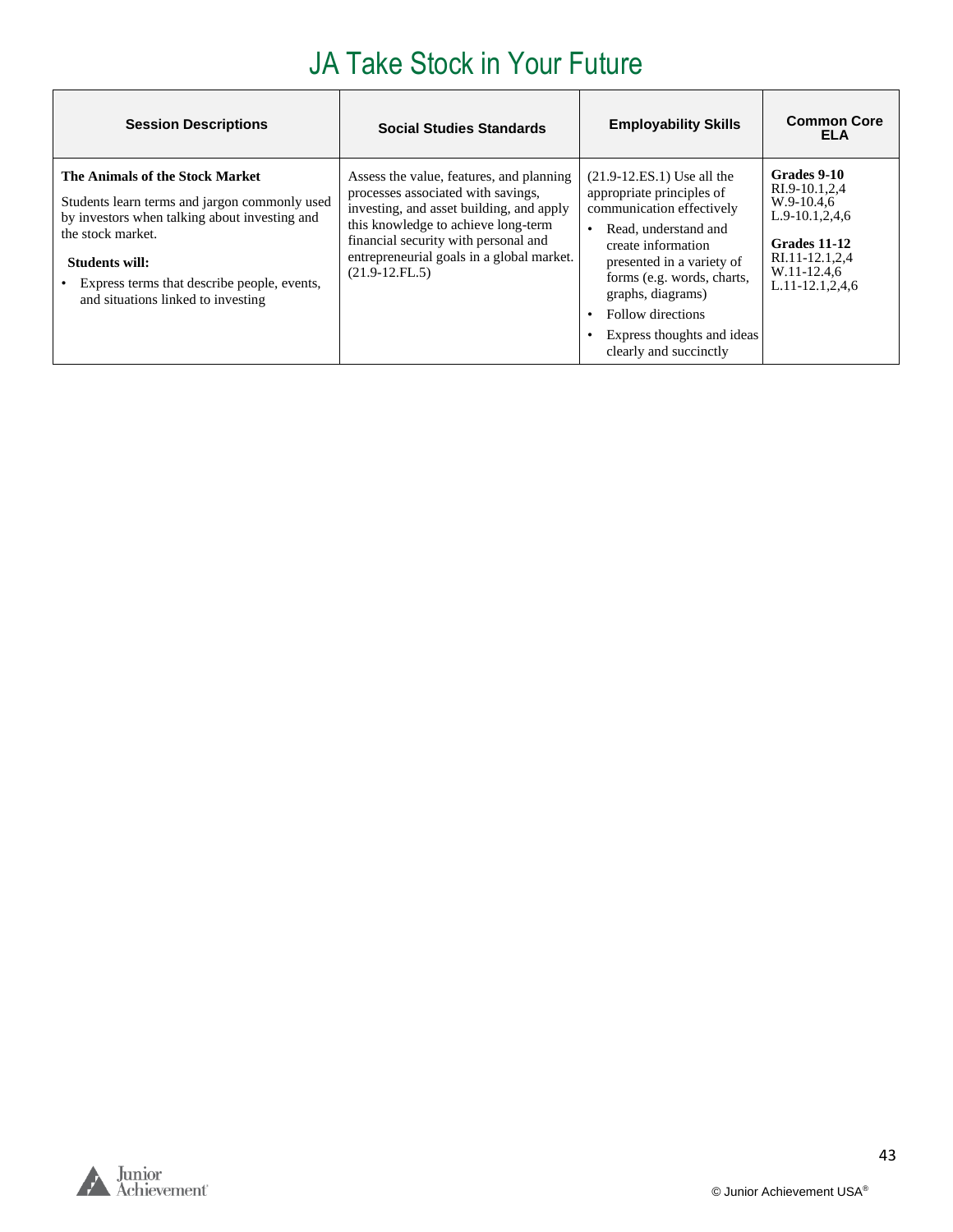| <b>Session Descriptions</b>                                                                                                                                                                                                                                   | <b>Social Studies Standards</b>                                                                                                                                                                                                                                            | <b>Employability Skills</b>                                                                                                                                                                                                                                                                        | <b>Common Core</b><br>ELA                                                                                                                    |
|---------------------------------------------------------------------------------------------------------------------------------------------------------------------------------------------------------------------------------------------------------------|----------------------------------------------------------------------------------------------------------------------------------------------------------------------------------------------------------------------------------------------------------------------------|----------------------------------------------------------------------------------------------------------------------------------------------------------------------------------------------------------------------------------------------------------------------------------------------------|----------------------------------------------------------------------------------------------------------------------------------------------|
| The Animals of the Stock Market<br>Students learn terms and jargon commonly used<br>by investors when talking about investing and<br>the stock market.<br>Students will:<br>Express terms that describe people, events,<br>and situations linked to investing | Assess the value, features, and planning<br>processes associated with savings,<br>investing, and asset building, and apply<br>this knowledge to achieve long-term<br>financial security with personal and<br>entrepreneurial goals in a global market.<br>$(21.9-12.FL.5)$ | $(21.9-12.E.S.1)$ Use all the<br>appropriate principles of<br>communication effectively<br>Read, understand and<br>create information<br>presented in a variety of<br>forms (e.g. words, charts,<br>graphs, diagrams)<br>Follow directions<br>Express thoughts and ideas<br>clearly and succinctly | Grades 9-10<br>RI.9-10.1,2,4<br>W.9-10.4.6<br>$L.9-10.1, 2, 4, 6$<br>Grades 11-12<br>RI.11-12.1,2,4<br>W.11-12.4,6<br>$L.11 - 12.1, 2, 4, 6$ |



**r**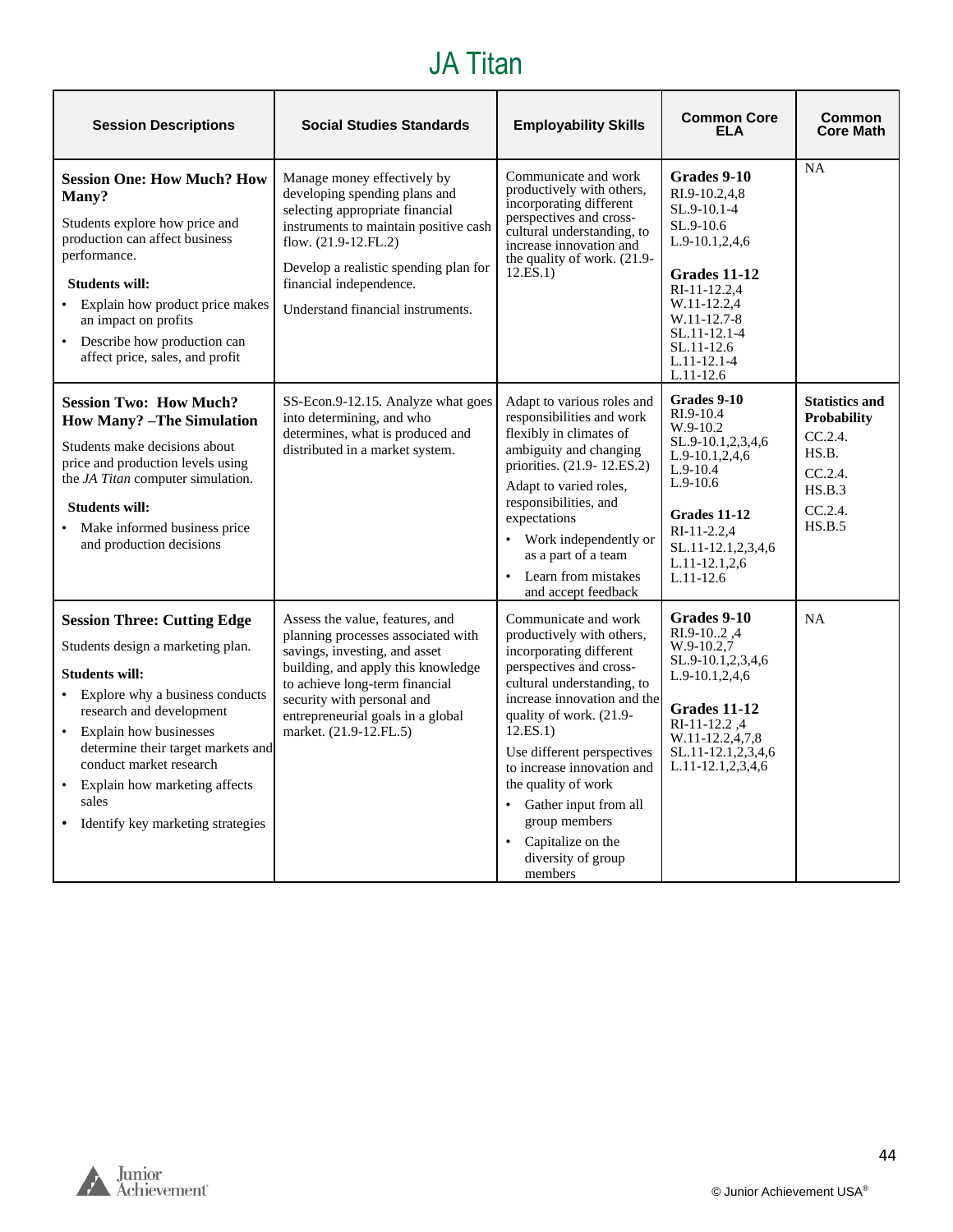#### JA Titan

<span id="page-43-0"></span>

| <b>Session Descriptions</b>                                                                                                                                                                                                                                                                                                                                           | <b>Social Studies Standards</b>                                                                                                                                                                                                                                             | <b>Employability Skills</b>                                                                                                                                                                                                                                                                                                                                                                                   | <b>Common Core</b><br><b>ELA</b>                                                                                                                                                                                | Common<br><b>Core Math</b>                                                                                  |
|-----------------------------------------------------------------------------------------------------------------------------------------------------------------------------------------------------------------------------------------------------------------------------------------------------------------------------------------------------------------------|-----------------------------------------------------------------------------------------------------------------------------------------------------------------------------------------------------------------------------------------------------------------------------|---------------------------------------------------------------------------------------------------------------------------------------------------------------------------------------------------------------------------------------------------------------------------------------------------------------------------------------------------------------------------------------------------------------|-----------------------------------------------------------------------------------------------------------------------------------------------------------------------------------------------------------------|-------------------------------------------------------------------------------------------------------------|
| <b>Session One: How Much? How</b><br>Many?<br>Students explore how price and<br>production can affect business<br>performance.<br><b>Students will:</b><br>• Explain how product price makes<br>an impact on profits<br>• Describe how production can<br>affect price, sales, and profit                                                                              | Manage money effectively by<br>developing spending plans and<br>selecting appropriate financial<br>instruments to maintain positive cash<br>flow. (21.9-12.FL.2)<br>Develop a realistic spending plan for<br>financial independence.<br>Understand financial instruments.   | Communicate and work<br>productively with others,<br>incorporating different<br>perspectives and cross-<br>cultural understanding, to<br>increase innovation and<br>the quality of work. (21.9-<br>12.ES.1)                                                                                                                                                                                                   | Grades 9-10<br>RI.9-10.2.4.8<br>SL.9-10.1-4<br>SL.9-10.6<br>L.9-10.1,2,4,6<br>Grades 11-12<br>RI-11-12.2,4<br>W.11-12.2,4<br>W.11-12.7-8<br>SL.11-12.1-4<br>$SL.11-12.6$<br>$L.11 - 12.1 - 4$<br>$L.11-12.6$    | <b>NA</b>                                                                                                   |
| <b>Session Two: How Much?</b><br><b>How Many?</b> -The Simulation<br>Students make decisions about<br>price and production levels using<br>the JA Titan computer simulation.<br><b>Students will:</b><br>Make informed business price<br>and production decisions                                                                                                     | SS-Econ.9-12.15. Analyze what goes<br>into determining, and who<br>determines, what is produced and<br>distributed in a market system.                                                                                                                                      | Adapt to various roles and<br>responsibilities and work<br>flexibly in climates of<br>ambiguity and changing<br>priorities. (21.9-12.ES.2)<br>Adapt to varied roles,<br>responsibilities, and<br>expectations<br>Work independently or<br>as a part of a team<br>Learn from mistakes<br>$\bullet$<br>and accept feedback                                                                                      | Grades 9-10<br>RI.9-10.4<br>$W.9-10.2$<br>SL.9-10.1,2,3,4,6<br>$L.9-10.1, 2, 4, 6$<br>$L.9-10.4$<br>$L.9-10.6$<br><b>Grades 11-12</b><br>RI-11-2.2,4<br>SL.11-12.1,2,3,4,6<br>$L.11 - 12.1, 2.6$<br>$L.11-12.6$ | <b>Statistics and</b><br><b>Probability</b><br>CC.2.4.<br>HS.B.<br>$CC.2.4$ .<br>HS.B.3<br>CC.2.4<br>HS.B.5 |
| <b>Session Three: Cutting Edge</b><br>Students design a marketing plan.<br><b>Students will:</b><br>Explore why a business conducts<br>research and development<br>Explain how businesses<br>$\bullet$<br>determine their target markets and<br>conduct market research<br>Explain how marketing affects<br>$\bullet$<br>sales<br>• Identify key marketing strategies | Assess the value, features, and<br>planning processes associated with<br>savings, investing, and asset<br>building, and apply this knowledge<br>to achieve long-term financial<br>security with personal and<br>entrepreneurial goals in a global<br>market. (21.9-12.FL.5) | Communicate and work<br>productively with others,<br>incorporating different<br>perspectives and cross-<br>cultural understanding, to<br>increase innovation and the<br>quality of work. (21.9-<br>12.ES.1)<br>Use different perspectives<br>to increase innovation and<br>the quality of work<br>• Gather input from all<br>group members<br>Capitalize on the<br>$\bullet$<br>diversity of group<br>members | Grades 9-10<br>RI.9-102,4<br>$W.9-10.2,7$<br>SL.9-10.1,2,3,4,6<br>$L.9-10.1, 2, 4, 6$<br>Grades 11-12<br>RI-11-12.2.4<br>W.11-12.2,4,7,8<br>SL.11-12.1,2,3,4,6<br>$L.11-12.1, 2, 3, 4, 6$                       | <b>NA</b>                                                                                                   |

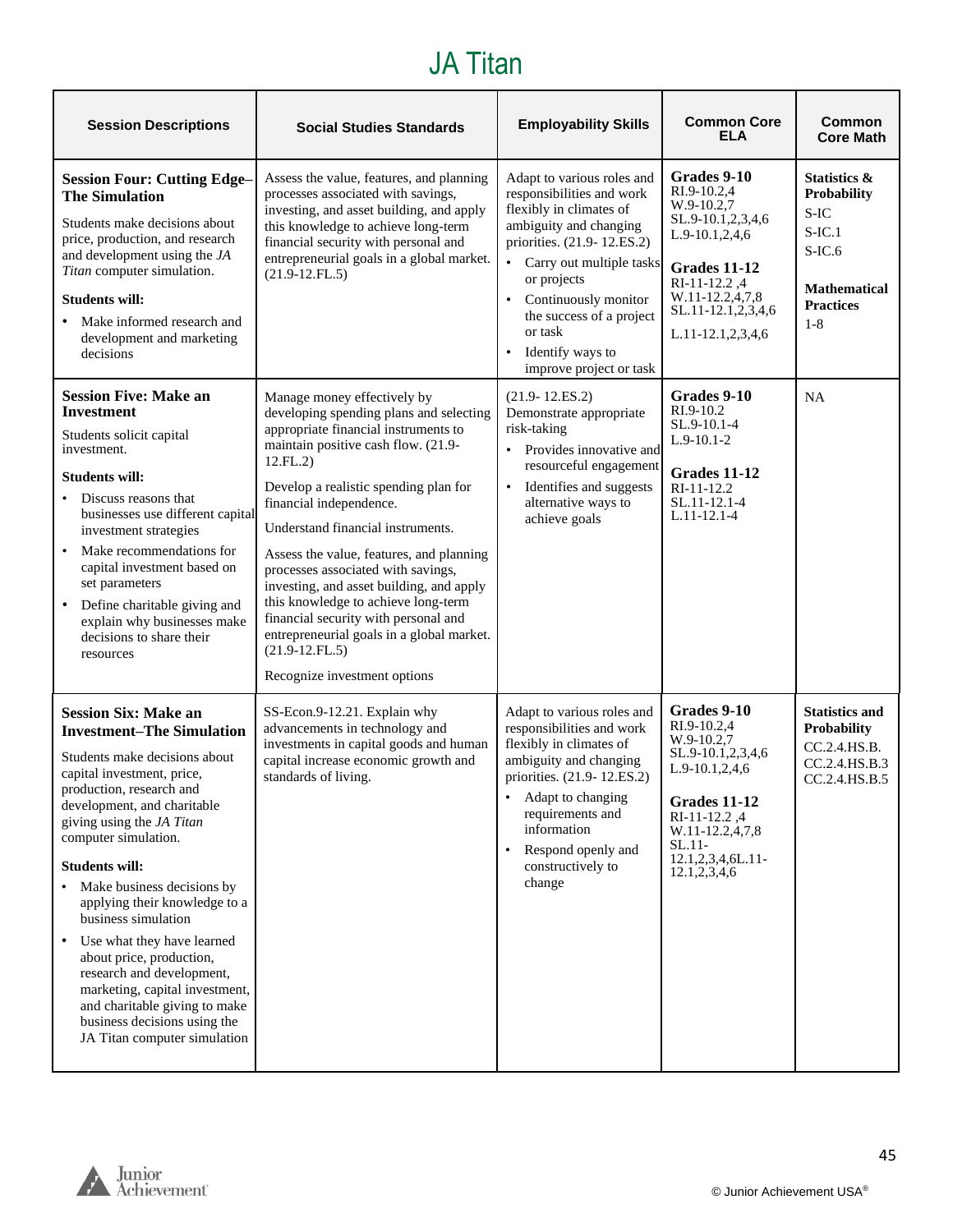## JA Titan

| <b>Session Descriptions</b>                                                                                                                                                                                                                                                                                                                                                                                                                                                                                                                                                             | <b>Social Studies Standards</b>                                                                                                                                                                                                                                                                                                                                                                                                                                                                                                                                                         | <b>Employability Skills</b>                                                                                                                                                                                                                                                                                      | <b>Common Core</b><br><b>ELA</b>                                                                                                                                                         | <b>Common</b><br><b>Core Math</b>                                                                                             |
|-----------------------------------------------------------------------------------------------------------------------------------------------------------------------------------------------------------------------------------------------------------------------------------------------------------------------------------------------------------------------------------------------------------------------------------------------------------------------------------------------------------------------------------------------------------------------------------------|-----------------------------------------------------------------------------------------------------------------------------------------------------------------------------------------------------------------------------------------------------------------------------------------------------------------------------------------------------------------------------------------------------------------------------------------------------------------------------------------------------------------------------------------------------------------------------------------|------------------------------------------------------------------------------------------------------------------------------------------------------------------------------------------------------------------------------------------------------------------------------------------------------------------|------------------------------------------------------------------------------------------------------------------------------------------------------------------------------------------|-------------------------------------------------------------------------------------------------------------------------------|
| <b>Session Four: Cutting Edge-</b><br><b>The Simulation</b><br>Students make decisions about<br>price, production, and research<br>and development using the JA<br>Titan computer simulation.<br><b>Students will:</b><br>Make informed research and<br>development and marketing<br>decisions                                                                                                                                                                                                                                                                                          | Assess the value, features, and planning<br>processes associated with savings,<br>investing, and asset building, and apply<br>this knowledge to achieve long-term<br>financial security with personal and<br>entrepreneurial goals in a global market.<br>$(21.9-12.FL.5)$                                                                                                                                                                                                                                                                                                              | Adapt to various roles and<br>responsibilities and work<br>flexibly in climates of<br>ambiguity and changing<br>priorities. (21.9-12.ES.2)<br>Carry out multiple tasks<br>or projects<br>Continuously monitor<br>the success of a project<br>or task<br>Identify ways to<br>$\bullet$<br>improve project or task | Grades 9-10<br>RI.9-10.2,4<br>W.9-10.2,7<br>SL.9-10.1,2,3,4,6<br>L.9-10.1,2,4,6<br><b>Grades 11-12</b><br>RI-11-12.2,4<br>W.11-12.2,4,7,8<br>SL.11-12.1,2,3,4,6<br>L.11-12.1,2,3,4,6     | Statistics &<br><b>Probability</b><br>S-IC<br>$S$ -IC.1<br>$S$ -IC. $6$<br><b>Mathematical</b><br><b>Practices</b><br>$1 - 8$ |
| <b>Session Five: Make an</b><br><b>Investment</b><br>Students solicit capital<br>investment.<br><b>Students will:</b><br>Discuss reasons that<br>businesses use different capital<br>investment strategies<br>Make recommendations for<br>$\bullet$<br>capital investment based on<br>set parameters<br>Define charitable giving and<br>explain why businesses make<br>decisions to share their<br>resources                                                                                                                                                                            | Manage money effectively by<br>developing spending plans and selecting<br>appropriate financial instruments to<br>maintain positive cash flow. (21.9-<br>12.FL.2<br>Develop a realistic spending plan for<br>financial independence.<br>Understand financial instruments.<br>Assess the value, features, and planning<br>processes associated with savings,<br>investing, and asset building, and apply<br>this knowledge to achieve long-term<br>financial security with personal and<br>entrepreneurial goals in a global market.<br>$(21.9-12.FL.5)$<br>Recognize investment options | $(21.9 - 12.ES.2)$<br>Demonstrate appropriate<br>risk-taking<br>Provides innovative and<br>$\bullet$<br>resourceful engagement<br>Identifies and suggests<br>$\bullet$<br>alternative ways to<br>achieve goals                                                                                                   | Grades 9-10<br>RI.9-10.2<br>SL.9-10.1-4<br>$L.9-10.1-2$<br>Grades 11-12<br>RI-11-12.2<br>SL.11-12.1-4<br>L.11-12.1-4                                                                     | <b>NA</b>                                                                                                                     |
| <b>Session Six: Make an</b><br><b>Investment–The Simulation</b><br>Students make decisions about<br>capital investment, price,<br>production, research and<br>development, and charitable<br>giving using the JA Titan<br>computer simulation.<br><b>Students will:</b><br>Make business decisions by<br>applying their knowledge to a<br>business simulation<br>Use what they have learned<br>about price, production,<br>research and development,<br>marketing, capital investment,<br>and charitable giving to make<br>business decisions using the<br>JA Titan computer simulation | SS-Econ.9-12.21. Explain why<br>advancements in technology and<br>investments in capital goods and human<br>capital increase economic growth and<br>standards of living.                                                                                                                                                                                                                                                                                                                                                                                                                | Adapt to various roles and<br>responsibilities and work<br>flexibly in climates of<br>ambiguity and changing<br>priorities. (21.9-12.ES.2)<br>Adapt to changing<br>requirements and<br>information<br>Respond openly and<br>$\bullet$<br>constructively to<br>change                                             | Grades 9-10<br>RI.9-10.2,4<br>W.9-10.2,7<br>SL.9-10.1,2,3,4,6<br>$L.9-10.1, 2, 4, 6$<br>Grades 11-12<br>RI-11-12.2,4<br>W.11-12.2,4,7,8<br>$SL.11-$<br>12.1,2,3,4,6L.11-<br>12.1,2,3,4,6 | <b>Statistics and</b><br><b>Probability</b><br>CC.2.4.HS.B.<br>CC.2.4.HS.B.3<br>CC.2.4.HS.B.5                                 |

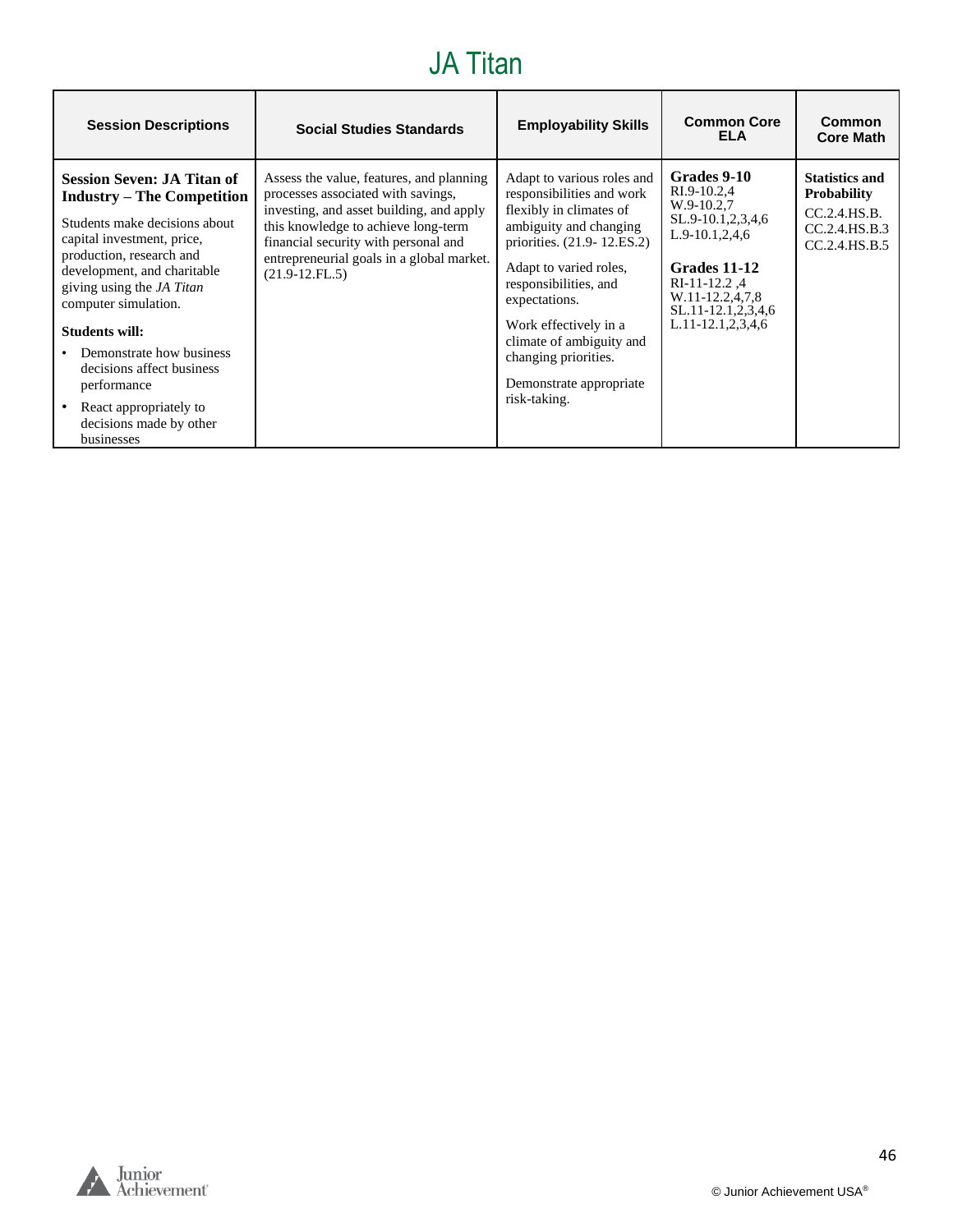#### JA Titan

| <b>Session Descriptions</b>                                                                                                                                                                                                                                                                                                                                                                                               | <b>Social Studies Standards</b>                                                                                                                                                                                                                                            | <b>Employability Skills</b>                                                                                                                                                                                                                                                                                                            | <b>Common Core</b><br><b>ELA</b>                                                                                                                                                             | Common<br><b>Core Math</b>                                                                    |
|---------------------------------------------------------------------------------------------------------------------------------------------------------------------------------------------------------------------------------------------------------------------------------------------------------------------------------------------------------------------------------------------------------------------------|----------------------------------------------------------------------------------------------------------------------------------------------------------------------------------------------------------------------------------------------------------------------------|----------------------------------------------------------------------------------------------------------------------------------------------------------------------------------------------------------------------------------------------------------------------------------------------------------------------------------------|----------------------------------------------------------------------------------------------------------------------------------------------------------------------------------------------|-----------------------------------------------------------------------------------------------|
| <b>Session Seven: JA Titan of</b><br><b>Industry – The Competition</b><br>Students make decisions about<br>capital investment, price,<br>production, research and<br>development, and charitable<br>giving using the <i>JA Titan</i><br>computer simulation.<br>Students will:<br>Demonstrate how business<br>decisions affect business<br>performance<br>React appropriately to<br>decisions made by other<br>businesses | Assess the value, features, and planning<br>processes associated with savings,<br>investing, and asset building, and apply<br>this knowledge to achieve long-term<br>financial security with personal and<br>entrepreneurial goals in a global market.<br>$(21.9-12.FL.5)$ | Adapt to various roles and<br>responsibilities and work<br>flexibly in climates of<br>ambiguity and changing<br>priorities. (21.9-12.ES.2)<br>Adapt to varied roles,<br>responsibilities, and<br>expectations.<br>Work effectively in a<br>climate of ambiguity and<br>changing priorities.<br>Demonstrate appropriate<br>risk-taking. | Grades 9-10<br>RI.9-10.2,4<br>$W.9-10.2,7$<br>SL.9-10.1,2,3,4,6<br>$L.9-10.1, 2, 4, 6$<br>Grades 11-12<br>RI-11-12.2,4<br>W.11-12.2,4,7,8<br>SL.11-12.1,2,3,4,6<br>$L.11 - 12.1, 2, 3, 4, 6$ | <b>Statistics and</b><br><b>Probability</b><br>CC.2.4.HS.B.<br>CC.2.4.HS.B.3<br>CC.2.4.HS.B.5 |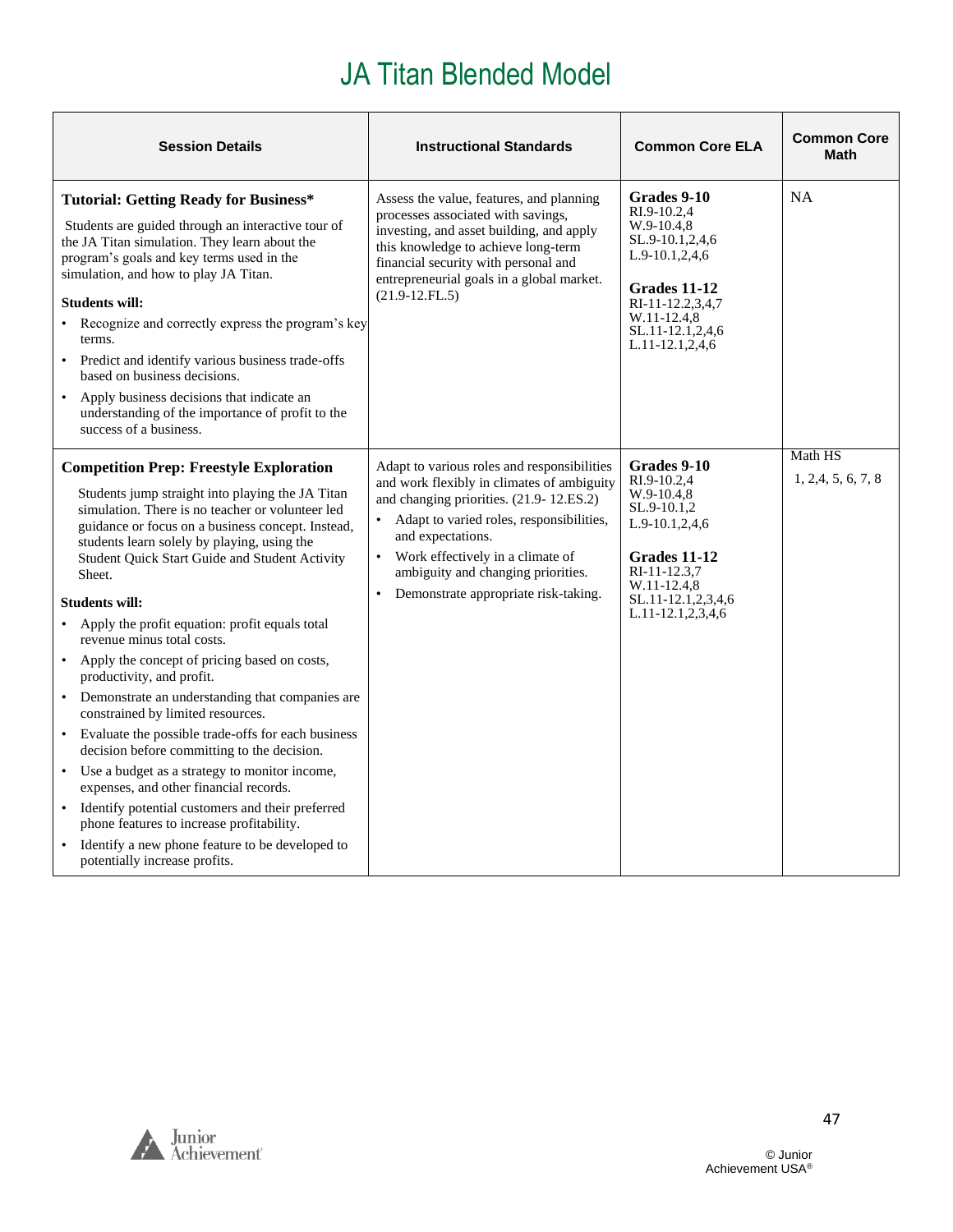<span id="page-46-0"></span>

| <b>Session Details</b>                                                                                                                                                                                                                                                                                                                                                                                                                                                                                                                                                                                                                                                                                                                                                                                                                                                                                                                                                                                       | <b>Instructional Standards</b>                                                                                                                                                                                                                                                                                                                                 | <b>Common Core ELA</b>                                                                                                                                                                 | <b>Common Core</b><br><b>Math</b> |
|--------------------------------------------------------------------------------------------------------------------------------------------------------------------------------------------------------------------------------------------------------------------------------------------------------------------------------------------------------------------------------------------------------------------------------------------------------------------------------------------------------------------------------------------------------------------------------------------------------------------------------------------------------------------------------------------------------------------------------------------------------------------------------------------------------------------------------------------------------------------------------------------------------------------------------------------------------------------------------------------------------------|----------------------------------------------------------------------------------------------------------------------------------------------------------------------------------------------------------------------------------------------------------------------------------------------------------------------------------------------------------------|----------------------------------------------------------------------------------------------------------------------------------------------------------------------------------------|-----------------------------------|
| <b>Tutorial: Getting Ready for Business*</b><br>Students are guided through an interactive tour of<br>the JA Titan simulation. They learn about the<br>program's goals and key terms used in the<br>simulation, and how to play JA Titan.<br><b>Students will:</b><br>• Recognize and correctly express the program's key<br>terms.<br>• Predict and identify various business trade-offs<br>based on business decisions.<br>Apply business decisions that indicate an<br>understanding of the importance of profit to the<br>success of a business.                                                                                                                                                                                                                                                                                                                                                                                                                                                         | Assess the value, features, and planning<br>processes associated with savings,<br>investing, and asset building, and apply<br>this knowledge to achieve long-term<br>financial security with personal and<br>entrepreneurial goals in a global market.<br>$(21.9-12.FL.5)$                                                                                     | Grades 9-10<br>RI.9-10.2.4<br>$W.9-10.4,8$<br>SL.9-10.1,2,4,6<br>$L.9-10.1, 2, 4, 6$<br>Grades 11-12<br>RI-11-12.2,3,4,7<br>W.11-12.4,8<br>SL.11-12.1,2,4,6<br>L.11-12.1,2,4,6         | <b>NA</b>                         |
| <b>Competition Prep: Freestyle Exploration</b><br>Students jump straight into playing the JA Titan<br>simulation. There is no teacher or volunteer led<br>guidance or focus on a business concept. Instead,<br>students learn solely by playing, using the<br>Student Quick Start Guide and Student Activity<br>Sheet.<br><b>Students will:</b><br>Apply the profit equation: profit equals total<br>revenue minus total costs.<br>Apply the concept of pricing based on costs,<br>productivity, and profit.<br>Demonstrate an understanding that companies are<br>$\bullet$<br>constrained by limited resources.<br>• Evaluate the possible trade-offs for each business<br>decision before committing to the decision.<br>• Use a budget as a strategy to monitor income,<br>expenses, and other financial records.<br>• Identify potential customers and their preferred<br>phone features to increase profitability.<br>Identify a new phone feature to be developed to<br>potentially increase profits. | Adapt to various roles and responsibilities<br>and work flexibly in climates of ambiguity<br>and changing priorities. (21.9-12.ES.2)<br>Adapt to varied roles, responsibilities,<br>$\bullet$<br>and expectations.<br>Work effectively in a climate of<br>$\bullet$<br>ambiguity and changing priorities.<br>Demonstrate appropriate risk-taking.<br>$\bullet$ | Grades 9-10<br>RI.9-10.2,4<br>$W.9-10.4,8$<br>SL.9-10.1,2<br>$L.9-10.1, 2, 4, 6$<br>Grades 11-12<br>RI-11-12.3.7<br>W.11-12.4.8<br>SL.11-12.1, 2, 3, 4, 6<br>$L.11 - 12.1, 2, 3, 4, 6$ | Math HS<br>1, 2, 4, 5, 6, 7, 8    |

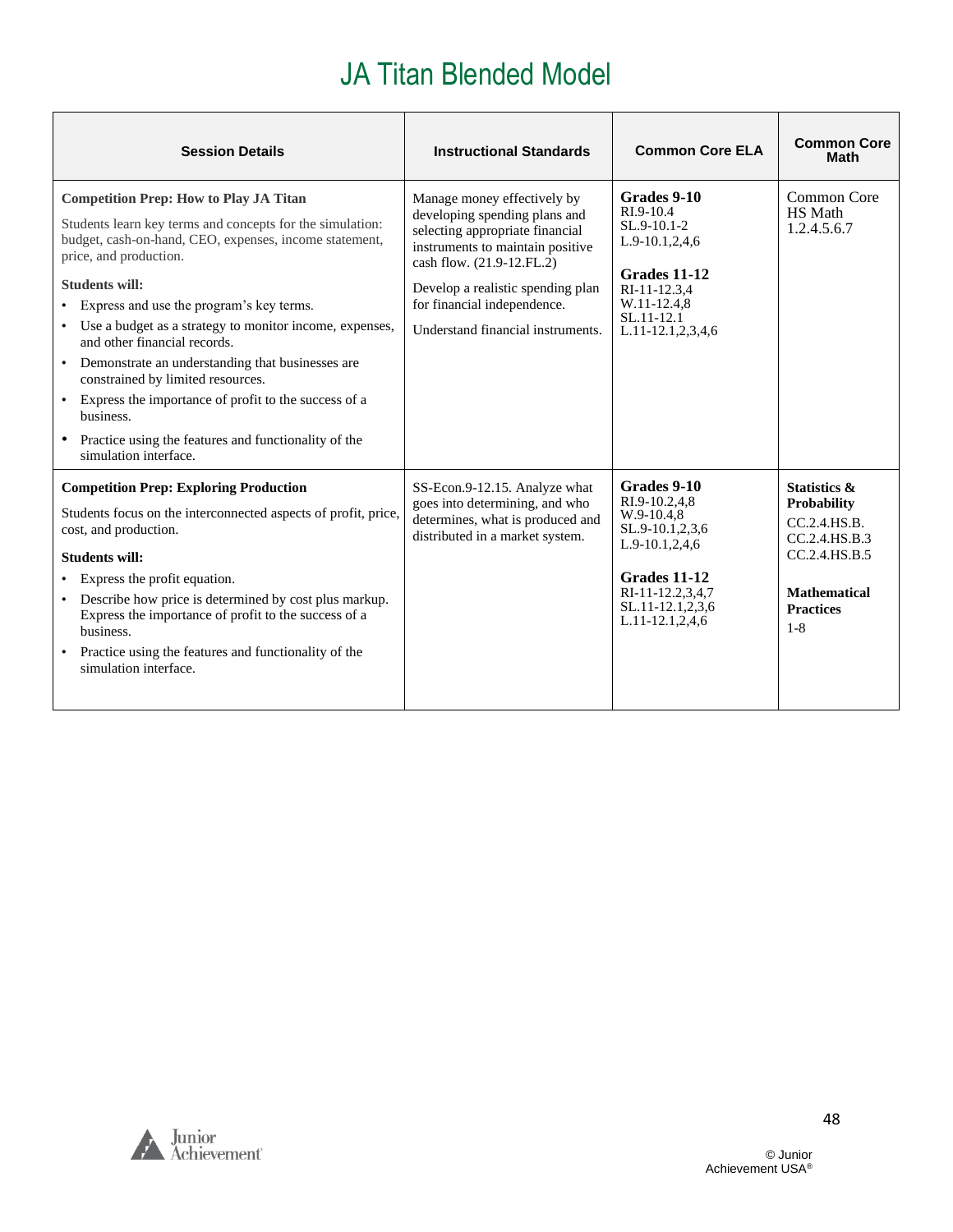| <b>Session Details</b>                                                                                                                                                                                                                                                                                                                                                                                                                                                                                                                                                                                                         | <b>Instructional Standards</b>                                                                                                                                                                                                                                            | <b>Common Core ELA</b>                                                                                                                                          | <b>Common Core</b><br><b>Math</b>                                                                                                                     |
|--------------------------------------------------------------------------------------------------------------------------------------------------------------------------------------------------------------------------------------------------------------------------------------------------------------------------------------------------------------------------------------------------------------------------------------------------------------------------------------------------------------------------------------------------------------------------------------------------------------------------------|---------------------------------------------------------------------------------------------------------------------------------------------------------------------------------------------------------------------------------------------------------------------------|-----------------------------------------------------------------------------------------------------------------------------------------------------------------|-------------------------------------------------------------------------------------------------------------------------------------------------------|
| <b>Competition Prep: How to Play JA Titan</b><br>Students learn key terms and concepts for the simulation:<br>budget, cash-on-hand, CEO, expenses, income statement,<br>price, and production.<br><b>Students will:</b><br>Express and use the program's key terms.<br>Use a budget as a strategy to monitor income, expenses,<br>and other financial records.<br>Demonstrate an understanding that businesses are<br>$\bullet$<br>constrained by limited resources.<br>• Express the importance of profit to the success of a<br>business.<br>• Practice using the features and functionality of the<br>simulation interface. | Manage money effectively by<br>developing spending plans and<br>selecting appropriate financial<br>instruments to maintain positive<br>cash flow. (21.9-12.FL.2)<br>Develop a realistic spending plan<br>for financial independence.<br>Understand financial instruments. | Grades 9-10<br>RI.9-10.4<br>$SL.9-10.1-2$<br>$L.9-10.1, 2, 4, 6$<br>Grades 11-12<br>RI-11-12.3,4<br>W.11-12.4,8<br>$SL.11-12.1$<br>L.11-12.1,2,3,4,6            | Common Core<br>HS Math<br>1.2.4.5.6.7                                                                                                                 |
| <b>Competition Prep: Exploring Production</b><br>Students focus on the interconnected aspects of profit, price,<br>cost, and production.<br><b>Students will:</b><br>Express the profit equation.<br>Describe how price is determined by cost plus markup.<br>Express the importance of profit to the success of a<br>business.<br>Practice using the features and functionality of the<br>simulation interface.                                                                                                                                                                                                               | SS-Econ.9-12.15. Analyze what<br>goes into determining, and who<br>determines, what is produced and<br>distributed in a market system.                                                                                                                                    | Grades 9-10<br>RI.9-10.2,4,8<br>W.9-10.4.8<br>SL.9-10.1,2,3,6<br>L.9-10.1,2,4,6<br>Grades 11-12<br>RI-11-12.2,3,4,7<br>SL.11-12.1,2,3,6<br>$L.11-12.1, 2, 4, 6$ | <b>Statistics &amp;</b><br><b>Probability</b><br>CC.2.4.HS.B.<br>CC.2.4.HS.B.3<br>CC.2.4.HS.B.5<br><b>Mathematical</b><br><b>Practices</b><br>$1 - 8$ |

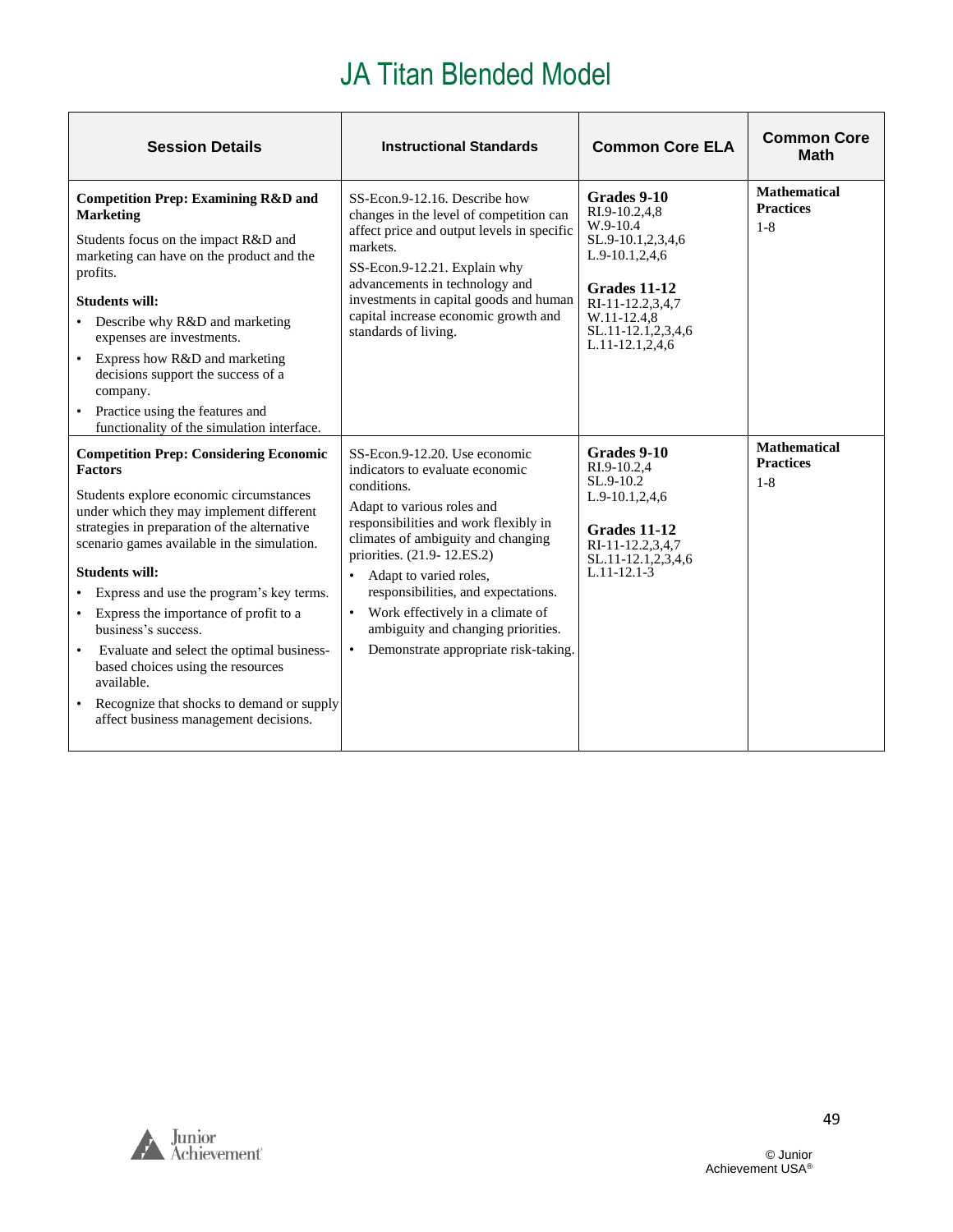| <b>Session Details</b>                                                                                                                                                                                                                                                                                                                                                                                                                                                                                                                                                                | <b>Instructional Standards</b>                                                                                                                                                                                                                                                                                                                                                                                                 | <b>Common Core ELA</b>                                                                                                                                                        | <b>Common Core</b><br><b>Math</b>                  |
|---------------------------------------------------------------------------------------------------------------------------------------------------------------------------------------------------------------------------------------------------------------------------------------------------------------------------------------------------------------------------------------------------------------------------------------------------------------------------------------------------------------------------------------------------------------------------------------|--------------------------------------------------------------------------------------------------------------------------------------------------------------------------------------------------------------------------------------------------------------------------------------------------------------------------------------------------------------------------------------------------------------------------------|-------------------------------------------------------------------------------------------------------------------------------------------------------------------------------|----------------------------------------------------|
| <b>Competition Prep: Examining R&amp;D and</b><br><b>Marketing</b><br>Students focus on the impact R&D and<br>marketing can have on the product and the<br>profits.<br><b>Students will:</b><br>Describe why R&D and marketing<br>expenses are investments.<br>Express how R&D and marketing<br>decisions support the success of a<br>company.<br>• Practice using the features and<br>functionality of the simulation interface.                                                                                                                                                     | SS-Econ.9-12.16. Describe how<br>changes in the level of competition can<br>affect price and output levels in specific<br>markets.<br>SS-Econ.9-12.21. Explain why<br>advancements in technology and<br>investments in capital goods and human<br>capital increase economic growth and<br>standards of living.                                                                                                                 | Grades 9-10<br>RI.9-10.2.4.8<br>W.9-10.4<br>SL.9-10.1,2,3,4,6<br>L.9-10.1,2,4,6<br>Grades 11-12<br>RI-11-12.2,3,4,7<br>W.11-12.4.8<br>SL.11-12.1,2,3,4,6<br>$L.11-12.1,2,4,6$ | <b>Mathematical</b><br><b>Practices</b><br>$1 - 8$ |
| <b>Competition Prep: Considering Economic</b><br><b>Factors</b><br>Students explore economic circumstances<br>under which they may implement different<br>strategies in preparation of the alternative<br>scenario games available in the simulation.<br><b>Students will:</b><br>Express and use the program's key terms.<br>Express the importance of profit to a<br>٠<br>business's success.<br>Evaluate and select the optimal business-<br>based choices using the resources<br>available.<br>Recognize that shocks to demand or supply<br>affect business management decisions. | SS-Econ.9-12.20. Use economic<br>indicators to evaluate economic<br>conditions.<br>Adapt to various roles and<br>responsibilities and work flexibly in<br>climates of ambiguity and changing<br>priorities. (21.9-12.ES.2)<br>Adapt to varied roles,<br>$\bullet$<br>responsibilities, and expectations.<br>• Work effectively in a climate of<br>ambiguity and changing priorities.<br>• Demonstrate appropriate risk-taking. | Grades 9-10<br>RI.9-10.2.4<br>SL.9-10.2<br>L.9-10.1,2,4,6<br>Grades 11-12<br>RI-11-12.2,3,4,7<br>SL.11-12.1,2,3,4,6<br>$L.11-12.1-3$                                          | <b>Mathematical</b><br><b>Practices</b><br>$1 - 8$ |

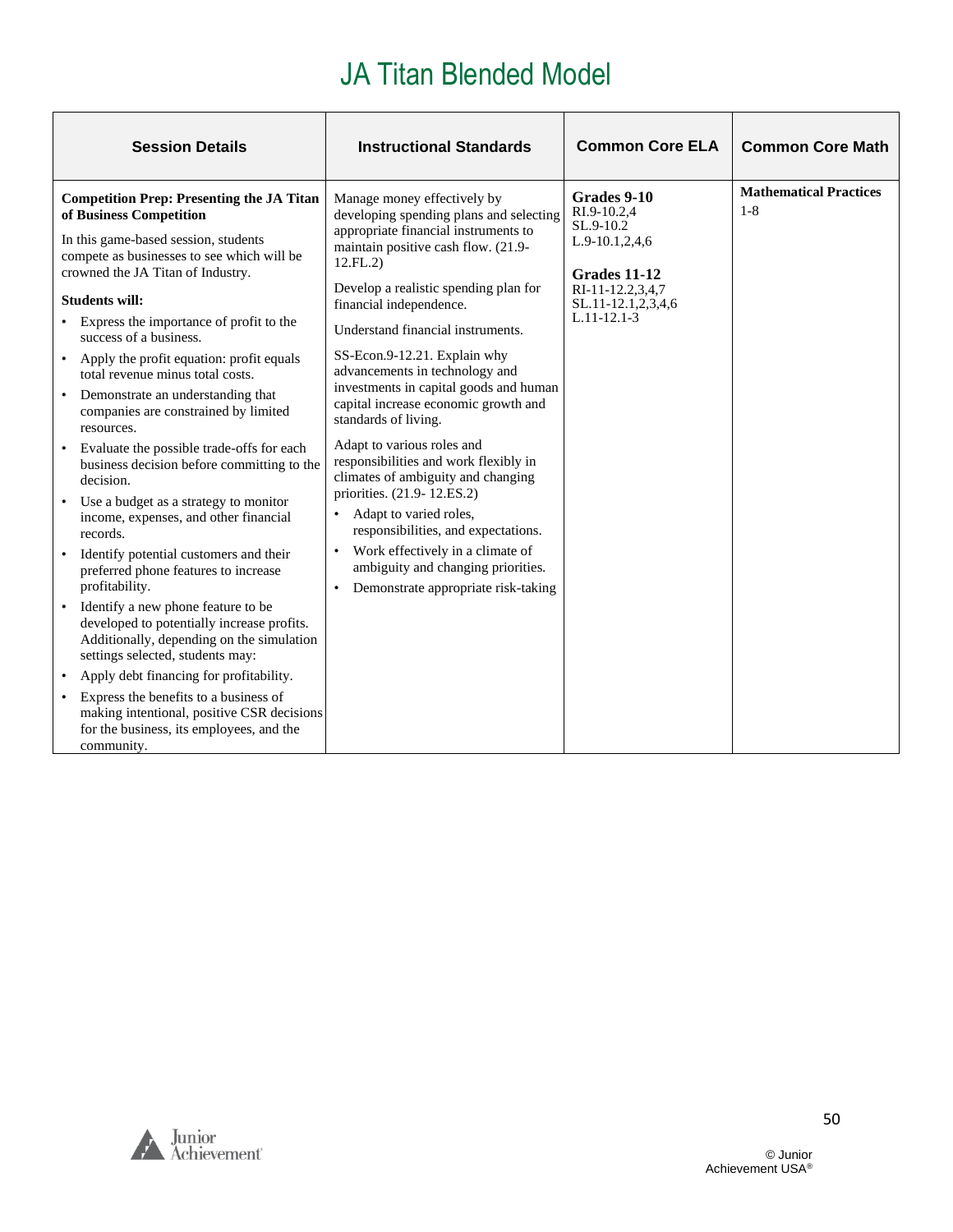| <b>Session Details</b>                                                                                                                                                                                                                                                                                                                                                                                                                                                                                                                                                                                                                                                                                                                                                                                                                                                                                                                                                                                                                                                                                                                                                                                | <b>Instructional Standards</b>                                                                                                                                                                                                                                                                                                                                                                                                                                                                                                                                                                                                                                                                                                                                                                                | <b>Common Core ELA</b>                                                                                                                      | <b>Common Core Math</b>                  |
|-------------------------------------------------------------------------------------------------------------------------------------------------------------------------------------------------------------------------------------------------------------------------------------------------------------------------------------------------------------------------------------------------------------------------------------------------------------------------------------------------------------------------------------------------------------------------------------------------------------------------------------------------------------------------------------------------------------------------------------------------------------------------------------------------------------------------------------------------------------------------------------------------------------------------------------------------------------------------------------------------------------------------------------------------------------------------------------------------------------------------------------------------------------------------------------------------------|---------------------------------------------------------------------------------------------------------------------------------------------------------------------------------------------------------------------------------------------------------------------------------------------------------------------------------------------------------------------------------------------------------------------------------------------------------------------------------------------------------------------------------------------------------------------------------------------------------------------------------------------------------------------------------------------------------------------------------------------------------------------------------------------------------------|---------------------------------------------------------------------------------------------------------------------------------------------|------------------------------------------|
| <b>Competition Prep: Presenting the JA Titan</b><br>of Business Competition<br>In this game-based session, students<br>compete as businesses to see which will be<br>crowned the JA Titan of Industry.<br><b>Students will:</b><br>• Express the importance of profit to the<br>success of a business.<br>• Apply the profit equation: profit equals<br>total revenue minus total costs.<br>Demonstrate an understanding that<br>companies are constrained by limited<br>resources.<br>Evaluate the possible trade-offs for each<br>business decision before committing to the<br>decision.<br>Use a budget as a strategy to monitor<br>$\bullet$<br>income, expenses, and other financial<br>records.<br>Identify potential customers and their<br>$\bullet$<br>preferred phone features to increase<br>profitability.<br>Identify a new phone feature to be<br>$\bullet$<br>developed to potentially increase profits.<br>Additionally, depending on the simulation<br>settings selected, students may:<br>Apply debt financing for profitability.<br>Express the benefits to a business of<br>making intentional, positive CSR decisions<br>for the business, its employees, and the<br>community. | Manage money effectively by<br>developing spending plans and selecting<br>appropriate financial instruments to<br>maintain positive cash flow. (21.9-<br>12.FL.2)<br>Develop a realistic spending plan for<br>financial independence.<br>Understand financial instruments.<br>SS-Econ.9-12.21. Explain why<br>advancements in technology and<br>investments in capital goods and human<br>capital increase economic growth and<br>standards of living.<br>Adapt to various roles and<br>responsibilities and work flexibly in<br>climates of ambiguity and changing<br>priorities. (21.9-12.ES.2)<br>Adapt to varied roles,<br>$\bullet$<br>responsibilities, and expectations.<br>Work effectively in a climate of<br>$\bullet$<br>ambiguity and changing priorities.<br>Demonstrate appropriate risk-taking | Grades 9-10<br>RI.9-10.2.4<br>$SL.9-10.2$<br>$L.9-10.1, 2, 4, 6$<br>Grades 11-12<br>RI-11-12.2,3,4,7<br>SL.11-12.1,2,3,4,6<br>$L.11-12.1-3$ | <b>Mathematical Practices</b><br>$1 - 8$ |

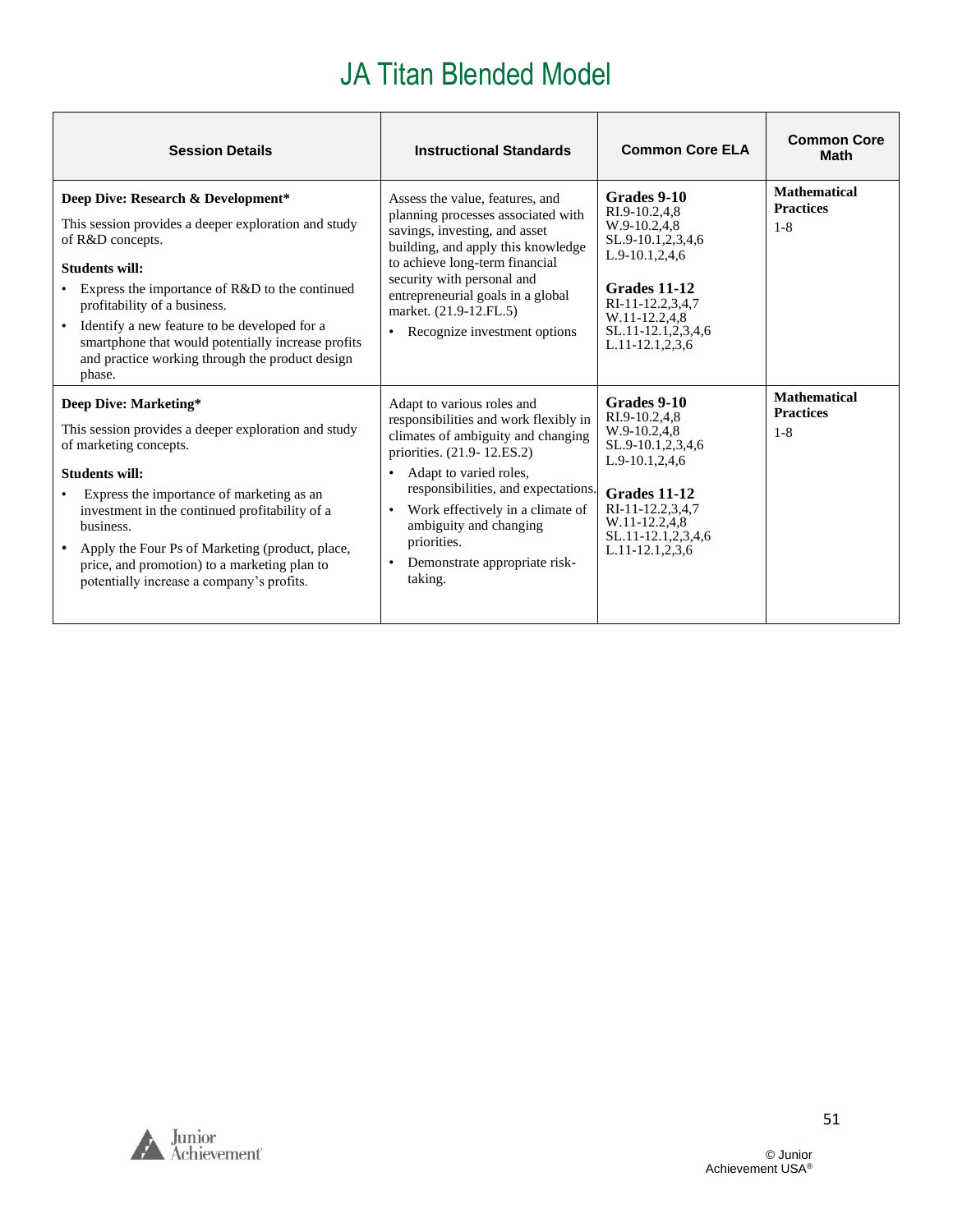| <b>Session Details</b>                                                                                                                                                                                                                                                                                                                                                                                      | <b>Instructional Standards</b>                                                                                                                                                                                                                                                                                                                                           | <b>Common Core ELA</b>                                                                                                                                                                       | <b>Common Core</b><br><b>Math</b>                  |
|-------------------------------------------------------------------------------------------------------------------------------------------------------------------------------------------------------------------------------------------------------------------------------------------------------------------------------------------------------------------------------------------------------------|--------------------------------------------------------------------------------------------------------------------------------------------------------------------------------------------------------------------------------------------------------------------------------------------------------------------------------------------------------------------------|----------------------------------------------------------------------------------------------------------------------------------------------------------------------------------------------|----------------------------------------------------|
| Deep Dive: Research & Development*<br>This session provides a deeper exploration and study<br>of R&D concepts.<br><b>Students will:</b><br>• Express the importance of R&D to the continued<br>profitability of a business.<br>Identify a new feature to be developed for a<br>$\bullet$<br>smartphone that would potentially increase profits<br>and practice working through the product design<br>phase. | Assess the value, features, and<br>planning processes associated with<br>savings, investing, and asset<br>building, and apply this knowledge<br>to achieve long-term financial<br>security with personal and<br>entrepreneurial goals in a global<br>market. (21.9-12.FL.5)<br>Recognize investment options                                                              | Grades 9-10<br>RI.9-10.2,4,8<br>W.9-10.2,4,8<br>SL.9-10.1,2,3,4,6<br>L.9-10.1,2,4,6<br>Grades 11-12<br>RI-11-12.2,3,4,7<br>W.11-12.2,4,8<br>SL.11-12.1,2,3,4,6<br>$L.11 - 12.1, 2, 3, 6$     | <b>Mathematical</b><br><b>Practices</b><br>$1 - 8$ |
| Deep Dive: Marketing*<br>This session provides a deeper exploration and study<br>of marketing concepts.<br><b>Students will:</b><br>Express the importance of marketing as an<br>investment in the continued profitability of a<br>business.<br>• Apply the Four Ps of Marketing (product, place,<br>price, and promotion) to a marketing plan to<br>potentially increase a company's profits.              | Adapt to various roles and<br>responsibilities and work flexibly in<br>climates of ambiguity and changing<br>priorities. (21.9-12.ES.2)<br>Adapt to varied roles,<br>$\bullet$<br>responsibilities, and expectations.<br>Work effectively in a climate of<br>$\bullet$<br>ambiguity and changing<br>priorities.<br>Demonstrate appropriate risk-<br>$\bullet$<br>taking. | Grades 9-10<br>RI.9-10.2,4,8<br>W.9-10.2,4,8<br>SL.9-10.1,2,3,4,6<br>$L.9-10.1, 2, 4, 6$<br>Grades 11-12<br>RI-11-12.2,3,4,7<br>W.11-12.2.4.8<br>SL.11-12.1,2,3,4,6<br>$L.11 - 12.1, 2.3, 6$ | <b>Mathematical</b><br><b>Practices</b><br>$1 - 8$ |